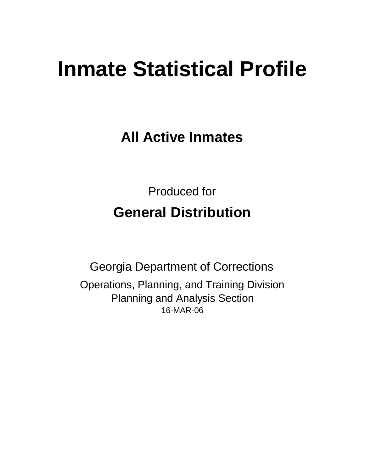# **Inmate Statistical Profile**

**All Active Inmates**

Produced for **General Distribution**

16-MAR-06 Georgia Department of Corrections Operations, Planning, and Training Division Planning and Analysis Section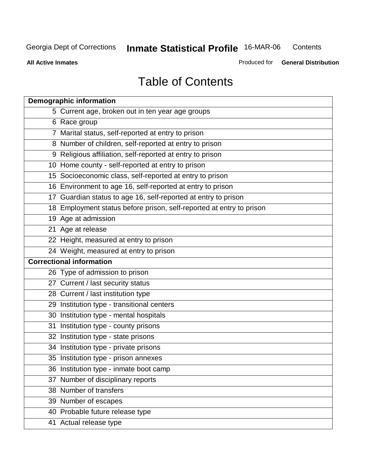**All Active Inmates**

Produced for **General Distribution**

# Table of Contents

| <b>Demographic information</b>                                       |
|----------------------------------------------------------------------|
| 5 Current age, broken out in ten year age groups                     |
| 6 Race group                                                         |
| 7 Marital status, self-reported at entry to prison                   |
| 8 Number of children, self-reported at entry to prison               |
| 9 Religious affiliation, self-reported at entry to prison            |
| 10 Home county - self-reported at entry to prison                    |
| 15 Socioeconomic class, self-reported at entry to prison             |
| 16 Environment to age 16, self-reported at entry to prison           |
| 17 Guardian status to age 16, self-reported at entry to prison       |
| 18 Employment status before prison, self-reported at entry to prison |
| 19 Age at admission                                                  |
| 21 Age at release                                                    |
| 22 Height, measured at entry to prison                               |
| 24 Weight, measured at entry to prison                               |
| <b>Correctional information</b>                                      |
| 26 Type of admission to prison                                       |
| 27 Current / last security status                                    |
| 28 Current / last institution type                                   |
| 29 Institution type - transitional centers                           |
| 30 Institution type - mental hospitals                               |
| 31 Institution type - county prisons                                 |
| 32 Institution type - state prisons                                  |
| 34 Institution type - private prisons                                |
| 35 Institution type - prison annexes                                 |
| 36 Institution type - inmate boot camp                               |
| 37 Number of disciplinary reports                                    |
| 38 Number of transfers                                               |
| 39 Number of escapes                                                 |
| 40 Probable future release type                                      |
| 41 Actual release type                                               |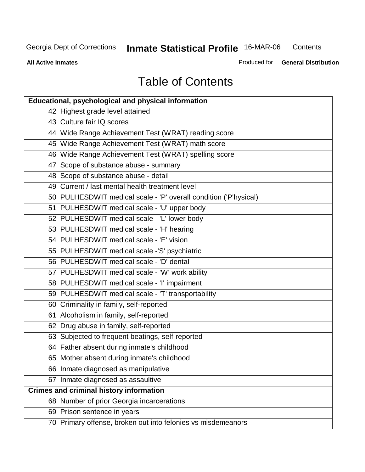**Contents** 

**All Active Inmates**

Produced for **General Distribution**

# Table of Contents

| <b>Educational, psychological and physical information</b>       |
|------------------------------------------------------------------|
| 42 Highest grade level attained                                  |
| 43 Culture fair IQ scores                                        |
| 44 Wide Range Achievement Test (WRAT) reading score              |
| 45 Wide Range Achievement Test (WRAT) math score                 |
| 46 Wide Range Achievement Test (WRAT) spelling score             |
| 47 Scope of substance abuse - summary                            |
| 48 Scope of substance abuse - detail                             |
| 49 Current / last mental health treatment level                  |
| 50 PULHESDWIT medical scale - 'P' overall condition ('P'hysical) |
| 51 PULHESDWIT medical scale - 'U' upper body                     |
| 52 PULHESDWIT medical scale - 'L' lower body                     |
| 53 PULHESDWIT medical scale - 'H' hearing                        |
| 54 PULHESDWIT medical scale - 'E' vision                         |
| 55 PULHESDWIT medical scale -'S' psychiatric                     |
| 56 PULHESDWIT medical scale - 'D' dental                         |
| 57 PULHESDWIT medical scale - 'W' work ability                   |
| 58 PULHESDWIT medical scale - 'I' impairment                     |
| 59 PULHESDWIT medical scale - 'T' transportability               |
| 60 Criminality in family, self-reported                          |
| 61 Alcoholism in family, self-reported                           |
| 62 Drug abuse in family, self-reported                           |
| 63 Subjected to frequent beatings, self-reported                 |
| 64 Father absent during inmate's childhood                       |
| 65 Mother absent during inmate's childhood                       |
| 66 Inmate diagnosed as manipulative                              |
| 67 Inmate diagnosed as assaultive                                |
| <b>Crimes and criminal history information</b>                   |
| 68 Number of prior Georgia incarcerations                        |
| 69 Prison sentence in years                                      |
| 70 Primary offense, broken out into felonies vs misdemeanors     |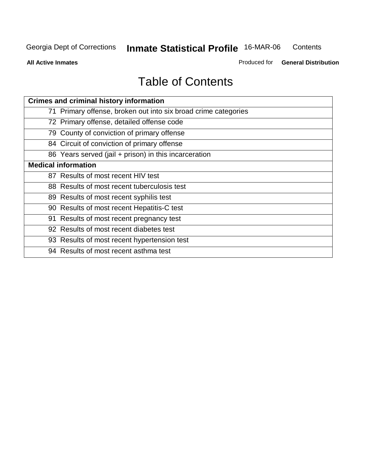**All Active Inmates**

Produced for **General Distribution**

# Table of Contents

| <b>Crimes and criminal history information</b>                 |
|----------------------------------------------------------------|
| 71 Primary offense, broken out into six broad crime categories |
| 72 Primary offense, detailed offense code                      |
| 79 County of conviction of primary offense                     |
| 84 Circuit of conviction of primary offense                    |
| 86 Years served (jail + prison) in this incarceration          |
| <b>Medical information</b>                                     |
| 87 Results of most recent HIV test                             |
| 88 Results of most recent tuberculosis test                    |
| 89 Results of most recent syphilis test                        |
| 90 Results of most recent Hepatitis-C test                     |
| 91 Results of most recent pregnancy test                       |
| 92 Results of most recent diabetes test                        |
| 93 Results of most recent hypertension test                    |
| 94 Results of most recent asthma test                          |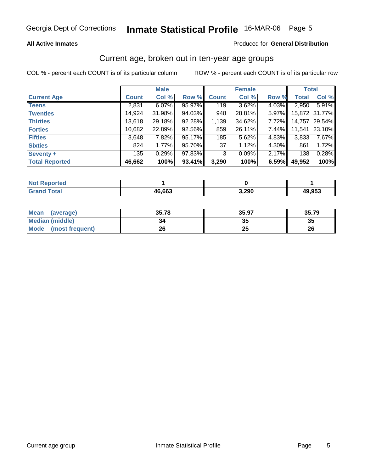#### **All Active Inmates**

#### Produced for **General Distribution**

#### Current age, broken out in ten-year age groups

|                       |              | <b>Male</b> |        |              | <b>Female</b> |       | <b>Total</b> |               |
|-----------------------|--------------|-------------|--------|--------------|---------------|-------|--------------|---------------|
| <b>Current Age</b>    | <b>Count</b> | Col %       | Row %  | <b>Count</b> | Col %         | Row % | <b>Total</b> | Col %         |
| <b>Teens</b>          | 2,831        | 6.07%       | 95.97% | 119          | 3.62%         | 4.03% | 2,950        | 5.91%         |
| <b>Twenties</b>       | 14,924       | 31.98%      | 94.03% | 948          | 28.81%        | 5.97% |              | 15,872 31.77% |
| <b>Thirties</b>       | 13,618       | 29.18%      | 92.28% | 1,139        | 34.62%        | 7.72% | 14,757       | 29.54%        |
| <b>Forties</b>        | 10,682       | 22.89%      | 92.56% | 859          | 26.11%        | 7.44% | 11,541       | 23.10%        |
| <b>Fifties</b>        | 3,648        | 7.82%       | 95.17% | 185          | 5.62%         | 4.83% | 3,833        | 7.67%         |
| <b>Sixties</b>        | 824          | 1.77%       | 95.70% | 37           | 1.12%         | 4.30% | 861          | 1.72%         |
| Seventy +             | 135          | 0.29%       | 97.83% | 3            | 0.09%         | 2.17% | 138          | 0.28%         |
| <b>Total Reported</b> | 46,662       | 100%        | 93.41% | 3,290        | 100%          | 6.59% | 49,952       | 100%          |

| <b>Not Reported</b> |        |               |        |
|---------------------|--------|---------------|--------|
| <u> Intal</u>       | 46,663 | ົດດດ<br>J,ZJU | 49,953 |

| <b>Mean</b><br>(average) | 35.78 | 35.97    | 35.79 |
|--------------------------|-------|----------|-------|
| <b>Median (middle)</b>   | 34    | ^^<br>w  | 35    |
| Mode<br>(most frequent)  | 26    | າເ<br>δw | 26    |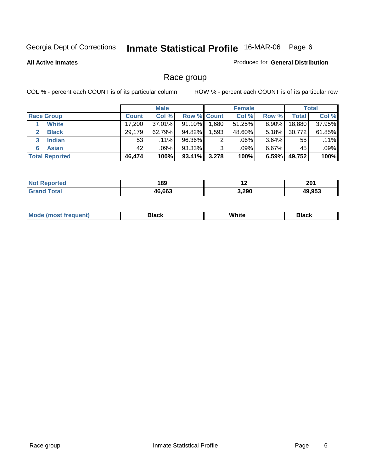#### **All Active Inmates**

#### Produced for **General Distribution**

### Race group

|                       |              | <b>Male</b> |                    |         | <b>Female</b> |          |        | <b>Total</b> |
|-----------------------|--------------|-------------|--------------------|---------|---------------|----------|--------|--------------|
| <b>Race Group</b>     | <b>Count</b> | Col %       | <b>Row % Count</b> |         | Col %         | Row %    | Total  | Col %        |
| <b>White</b>          | 17,200       | 37.01%      | 91.10%             | ا 680.⊧ | $51.25\%$     | $8.90\%$ | 18,880 | 37.95%       |
| <b>Black</b>          | 29,179       | 62.79%      | 94.82%             | 1,593   | 48.60%        | $5.18\%$ | 30,772 | 61.85%       |
| <b>Indian</b><br>3    | 53           | $.11\%$     | 96.36%             | 2       | .06%          | 3.64%    | 55     | .11%         |
| <b>Asian</b><br>6     | 42           | .09%        | 93.33%             | 3       | .09%          | $6.67\%$ | 45     | .09%         |
| <b>Total Reported</b> | 46,474       | 100%        | 93.41%             | 3,278   | 100%          | 6.59%    | 49,752 | 100%         |

| 189<br>__ |       | $\sim$<br>ZV I |
|-----------|-------|----------------|
| 46682     | 3,290 | 49.953         |

|  | M <sub>c</sub> | Black | <br>White<br>$ -$ | והה<br>ыаск<br>___ |
|--|----------------|-------|-------------------|--------------------|
|--|----------------|-------|-------------------|--------------------|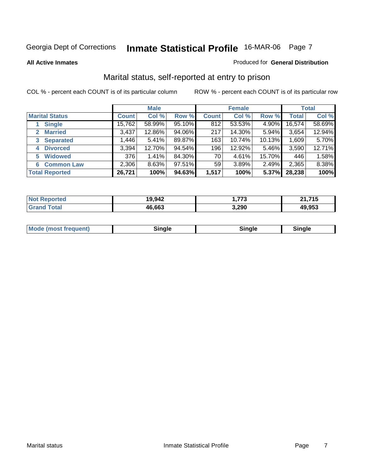#### **All Active Inmates**

#### Produced for **General Distribution**

### Marital status, self-reported at entry to prison

|                                |              | <b>Male</b> |        |              | <b>Female</b> |        |              | <b>Total</b> |
|--------------------------------|--------------|-------------|--------|--------------|---------------|--------|--------------|--------------|
| <b>Marital Status</b>          | <b>Count</b> | Col %       | Row %  | <b>Count</b> | Col %         | Row %  | <b>Total</b> | Col %        |
| <b>Single</b>                  | 15,762       | 58.99%      | 95.10% | 812          | 53.53%        | 4.90%  | 16,574       | 58.69%       |
| <b>Married</b><br>$\mathbf{2}$ | 3,437        | 12.86%      | 94.06% | 217          | 14.30%        | 5.94%  | 3,654        | 12.94%       |
| <b>Separated</b><br>3          | 1,446        | 5.41%       | 89.87% | 163          | 10.74%        | 10.13% | 1,609        | 5.70%        |
| <b>Divorced</b><br>4           | 3,394        | 12.70%      | 94.54% | 196          | 12.92%        | 5.46%  | 3,590        | 12.71%       |
| <b>Widowed</b><br>5            | 376          | 1.41%       | 84.30% | 70           | 4.61%         | 15.70% | 446          | 1.58%        |
| <b>Common Law</b><br>6         | 2,306        | 8.63%       | 97.51% | 59           | 3.89%         | 2.49%  | 2,365        | 8.38%        |
| <b>Total Reported</b>          | 26,721       | 100%        | 94.63% | 1,517        | 100%          | 5.37%  | 28,238       | 100%         |

| 19,942 | 772<br>. | ライビ<br>ີ<br>יי |
|--------|----------|----------------|
| 46.663 | 3,290    | 49.953         |

|  | <b>Mode</b><br>(most frequent) | .<br>luie | лане | ---- |
|--|--------------------------------|-----------|------|------|
|--|--------------------------------|-----------|------|------|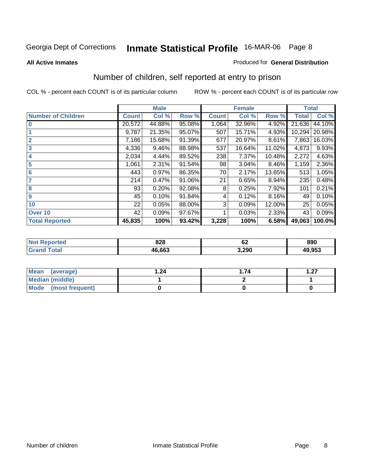#### **All Active Inmates**

#### Produced for **General Distribution**

### Number of children, self reported at entry to prison

|                           | <b>Male</b>  |        |        | <b>Female</b> |        |        | <b>Total</b> |        |
|---------------------------|--------------|--------|--------|---------------|--------|--------|--------------|--------|
| <b>Number of Children</b> | <b>Count</b> | Col %  | Row %  | <b>Count</b>  | Col %  | Row %  | <b>Total</b> | Col %  |
| l 0                       | 20,572       | 44.88% | 95.08% | 1,064         | 32.96% | 4.92%  | 21,636       | 44.10% |
|                           | 9,787        | 21.35% | 95.07% | 507           | 15.71% | 4.93%  | 10,294       | 20.98% |
| $\overline{2}$            | 7,186        | 15.68% | 91.39% | 677           | 20.97% | 8.61%  | 7,863        | 16.03% |
| $\overline{\mathbf{3}}$   | 4,336        | 9.46%  | 88.98% | 537           | 16.64% | 11.02% | 4,873        | 9.93%  |
| 4                         | 2,034        | 4.44%  | 89.52% | 238           | 7.37%  | 10.48% | 2,272        | 4.63%  |
| 5                         | 1,061        | 2.31%  | 91.54% | 98            | 3.04%  | 8.46%  | 1,159        | 2.36%  |
| $6\phantom{a}6$           | 443          | 0.97%  | 86.35% | 70            | 2.17%  | 13.65% | 513          | 1.05%  |
| 7                         | 214          | 0.47%  | 91.06% | 21            | 0.65%  | 8.94%  | 235          | 0.48%  |
| 8                         | 93           | 0.20%  | 92.08% | 8             | 0.25%  | 7.92%  | 101          | 0.21%  |
| 9                         | 45           | 0.10%  | 91.84% | 4             | 0.12%  | 8.16%  | 49           | 0.10%  |
| 10                        | 22           | 0.05%  | 88.00% | 3             | 0.09%  | 12.00% | 25           | 0.05%  |
| Over 10                   | 42           | 0.09%  | 97.67% |               | 0.03%  | 2.33%  | 43           | 0.09%  |
| <b>Total Reported</b>     | 45,835       | 100%   | 93.42% | 3,228         | 100%   | 6.58%  | 49,063       | 100.0% |

| 828    | $\overline{ }$<br>О∠<br>$\sim$ $\sim$ | 890    |
|--------|---------------------------------------|--------|
| 46.66? | 3,290                                 | 49.953 |

| Mean<br>(average)    | .24 | .74 | דר |
|----------------------|-----|-----|----|
| Median (middle)      |     |     |    |
| Mode (most frequent) |     |     |    |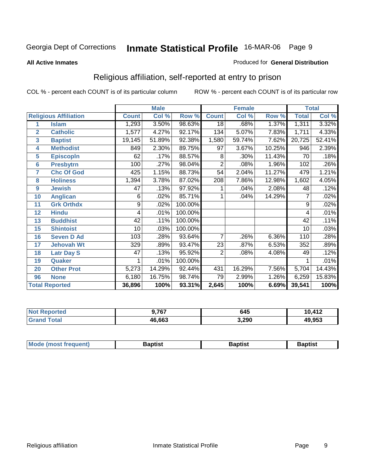#### **All Active Inmates**

#### Produced for **General Distribution**

### Religious affiliation, self-reported at entry to prison

|                  |                              | <b>Male</b>  |        | <b>Female</b> |                 |        | <b>Total</b> |              |        |
|------------------|------------------------------|--------------|--------|---------------|-----------------|--------|--------------|--------------|--------|
|                  | <b>Religious Affiliation</b> | <b>Count</b> | Col %  | Row %         | <b>Count</b>    | Col %  | Row %        | <b>Total</b> | Col %  |
| 1                | <b>Islam</b>                 | 1,293        | 3.50%  | 98.63%        | $\overline{18}$ | .68%   | 1.37%        | 1,311        | 3.32%  |
| $\overline{2}$   | <b>Catholic</b>              | 1,577        | 4.27%  | 92.17%        | 134             | 5.07%  | 7.83%        | 1,711        | 4.33%  |
| 3                | <b>Baptist</b>               | 19,145       | 51.89% | 92.38%        | 1,580           | 59.74% | 7.62%        | 20,725       | 52.41% |
| 4                | <b>Methodist</b>             | 849          | 2.30%  | 89.75%        | 97              | 3.67%  | 10.25%       | 946          | 2.39%  |
| 5                | <b>EpiscopIn</b>             | 62           | .17%   | 88.57%        | 8               | .30%   | 11.43%       | 70           | .18%   |
| $6\phantom{1}6$  | <b>Presbytrn</b>             | 100          | .27%   | 98.04%        | $\overline{2}$  | .08%   | 1.96%        | 102          | .26%   |
| 7                | <b>Chc Of God</b>            | 425          | 1.15%  | 88.73%        | 54              | 2.04%  | 11.27%       | 479          | 1.21%  |
| 8                | <b>Holiness</b>              | 1,394        | 3.78%  | 87.02%        | 208             | 7.86%  | 12.98%       | 1,602        | 4.05%  |
| $\boldsymbol{9}$ | <b>Jewish</b>                | 47           | .13%   | 97.92%        |                 | .04%   | 2.08%        | 48           | .12%   |
| 10               | <b>Anglican</b>              | 6            | .02%   | 85.71%        |                 | .04%   | 14.29%       | 7            | .02%   |
| 11               | <b>Grk Orthdx</b>            | 9            | .02%   | 100.00%       |                 |        |              | 9            | .02%   |
| 12               | <b>Hindu</b>                 | 4            | .01%   | 100.00%       |                 |        |              | 4            | .01%   |
| 13               | <b>Buddhist</b>              | 42           | .11%   | 100.00%       |                 |        |              | 42           | .11%   |
| 15               | <b>Shintoist</b>             | 10           | .03%   | 100.00%       |                 |        |              | 10           | .03%   |
| 16               | <b>Seven D Ad</b>            | 103          | .28%   | 93.64%        | 7               | .26%   | 6.36%        | 110          | .28%   |
| 17               | <b>Jehovah Wt</b>            | 329          | .89%   | 93.47%        | 23              | .87%   | 6.53%        | 352          | .89%   |
| 18               | <b>Latr Day S</b>            | 47           | .13%   | 95.92%        | 2               | .08%   | 4.08%        | 49           | .12%   |
| 19               | Quaker                       | 1            | .01%   | 100.00%       |                 |        |              |              | .01%   |
| 20               | <b>Other Prot</b>            | 5,273        | 14.29% | 92.44%        | 431             | 16.29% | 7.56%        | 5,704        | 14.43% |
| 96               | <b>None</b>                  | 6,180        | 16.75% | 98.74%        | 79              | 2.99%  | 1.26%        | 6,259        | 15.83% |
|                  | <b>Total Reported</b>        | 36,896       | 100%   | 93.31%        | 2,645           | 100%   | 6.69%        | 39,541       | 100%   |

| rtec<br>'N ( | 707<br><u>'</u> O. | 645   | 10,412 |
|--------------|--------------------|-------|--------|
|              | 46,663             | 3,290 | 49,953 |

| Mode (mo<br>ost freauent) | 3aptist | Baptist | 3aptist |
|---------------------------|---------|---------|---------|
|                           |         |         |         |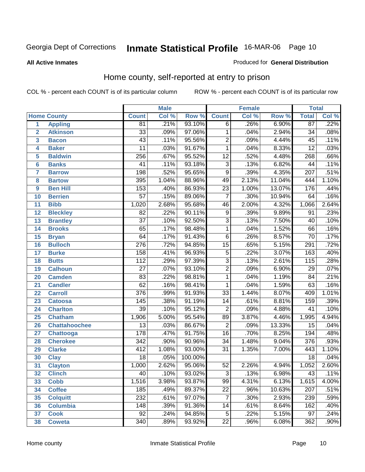#### **All Active Inmates**

#### Produced for **General Distribution**

### Home county, self-reported at entry to prison

|                 |                      |                  | <b>Male</b> |         |                 | <b>Female</b> |        | <b>Total</b>     |         |
|-----------------|----------------------|------------------|-------------|---------|-----------------|---------------|--------|------------------|---------|
|                 | <b>Home County</b>   | <b>Count</b>     | Col %       | Row %   | <b>Count</b>    | Col %         | Row %  | <b>Total</b>     | Col %   |
| 1               | <b>Appling</b>       | 81               | .21%        | 93.10%  | $\overline{6}$  | .26%          | 6.90%  | $\overline{87}$  | .22%    |
| $\overline{2}$  | <b>Atkinson</b>      | $\overline{33}$  | .09%        | 97.06%  | 1               | .04%          | 2.94%  | $\overline{34}$  | .08%    |
| 3               | <b>Bacon</b>         | 43               | .11%        | 95.56%  | $\overline{2}$  | .09%          | 4.44%  | $\overline{45}$  | .11%    |
| 4               | <b>Baker</b>         | $\overline{11}$  | .03%        | 91.67%  | 1               | .04%          | 8.33%  | $\overline{12}$  | .03%    |
| 5               | <b>Baldwin</b>       | 256              | .67%        | 95.52%  | $\overline{12}$ | .52%          | 4.48%  | 268              | .66%    |
| 6               | <b>Banks</b>         | 41               | .11%        | 93.18%  | $\overline{3}$  | .13%          | 6.82%  | 44               | .11%    |
| $\overline{7}$  | <b>Barrow</b>        | 198              | .52%        | 95.65%  | $\overline{9}$  | .39%          | 4.35%  | $\overline{207}$ | .51%    |
| 8               | <b>Bartow</b>        | 395              | 1.04%       | 88.96%  | 49              | 2.13%         | 11.04% | 444              | 1.10%   |
| 9               | <b>Ben Hill</b>      | 153              | .40%        | 86.93%  | $\overline{23}$ | 1.00%         | 13.07% | 176              | .44%    |
| 10              | <b>Berrien</b>       | $\overline{57}$  | .15%        | 89.06%  | $\overline{7}$  | .30%          | 10.94% | 64               | .16%    |
| 11              | <b>Bibb</b>          | 1,020            | 2.68%       | 95.68%  | 46              | 2.00%         | 4.32%  | 1,066            | 2.64%   |
| 12              | <b>Bleckley</b>      | $\overline{82}$  | .22%        | 90.11%  | 9               | .39%          | 9.89%  | 91               | .23%    |
| $\overline{13}$ | <b>Brantley</b>      | $\overline{37}$  | .10%        | 92.50%  | $\overline{3}$  | .13%          | 7.50%  | $\overline{40}$  | .10%    |
| 14              | <b>Brooks</b>        | 65               | .17%        | 98.48%  | 1               | .04%          | 1.52%  | 66               | .16%    |
| 15              | <b>Bryan</b>         | 64               | .17%        | 91.43%  | $\overline{6}$  | .26%          | 8.57%  | $\overline{70}$  | .17%    |
| 16              | <b>Bulloch</b>       | $\overline{276}$ | .72%        | 94.85%  | $\overline{15}$ | .65%          | 5.15%  | 291              | .72%    |
| $\overline{17}$ | <b>Burke</b>         | 158              | .41%        | 96.93%  | $\overline{5}$  | .22%          | 3.07%  | 163              | .40%    |
| 18              | <b>Butts</b>         | 112              | .29%        | 97.39%  | $\overline{3}$  | .13%          | 2.61%  | $\overline{115}$ | .28%    |
| 19              | <b>Calhoun</b>       | $\overline{27}$  | .07%        | 93.10%  | $\overline{2}$  | .09%          | 6.90%  | $\overline{29}$  | .07%    |
| 20              | <b>Camden</b>        | 83               | .22%        | 98.81%  | 1               | .04%          | 1.19%  | $\overline{84}$  | .21%    |
| 21              | <b>Candler</b>       | $\overline{62}$  | .16%        | 98.41%  | $\mathbf{1}$    | .04%          | 1.59%  | $\overline{63}$  | .16%    |
| 22              | <b>Carroll</b>       | $\overline{376}$ | .99%        | 91.93%  | $\overline{33}$ | 1.44%         | 8.07%  | 409              | 1.01%   |
| 23              | <b>Catoosa</b>       | 145              | .38%        | 91.19%  | $\overline{14}$ | .61%          | 8.81%  | 159              | .39%    |
| 24              | <b>Charlton</b>      | $\overline{39}$  | .10%        | 95.12%  | $\overline{2}$  | .09%          | 4.88%  | 41               | .10%    |
| 25              | <b>Chatham</b>       | 1,906            | 5.00%       | 95.54%  | 89              | 3.87%         | 4.46%  | 1,995            | 4.94%   |
| 26              | <b>Chattahoochee</b> | $\overline{13}$  | .03%        | 86.67%  | $\overline{2}$  | .09%          | 13.33% | $\overline{15}$  | .04%    |
| 27              | Chattooga            | 178              | .47%        | 91.75%  | $\overline{16}$ | .70%          | 8.25%  | 194              | .48%    |
| 28              | <b>Cherokee</b>      | $\overline{342}$ | .90%        | 90.96%  | $\overline{34}$ | 1.48%         | 9.04%  | $\overline{376}$ | .93%    |
| 29              | <b>Clarke</b>        | $\overline{412}$ | 1.08%       | 93.00%  | $\overline{31}$ | 1.35%         | 7.00%  | 443              | 1.10%   |
| 30              | <b>Clay</b>          | $\overline{18}$  | .05%        | 100.00% |                 |               |        | 18               | .04%    |
| $\overline{31}$ | <b>Clayton</b>       | 1,000            | 2.62%       | 95.06%  | $\overline{52}$ | 2.26%         | 4.94%  | 1,052            | 2.60%   |
| 32              | <b>Clinch</b>        | 40               | .10%        | 93.02%  | 3               | .13%          | 6.98%  | 43               | .11%    |
| 33              | <b>Cobb</b>          | 1,516            | 3.98%       | 93.87%  | $\overline{99}$ | 4.31%         | 6.13%  | 1,615            | 4.00%   |
| 34              | <b>Coffee</b>        | 185              | .49%        | 89.37%  | $\overline{22}$ | .96%          | 10.63% | 207              | .51%    |
| 35              | <b>Colquitt</b>      | 232              | .61%        | 97.07%  | 7               | .30%          | 2.93%  | 239              | .59%    |
| 36              | <b>Columbia</b>      | 148              | .39%        | 91.36%  | 14              | .61%          | 8.64%  | 162              | .40%    |
| 37              | <b>Cook</b>          | $\overline{92}$  | .24%        | 94.85%  | $\overline{5}$  | .22%          | 5.15%  | $\overline{97}$  | .24%    |
| 38              | <b>Coweta</b>        | 340              | .89%        | 93.92%  | $\overline{22}$ | .96%          | 6.08%  | 362              | $.90\%$ |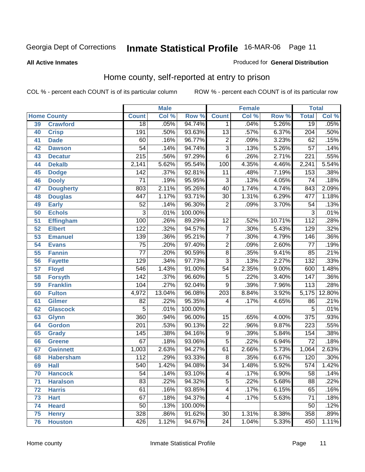#### **All Active Inmates**

#### Produced for **General Distribution**

### Home county, self-reported at entry to prison

|                 |                    | <b>Male</b>      |        | <b>Female</b> |                  |       | <b>Total</b> |                  |        |
|-----------------|--------------------|------------------|--------|---------------|------------------|-------|--------------|------------------|--------|
|                 | <b>Home County</b> | <b>Count</b>     | Col %  | Row %         | <b>Count</b>     | Col % | Row %        | <b>Total</b>     | Col %  |
| 39              | <b>Crawford</b>    | $\overline{18}$  | .05%   | 94.74%        | 1.               | .04%  | 5.26%        | $\overline{19}$  | .05%   |
| 40              | <b>Crisp</b>       | 191              | .50%   | 93.63%        | $\overline{13}$  | .57%  | 6.37%        | $\overline{204}$ | .50%   |
| 41              | <b>Dade</b>        | 60               | .16%   | 96.77%        | $\overline{2}$   | .09%  | 3.23%        | $\overline{62}$  | .15%   |
| 42              | <b>Dawson</b>      | $\overline{54}$  | .14%   | 94.74%        | $\overline{3}$   | .13%  | 5.26%        | $\overline{57}$  | .14%   |
| 43              | <b>Decatur</b>     | $\overline{215}$ | .56%   | 97.29%        | $\overline{6}$   | .26%  | 2.71%        | $\overline{221}$ | .55%   |
| 44              | <b>Dekalb</b>      | 2,141            | 5.62%  | 95.54%        | 100              | 4.35% | 4.46%        | 2,241            | 5.54%  |
| 45              | <b>Dodge</b>       | 142              | .37%   | 92.81%        | 11               | .48%  | 7.19%        | 153              | .38%   |
| 46              | <b>Dooly</b>       | $\overline{71}$  | .19%   | 95.95%        | $\overline{3}$   | .13%  | 4.05%        | $\overline{74}$  | .18%   |
| 47              | <b>Dougherty</b>   | 803              | 2.11%  | 95.26%        | $\overline{40}$  | 1.74% | 4.74%        | 843              | 2.09%  |
| 48              | <b>Douglas</b>     | 447              | 1.17%  | 93.71%        | $\overline{30}$  | 1.31% | 6.29%        | 477              | 1.18%  |
| 49              | <b>Early</b>       | $\overline{52}$  | .14%   | 96.30%        | $\overline{2}$   | .09%  | 3.70%        | $\overline{54}$  | .13%   |
| 50              | <b>Echols</b>      | 3                | .01%   | 100.00%       |                  |       |              | 3                | .01%   |
| $\overline{51}$ | <b>Effingham</b>   | 100              | .26%   | 89.29%        | $\overline{12}$  | .52%  | 10.71%       | $\overline{112}$ | .28%   |
| 52              | <b>Elbert</b>      | $\overline{122}$ | .32%   | 94.57%        | $\overline{7}$   | .30%  | 5.43%        | 129              | .32%   |
| $\overline{53}$ | <b>Emanuel</b>     | 139              | .36%   | 95.21%        | $\overline{7}$   | .30%  | 4.79%        | 146              | .36%   |
| 54              | <b>Evans</b>       | $\overline{75}$  | .20%   | 97.40%        | 2                | .09%  | 2.60%        | $\overline{77}$  | .19%   |
| 55              | <b>Fannin</b>      | $\overline{77}$  | .20%   | 90.59%        | $\overline{8}$   | .35%  | 9.41%        | 85               | .21%   |
| 56              | <b>Fayette</b>     | $\overline{129}$ | .34%   | 97.73%        | $\overline{3}$   | .13%  | 2.27%        | $\overline{132}$ | .33%   |
| 57              | <b>Floyd</b>       | 546              | 1.43%  | 91.00%        | $\overline{54}$  | 2.35% | 9.00%        | 600              | 1.48%  |
| 58              | <b>Forsyth</b>     | 142              | .37%   | 96.60%        | $\overline{5}$   | .22%  | 3.40%        | $\overline{147}$ | .36%   |
| 59              | <b>Franklin</b>    | 104              | .27%   | 92.04%        | $\overline{9}$   | .39%  | 7.96%        | $\overline{113}$ | .28%   |
| 60              | <b>Fulton</b>      | 4,972            | 13.04% | 96.08%        | $\overline{203}$ | 8.84% | 3.92%        | 5,175            | 12.80% |
| 61              | <b>Gilmer</b>      | $\overline{82}$  | .22%   | 95.35%        | 4                | .17%  | 4.65%        | 86               | .21%   |
| 62              | <b>Glascock</b>    | $\overline{5}$   | .01%   | 100.00%       |                  |       |              | $\overline{5}$   | .01%   |
| 63              | <b>Glynn</b>       | 360              | .94%   | 96.00%        | $\overline{15}$  | .65%  | 4.00%        | $\overline{375}$ | .93%   |
| 64              | <b>Gordon</b>      | $\overline{201}$ | .53%   | 90.13%        | $\overline{22}$  | .96%  | 9.87%        | 223              | .55%   |
| 65              | <b>Grady</b>       | $\overline{145}$ | .38%   | 94.16%        | $\overline{9}$   | .39%  | 5.84%        | 154              | .38%   |
| 66              | <b>Greene</b>      | $\overline{67}$  | .18%   | 93.06%        | $\overline{5}$   | .22%  | 6.94%        | $\overline{72}$  | .18%   |
| 67              | <b>Gwinnett</b>    | 1,003            | 2.63%  | 94.27%        | 61               | 2.66% | 5.73%        | 1,064            | 2.63%  |
| 68              | <b>Habersham</b>   | 112              | .29%   | 93.33%        | 8                | .35%  | 6.67%        | 120              | .30%   |
| 69              | <b>Hall</b>        | $\overline{540}$ | 1.42%  | 94.08%        | $\overline{34}$  | 1.48% | 5.92%        | $\overline{574}$ | 1.42%  |
| 70              | <b>Hancock</b>     | 54               | .14%   | 93.10%        | 4                | .17%  | 6.90%        | 58               | .14%   |
| 71              | <b>Haralson</b>    | 83               | .22%   | 94.32%        | $\overline{5}$   | .22%  | 5.68%        | $\overline{88}$  | .22%   |
| 72              | <b>Harris</b>      | 61               | .16%   | 93.85%        | 4                | .17%  | 6.15%        | 65               | .16%   |
| 73              | <b>Hart</b>        | $\overline{67}$  | .18%   | 94.37%        | 4                | .17%  | 5.63%        | $\overline{71}$  | .18%   |
| 74              | <b>Heard</b>       | $\overline{50}$  | .13%   | 100.00%       |                  |       |              | 50               | .12%   |
| 75              | <b>Henry</b>       | 328              | .86%   | 91.62%        | $\overline{30}$  | 1.31% | 8.38%        | 358              | .89%   |
| 76              | <b>Houston</b>     | 426              | 1.12%  | 94.67%        | $\overline{24}$  | 1.04% | 5.33%        | 450              | 1.11%  |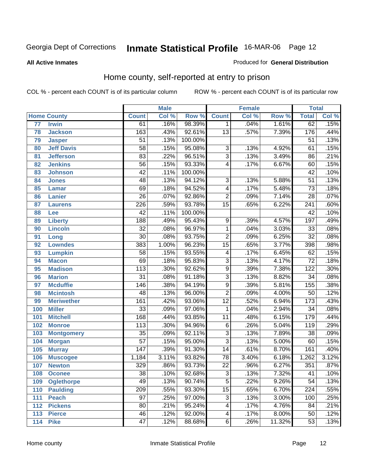#### **All Active Inmates**

#### Produced for **General Distribution**

### Home county, self-reported at entry to prison

|     |                    | <b>Male</b>      |       | <b>Female</b> |                 |       | <b>Total</b> |                  |       |
|-----|--------------------|------------------|-------|---------------|-----------------|-------|--------------|------------------|-------|
|     | <b>Home County</b> | <b>Count</b>     | Col % | Row %         | <b>Count</b>    | Col % | Row %        | <b>Total</b>     | Col % |
| 77  | <b>Irwin</b>       | 61               | .16%  | 98.39%        | $\mathbf{1}$    | .04%  | 1.61%        | 62               | .15%  |
| 78  | <b>Jackson</b>     | 163              | .43%  | 92.61%        | $\overline{13}$ | .57%  | 7.39%        | 176              | .44%  |
| 79  | <b>Jasper</b>      | $\overline{51}$  | .13%  | 100.00%       |                 |       |              | $\overline{51}$  | .13%  |
| 80  | <b>Jeff Davis</b>  | $\overline{58}$  | .15%  | 95.08%        | $\overline{3}$  | .13%  | 4.92%        | 61               | .15%  |
| 81  | <b>Jefferson</b>   | $\overline{83}$  | .22%  | 96.51%        | $\overline{3}$  | .13%  | 3.49%        | 86               | .21%  |
| 82  | <b>Jenkins</b>     | $\overline{56}$  | .15%  | 93.33%        | 4               | .17%  | 6.67%        | 60               | .15%  |
| 83  | <b>Johnson</b>     | 42               | .11%  | 100.00%       |                 |       |              | 42               | .10%  |
| 84  | <b>Jones</b>       | 48               | .13%  | 94.12%        | 3               | .13%  | 5.88%        | $\overline{51}$  | .13%  |
| 85  | <b>Lamar</b>       | 69               | .18%  | 94.52%        | 4               | .17%  | 5.48%        | $\overline{73}$  | .18%  |
| 86  | <b>Lanier</b>      | $\overline{26}$  | .07%  | 92.86%        | $\overline{2}$  | .09%  | 7.14%        | $\overline{28}$  | .07%  |
| 87  | <b>Laurens</b>     | 226              | .59%  | 93.78%        | $\overline{15}$ | .65%  | 6.22%        | $\overline{241}$ | .60%  |
| 88  | Lee                | $\overline{42}$  | .11%  | 100.00%       |                 |       |              | $\overline{42}$  | .10%  |
| 89  | <b>Liberty</b>     | 188              | .49%  | 95.43%        | $\overline{9}$  | .39%  | 4.57%        | 197              | .49%  |
| 90  | <b>Lincoln</b>     | $\overline{32}$  | .08%  | 96.97%        | 1               | .04%  | 3.03%        | $\overline{33}$  | .08%  |
| 91  | Long               | $\overline{30}$  | .08%  | 93.75%        | $\overline{2}$  | .09%  | 6.25%        | $\overline{32}$  | .08%  |
| 92  | <b>Lowndes</b>     | 383              | 1.00% | 96.23%        | $\overline{15}$ | .65%  | 3.77%        | 398              | .98%  |
| 93  | <b>Lumpkin</b>     | $\overline{58}$  | .15%  | 93.55%        | 4               | .17%  | 6.45%        | 62               | .15%  |
| 94  | <b>Macon</b>       | 69               | .18%  | 95.83%        | $\overline{3}$  | .13%  | 4.17%        | $\overline{72}$  | .18%  |
| 95  | <b>Madison</b>     | $\overline{113}$ | .30%  | 92.62%        | $\overline{9}$  | .39%  | 7.38%        | 122              | .30%  |
| 96  | <b>Marion</b>      | $\overline{31}$  | .08%  | 91.18%        | $\overline{3}$  | .13%  | 8.82%        | $\overline{34}$  | .08%  |
| 97  | <b>Mcduffie</b>    | 146              | .38%  | 94.19%        | $\overline{9}$  | .39%  | 5.81%        | 155              | .38%  |
| 98  | <b>Mcintosh</b>    | 48               | .13%  | 96.00%        | $\overline{2}$  | .09%  | 4.00%        | $\overline{50}$  | .12%  |
| 99  | <b>Meriwether</b>  | 161              | .42%  | 93.06%        | $\overline{12}$ | .52%  | 6.94%        | $\overline{173}$ | .43%  |
| 100 | <b>Miller</b>      | $\overline{33}$  | .09%  | 97.06%        | $\mathbf{1}$    | .04%  | 2.94%        | $\overline{34}$  | .08%  |
| 101 | <b>Mitchell</b>    | 168              | .44%  | 93.85%        | $\overline{11}$ | .48%  | 6.15%        | 179              | .44%  |
| 102 | <b>Monroe</b>      | 113              | .30%  | 94.96%        | $\overline{6}$  | .26%  | 5.04%        | $\overline{119}$ | .29%  |
| 103 | <b>Montgomery</b>  | $\overline{35}$  | .09%  | 92.11%        | $\overline{3}$  | .13%  | 7.89%        | $\overline{38}$  | .09%  |
| 104 | <b>Morgan</b>      | $\overline{57}$  | .15%  | 95.00%        | $\overline{3}$  | .13%  | 5.00%        | 60               | .15%  |
| 105 | <b>Murray</b>      | $\overline{147}$ | .39%  | 91.30%        | $\overline{14}$ | .61%  | 8.70%        | 161              | .40%  |
| 106 | <b>Muscogee</b>    | 1,184            | 3.11% | 93.82%        | 78              | 3.40% | 6.18%        | 1,262            | 3.12% |
| 107 | <b>Newton</b>      | 329              | .86%  | 93.73%        | $\overline{22}$ | .96%  | 6.27%        | 351              | .87%  |
| 108 | <b>Oconee</b>      | $\overline{38}$  | .10%  | 92.68%        | $\overline{3}$  | .13%  | 7.32%        | 41               | .10%  |
| 109 | <b>Oglethorpe</b>  | 49               | .13%  | 90.74%        | 5               | .22%  | 9.26%        | $\overline{54}$  | .13%  |
| 110 | <b>Paulding</b>    | $\overline{209}$ | .55%  | 93.30%        | $\overline{15}$ | .65%  | 6.70%        | 224              | .55%  |
| 111 | <b>Peach</b>       | $\overline{97}$  | .25%  | 97.00%        | 3               | .13%  | 3.00%        | 100              | .25%  |
| 112 | <b>Pickens</b>     | 80               | .21%  | 95.24%        | 4               | .17%  | 4.76%        | 84               | .21%  |
| 113 | <b>Pierce</b>      | 46               | .12%  | 92.00%        | 4               | .17%  | 8.00%        | 50               | .12%  |
| 114 | <b>Pike</b>        | $\overline{47}$  | .12%  | 88.68%        | $\overline{6}$  | .26%  | 11.32%       | $\overline{53}$  | .13%  |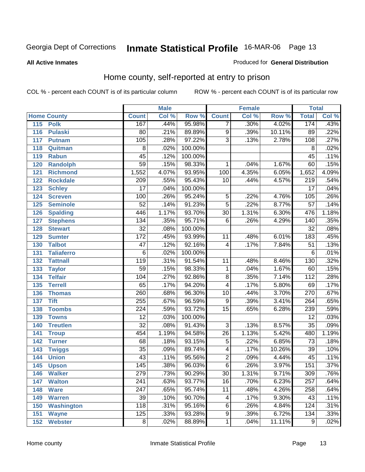#### **All Active Inmates**

#### Produced for **General Distribution**

### Home county, self-reported at entry to prison

|     |                    |                  | <b>Male</b> |         |                         | <b>Female</b>             |        | <b>Total</b>     |       |
|-----|--------------------|------------------|-------------|---------|-------------------------|---------------------------|--------|------------------|-------|
|     | <b>Home County</b> | <b>Count</b>     | Col %       | Row %   | <b>Count</b>            | $\overline{\text{Col 9}}$ | Row %  | <b>Total</b>     | Col % |
| 115 | <b>Polk</b>        | 167              | .44%        | 95.98%  | 7                       | .30%                      | 4.02%  | 174              | .43%  |
| 116 | <b>Pulaski</b>     | 80               | .21%        | 89.89%  | $\overline{9}$          | .39%                      | 10.11% | 89               | .22%  |
| 117 | <b>Putnam</b>      | 105              | .28%        | 97.22%  | $\overline{3}$          | .13%                      | 2.78%  | 108              | .27%  |
| 118 | Quitman            | $\overline{8}$   | .02%        | 100.00% |                         |                           |        | $\overline{8}$   | .02%  |
| 119 | <b>Rabun</b>       | $\overline{45}$  | .12%        | 100.00% |                         |                           |        | 45               | .11%  |
| 120 | <b>Randolph</b>    | $\overline{59}$  | .15%        | 98.33%  | 1                       | .04%                      | 1.67%  | 60               | .15%  |
| 121 | <b>Richmond</b>    | 1,552            | 4.07%       | 93.95%  | 100                     | 4.35%                     | 6.05%  | 1,652            | 4.09% |
| 122 | <b>Rockdale</b>    | $\overline{209}$ | .55%        | 95.43%  | $\overline{10}$         | .44%                      | 4.57%  | $\overline{219}$ | .54%  |
| 123 | <b>Schley</b>      | $\overline{17}$  | .04%        | 100.00% |                         |                           |        | $\overline{17}$  | .04%  |
| 124 | <b>Screven</b>     | 100              | .26%        | 95.24%  | $\overline{5}$          | .22%                      | 4.76%  | 105              | .26%  |
| 125 | <b>Seminole</b>    | $\overline{52}$  | .14%        | 91.23%  | $\overline{5}$          | .22%                      | 8.77%  | $\overline{57}$  | .14%  |
| 126 | <b>Spalding</b>    | 446              | 1.17%       | 93.70%  | $\overline{30}$         | 1.31%                     | 6.30%  | 476              | 1.18% |
| 127 | <b>Stephens</b>    | 134              | .35%        | 95.71%  | $\overline{6}$          | .26%                      | 4.29%  | 140              | .35%  |
| 128 | <b>Stewart</b>     | $\overline{32}$  | .08%        | 100.00% |                         |                           |        | $\overline{32}$  | .08%  |
| 129 | <b>Sumter</b>      | 172              | .45%        | 93.99%  | 11                      | .48%                      | 6.01%  | 183              | .45%  |
| 130 | <b>Talbot</b>      | $\overline{47}$  | .12%        | 92.16%  | $\overline{4}$          | .17%                      | 7.84%  | $\overline{51}$  | .13%  |
| 131 | <b>Taliaferro</b>  | 6                | .02%        | 100.00% |                         |                           |        | $\overline{6}$   | .01%  |
| 132 | <b>Tattnall</b>    | 119              | .31%        | 91.54%  | $\overline{11}$         | .48%                      | 8.46%  | 130              | .32%  |
| 133 | <b>Taylor</b>      | 59               | .15%        | 98.33%  | 1                       | .04%                      | 1.67%  | 60               | .15%  |
| 134 | <b>Telfair</b>     | 104              | .27%        | 92.86%  | $\overline{8}$          | .35%                      | 7.14%  | $\overline{112}$ | .28%  |
| 135 | <b>Terrell</b>     | 65               | .17%        | 94.20%  | $\overline{\mathbf{4}}$ | .17%                      | 5.80%  | 69               | .17%  |
| 136 | <b>Thomas</b>      | 260              | .68%        | 96.30%  | 10                      | .44%                      | 3.70%  | 270              | .67%  |
| 137 | <b>Tift</b>        | 255              | .67%        | 96.59%  | 9                       | .39%                      | 3.41%  | 264              | .65%  |
| 138 | <b>Toombs</b>      | $\overline{224}$ | .59%        | 93.72%  | $\overline{15}$         | .65%                      | 6.28%  | 239              | .59%  |
| 139 | <b>Towns</b>       | $\overline{12}$  | .03%        | 100.00% |                         |                           |        | $\overline{12}$  | .03%  |
| 140 | <b>Treutlen</b>    | $\overline{32}$  | .08%        | 91.43%  | $\overline{3}$          | .13%                      | 8.57%  | $\overline{35}$  | .09%  |
| 141 | <b>Troup</b>       | 454              | 1.19%       | 94.58%  | $\overline{26}$         | 1.13%                     | 5.42%  | 480              | 1.19% |
| 142 | <b>Turner</b>      | 68               | .18%        | 93.15%  | $\overline{5}$          | .22%                      | 6.85%  | $\overline{73}$  | .18%  |
| 143 | <b>Twiggs</b>      | $\overline{35}$  | .09%        | 89.74%  | 4                       | .17%                      | 10.26% | $\overline{39}$  | .10%  |
| 144 | <b>Union</b>       | 43               | .11%        | 95.56%  | $\overline{2}$          | .09%                      | 4.44%  | $\overline{45}$  | .11%  |
| 145 | <b>Upson</b>       | 145              | .38%        | 96.03%  | $\overline{6}$          | .26%                      | 3.97%  | 151              | .37%  |
| 146 | <b>Walker</b>      | 279              | .73%        | 90.29%  | $\overline{30}$         | 1.31%                     | 9.71%  | 309              | .76%  |
| 147 | <b>Walton</b>      | $\overline{241}$ | .63%        | 93.77%  | $\overline{16}$         | .70%                      | 6.23%  | $\overline{257}$ | .64%  |
| 148 | <b>Ware</b>        | $\overline{247}$ | .65%        | 95.74%  | 11                      | .48%                      | 4.26%  | 258              | .64%  |
| 149 | <b>Warren</b>      | $\overline{39}$  | .10%        | 90.70%  | 4                       | .17%                      | 9.30%  | 43               | .11%  |
| 150 | <b>Washington</b>  | 118              | .31%        | 95.16%  | 6                       | .26%                      | 4.84%  | 124              | .31%  |
| 151 | <b>Wayne</b>       | 125              | .33%        | 93.28%  | $\overline{9}$          | .39%                      | 6.72%  | 134              | .33%  |
| 152 | <b>Webster</b>     | 8                | .02%        | 88.89%  | $\mathbf{1}$            | .04%                      | 11.11% | 9                | .02%  |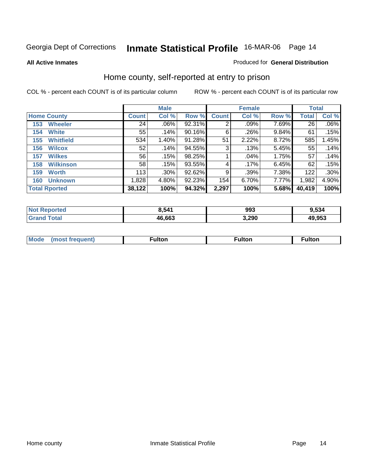#### **All Active Inmates**

#### Produced for **General Distribution**

### Home county, self-reported at entry to prison

|     |                      |              | <b>Male</b> |        |              | <b>Female</b> |       | <b>Total</b> |         |
|-----|----------------------|--------------|-------------|--------|--------------|---------------|-------|--------------|---------|
|     | <b>Home County</b>   | <b>Count</b> | Col %       | Row %  | <b>Count</b> | Col %         | Row % | <b>Total</b> | Col %   |
| 153 | <b>Wheeler</b>       | 24           | .06%        | 92.31% | 2            | .09%          | 7.69% | 26           | $.06\%$ |
| 154 | <b>White</b>         | 55           | .14%        | 90.16% | 6            | .26%          | 9.84% | 61           | .15%    |
| 155 | <b>Whitfield</b>     | 534          | 1.40%       | 91.28% | 51           | 2.22%         | 8.72% | 585          | 1.45%   |
| 156 | <b>Wilcox</b>        | 52           | .14%        | 94.55% | 3            | .13%          | 5.45% | 55           | .14%    |
| 157 | <b>Wilkes</b>        | 56           | .15%        | 98.25% |              | .04%          | 1.75% | 57           | .14%    |
| 158 | <b>Wilkinson</b>     | 58           | .15%        | 93.55% | 4            | .17%          | 6.45% | 62           | .15%    |
| 159 | <b>Worth</b>         | 113          | .30%        | 92.62% | 9            | .39%          | 7.38% | 122          | .30%    |
| 160 | <b>Unknown</b>       | 1,828        | 4.80%       | 92.23% | 154          | 6.70%         | 7.77% | 1,982        | 4.90%   |
|     | <b>Total Rported</b> | 38,122       | 100%        | 94.32% | 2,297        | 100%          | 5.68% | 40,419       | 100%    |

| orted<br>NO.  | 3.541  | 993   | 9,534  |
|---------------|--------|-------|--------|
| īota.<br>. Gr | 46,663 | 3,290 | 49.953 |

| <b>Mode</b> | ultor | <sup>:</sup> ulton<br> | . |
|-------------|-------|------------------------|---|
|             |       |                        |   |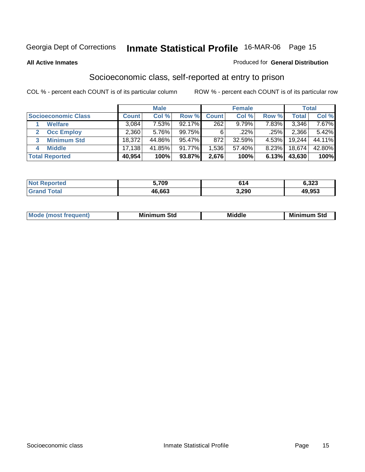#### **All Active Inmates**

#### Produced for **General Distribution**

### Socioeconomic class, self-reported at entry to prison

|                            |              | <b>Male</b> |           |                  | <b>Female</b> |       |        | <b>Total</b> |
|----------------------------|--------------|-------------|-----------|------------------|---------------|-------|--------|--------------|
| <b>Socioeconomic Class</b> | <b>Count</b> | Col %       | Row %     | <b>Count</b>     | Col %         | Row % | Total  | Col %        |
| <b>Welfare</b>             | 3,084        | 7.53%       | 92.17%    | $\overline{262}$ | 9.79%         | 7.83% | 3,346  | 7.67%        |
| <b>Occ Employ</b><br>2     | 2,360        | 5.76%       | 99.75%    | 6                | $.22\%$       | .25%  | 2,366  | 5.42%        |
| <b>Minimum Std</b><br>3    | 18,372       | 44.86%      | 95.47%    | 872              | 32.59%        | 4.53% | 19,244 | 44.11%       |
| <b>Middle</b><br>4         | 17,138       | 41.85%      | $91.77\%$ | .536             | 57.40%        | 8.23% | 18,674 | 42.80%       |
| <b>Total Reported</b>      | 40,954       | 100%        | 93.87%    | 2,676            | 100%          | 6.13% | 43,630 | 100%         |

| <b>rteo</b><br>NOT. | 709ء   | 614   | 6,323  |
|---------------------|--------|-------|--------|
|                     | 46.663 | 3,290 | 49,953 |

|  | $-$<br>IM 6 | Std<br>M. | . | Mil<br>84J<br>ວເບ<br>$   -$ |
|--|-------------|-----------|---|-----------------------------|
|--|-------------|-----------|---|-----------------------------|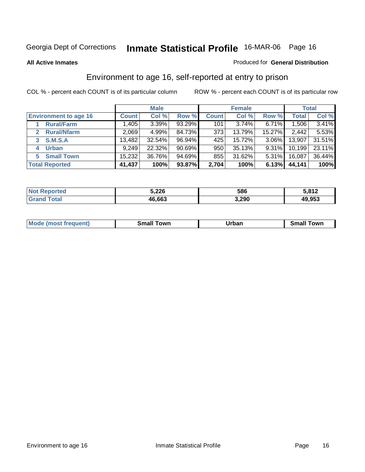#### **All Active Inmates**

#### Produced for **General Distribution**

### Environment to age 16, self-reported at entry to prison

|                              |              | <b>Male</b> |           |              | <b>Female</b> |        |        | <b>Total</b> |
|------------------------------|--------------|-------------|-----------|--------------|---------------|--------|--------|--------------|
| <b>Environment to age 16</b> | <b>Count</b> | Col %       | Row %     | <b>Count</b> | Col %         | Row %  | Total  | Col %        |
| <b>Rural/Farm</b>            | 1,405        | 3.39%       | 93.29%    | 101          | $3.74\%$      | 6.71%  | 1,506  | 3.41%        |
| <b>Rural/Nfarm</b><br>2      | 2,069        | 4.99%       | 84.73%    | 373          | 13.79%        | 15.27% | 2,442  | 5.53%        |
| <b>S.M.S.A</b><br>3          | 13,482       | 32.54%      | 96.94%    | 425          | 15.72%        | 3.06%  | 13,907 | $31.51\%$    |
| <b>Urban</b><br>4            | 9,249        | 22.32%      | $90.69\%$ | 950          | 35.13%        | 9.31%  | 10,199 | 23.11%       |
| <b>Small Town</b><br>5       | 15,232       | 36.76%      | 94.69%    | 855          | 31.62%        | 5.31%  | 16,087 | 36.44%       |
| <b>Total Reported</b>        | 41,437       | 100%        | 93.87%    | 2,704        | 100%          | 6.13%  | 44,141 | 100%         |

| <b>Not Reported</b>     | 5,226  | 586   | 5,812  |
|-------------------------|--------|-------|--------|
| <b>Total</b><br>Grand 1 | 46,663 | 3,290 | 49,953 |

| Mo<br>ant.<br>anev | owr<br>---- | Irhan<br>'ı val<br>_____ | .owr |
|--------------------|-------------|--------------------------|------|
|                    |             |                          |      |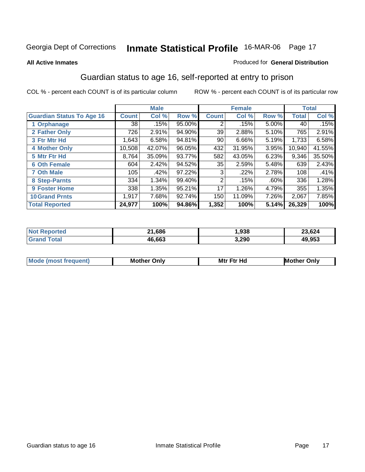#### **All Active Inmates**

#### Produced for **General Distribution**

### Guardian status to age 16, self-reported at entry to prison

|                                  |              | <b>Male</b> |        |                 | <b>Female</b> |       |              | <b>Total</b> |
|----------------------------------|--------------|-------------|--------|-----------------|---------------|-------|--------------|--------------|
| <b>Guardian Status To Age 16</b> | <b>Count</b> | Col %       | Row %  | <b>Count</b>    | Col %         | Row % | <b>Total</b> | Col %        |
| 1 Orphanage                      | 38           | .15%        | 95.00% | 2               | .15%          | 5.00% | 40           | .15%         |
| 2 Father Only                    | 726          | 2.91%       | 94.90% | 39              | 2.88%         | 5.10% | 765          | 2.91%        |
| 3 Ftr Mtr Hd                     | 1,643        | 6.58%       | 94.81% | 90 <sub>1</sub> | 6.66%         | 5.19% | 1,733        | 6.58%        |
| <b>4 Mother Only</b>             | 10,508       | 42.07%      | 96.05% | 432             | 31.95%        | 3.95% | 10,940       | 41.55%       |
| 5 Mtr Ftr Hd                     | 8,764        | 35.09%      | 93.77% | 582             | 43.05%        | 6.23% | 9,346        | 35.50%       |
| <b>6 Oth Female</b>              | 604          | 2.42%       | 94.52% | 35              | 2.59%         | 5.48% | 639          | 2.43%        |
| <b>7 Oth Male</b>                | 105          | .42%        | 97.22% | 3               | $.22\%$       | 2.78% | 108          | .41%         |
| 8 Step-Parnts                    | 334          | 1.34%       | 99.40% | 2               | .15%          | .60%  | 336          | 1.28%        |
| <b>9 Foster Home</b>             | 338          | 1.35%       | 95.21% | 17              | 1.26%         | 4.79% | 355          | 1.35%        |
| <b>10 Grand Prnts</b>            | 1,917        | 7.68%       | 92.74% | 150             | 11.09%        | 7.26% | 2,067        | 7.85%        |
| <b>Total Reported</b>            | 24,977       | 100%        | 94.86% | 1,352           | 100%          | 5.14% | 26,329       | 100%         |

| <b>Not Reported</b> | 21,686 | 938, ا | 23,624 |
|---------------------|--------|--------|--------|
| <b>Total</b>        | 46,663 | 3,290  | 49,953 |

| Mode             | Mother | Mtr Ftr Hd                                                                                                      | Only   |
|------------------|--------|-----------------------------------------------------------------------------------------------------------------|--------|
| most frequent) د | Only   | the contract of the contract of the contract of the contract of the contract of the contract of the contract of | Mother |
|                  |        |                                                                                                                 |        |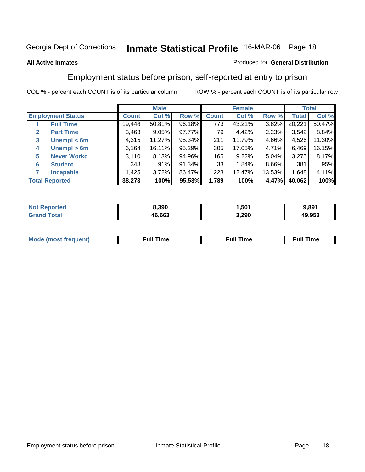#### **All Active Inmates**

#### Produced for **General Distribution**

### Employment status before prison, self-reported at entry to prison

|                                  |              | <b>Male</b> |        |                  | <b>Female</b> |        |        | <b>Total</b> |
|----------------------------------|--------------|-------------|--------|------------------|---------------|--------|--------|--------------|
| <b>Employment Status</b>         | <b>Count</b> | Col %       | Row %  | <b>Count</b>     | Col %         | Row %  | Total  | Col %        |
| <b>Full Time</b>                 | 19,448       | 50.81%      | 96.18% | $\overline{773}$ | 43.21%        | 3.82%  | 20,221 | 50.47%       |
| <b>Part Time</b><br>$\mathbf{2}$ | 3,463        | 9.05%       | 97.77% | 79               | 4.42%         | 2.23%  | 3,542  | 8.84%        |
| Unempl $<$ 6m<br>3               | 4,315        | 11.27%      | 95.34% | 211              | 11.79%        | 4.66%  | 4,526  | 11.30%       |
| Unempl > 6m<br>4                 | 6,164        | 16.11%      | 95.29% | 305              | 17.05%        | 4.71%  | 6,469  | 16.15%       |
| <b>Never Workd</b><br>5          | 3,110        | 8.13%       | 94.96% | 165              | 9.22%         | 5.04%  | 3,275  | 8.17%        |
| <b>Student</b><br>6              | 348          | .91%        | 91.34% | 33               | 1.84%         | 8.66%  | 381    | .95%         |
| <b>Incapable</b>                 | 1,425        | 3.72%       | 86.47% | 223              | 12.47%        | 13.53% | 1,648  | 4.11%        |
| <b>Total Reported</b>            | 38,273       | 100%        | 95.53% | 1,789            | 100%          | 4.47%  | 40,062 | 100%         |

| TAC.<br>Nt | 8.390        | 501. ا | 3.89'  |
|------------|--------------|--------|--------|
|            | 16.663<br>Дh | 3,290  | 49,953 |

| Mο | 'un<br>.me<br>the contract of the contract of the contract of the contract of the contract of the contract of the contract of | the contract of the contract of the contract of the contract of the contract of the contract of the contract of | <b>Full Time</b> |
|----|-------------------------------------------------------------------------------------------------------------------------------|-----------------------------------------------------------------------------------------------------------------|------------------|
|    |                                                                                                                               |                                                                                                                 |                  |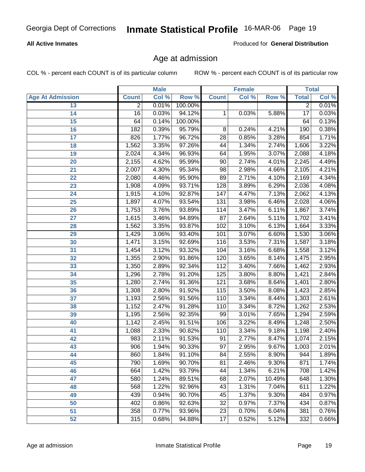#### **All Active Inmates**

Produced for **General Distribution**

### Age at admission

|                         | <b>Male</b>    |       | <b>Female</b> |                   |       | <b>Total</b> |                  |       |
|-------------------------|----------------|-------|---------------|-------------------|-------|--------------|------------------|-------|
| <b>Age At Admission</b> | <b>Count</b>   | Col % | Row %         | <b>Count</b>      | Col % | Row %        | <b>Total</b>     | Col % |
| 13                      | $\overline{2}$ | 0.01% | 100.00%       |                   |       |              | $\overline{2}$   | 0.01% |
| 14                      | 16             | 0.03% | 94.12%        | $\mathbf{1}$      | 0.03% | 5.88%        | $\overline{17}$  | 0.03% |
| 15                      | 64             | 0.14% | 100.00%       |                   |       |              | 64               | 0.13% |
| 16                      | 182            | 0.39% | 95.79%        | $\overline{8}$    | 0.24% | 4.21%        | 190              | 0.38% |
| 17                      | 826            | 1.77% | 96.72%        | $\overline{28}$   | 0.85% | 3.28%        | 854              | 1.71% |
| 18                      | 1,562          | 3.35% | 97.26%        | 44                | 1.34% | 2.74%        | 1,606            | 3.22% |
| 19                      | 2,024          | 4.34% | 96.93%        | 64                | 1.95% | 3.07%        | 2,088            | 4.18% |
| 20                      | 2,155          | 4.62% | 95.99%        | 90                | 2.74% | 4.01%        | 2,245            | 4.49% |
| 21                      | 2,007          | 4.30% | 95.34%        | 98                | 2.98% | 4.66%        | 2,105            | 4.21% |
| 22                      | 2,080          | 4.46% | 95.90%        | 89                | 2.71% | 4.10%        | 2,169            | 4.34% |
| 23                      | 1,908          | 4.09% | 93.71%        | 128               | 3.89% | 6.29%        | 2,036            | 4.08% |
| $\overline{24}$         | 1,915          | 4.10% | 92.87%        | 147               | 4.47% | 7.13%        | 2,062            | 4.13% |
| $\overline{25}$         | 1,897          | 4.07% | 93.54%        | 131               | 3.98% | 6.46%        | 2,028            | 4.06% |
| 26                      | 1,753          | 3.76% | 93.89%        | $\frac{114}{114}$ | 3.47% | 6.11%        | 1,867            | 3.74% |
| 27                      | 1,615          | 3.46% | 94.89%        | 87                | 2.64% | 5.11%        | 1,702            | 3.41% |
| 28                      | 1,562          | 3.35% | 93.87%        | 102               | 3.10% | 6.13%        | 1,664            | 3.33% |
| 29                      | 1,429          | 3.06% | 93.40%        | 101               | 3.07% | 6.60%        | 1,530            | 3.06% |
| 30                      | 1,471          | 3.15% | 92.69%        | 116               | 3.53% | 7.31%        | 1,587            | 3.18% |
| 31                      | 1,454          | 3.12% | 93.32%        | 104               | 3.16% | 6.68%        | 1,558            | 3.12% |
| 32                      | 1,355          | 2.90% | 91.86%        | 120               | 3.65% | 8.14%        | 1,475            | 2.95% |
| 33                      | 1,350          | 2.89% | 92.34%        | 112               | 3.40% | 7.66%        | 1,462            | 2.93% |
| 34                      | 1,296          | 2.78% | 91.20%        | 125               | 3.80% | 8.80%        | 1,421            | 2.84% |
| 35                      | 1,280          | 2.74% | 91.36%        | 121               | 3.68% | 8.64%        | 1,401            | 2.80% |
| 36                      | 1,308          | 2.80% | 91.92%        | 115               | 3.50% | 8.08%        | 1,423            | 2.85% |
| 37                      | 1,193          | 2.56% | 91.56%        | 110               | 3.34% | 8.44%        | 1,303            | 2.61% |
| 38                      | 1,152          | 2.47% | 91.28%        | 110               | 3.34% | 8.72%        | 1,262            | 2.53% |
| 39                      | 1,195          | 2.56% | 92.35%        | 99                | 3.01% | 7.65%        | 1,294            | 2.59% |
| 40                      | 1,142          | 2.45% | 91.51%        | 106               | 3.22% | 8.49%        | 1,248            | 2.50% |
| 41                      | 1,088          | 2.33% | 90.82%        | 110               | 3.34% | 9.18%        | 1,198            | 2.40% |
| 42                      | 983            | 2.11% | 91.53%        | 91                | 2.77% | 8.47%        | 1,074            | 2.15% |
| 43                      | 906            | 1.94% | 90.33%        | $\overline{97}$   | 2.95% | 9.67%        | 1,003            | 2.01% |
| 44                      | 860            | 1.84% | 91.10%        | 84                | 2.55% | 8.90%        | 944              | 1.89% |
| 45                      | 790            | 1.69% | 90.70%        | 81                | 2.46% | 9.30%        | 871              | 1.74% |
| 46                      | 664            | 1.42% | 93.79%        | 44                | 1.34% | 6.21%        | 708              | 1.42% |
| 47                      | 580            | 1.24% | 89.51%        | 68                | 2.07% | 10.49%       | 648              | 1.30% |
| 48                      | 568            | 1.22% | 92.96%        | 43                | 1.31% | 7.04%        | 611              | 1.22% |
| 49                      | 439            | 0.94% | 90.70%        | 45                | 1.37% | 9.30%        | 484              | 0.97% |
| 50                      | 402            | 0.86% | 92.63%        | $\overline{32}$   | 0.97% | 7.37%        | 434              | 0.87% |
| 51                      | 358            | 0.77% | 93.96%        | 23                | 0.70% | 6.04%        | 381              | 0.76% |
| 52                      | 315            | 0.68% | 94.88%        | 17                | 0.52% | 5.12%        | $\overline{332}$ | 0.66% |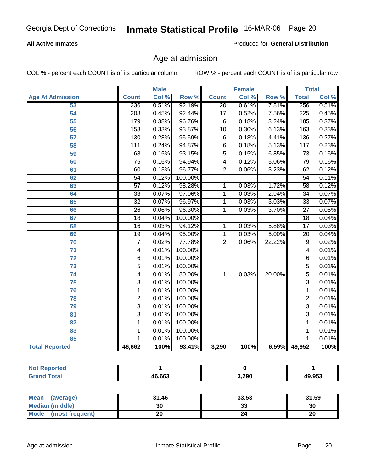#### **All Active Inmates**

Produced for **General Distribution**

### Age at admission

|                         | <b>Male</b>      |       | <b>Female</b> |                 |       | <b>Total</b> |                 |       |
|-------------------------|------------------|-------|---------------|-----------------|-------|--------------|-----------------|-------|
| <b>Age At Admission</b> | <b>Count</b>     | Col % | Row %         | <b>Count</b>    | Col % | Row %        | <b>Total</b>    | Col % |
| 53                      | 236              | 0.51% | 92.19%        | $\overline{20}$ | 0.61% | 7.81%        | 256             | 0.51% |
| 54                      | $\overline{208}$ | 0.45% | 92.44%        | $\overline{17}$ | 0.52% | 7.56%        | 225             | 0.45% |
| 55                      | 179              | 0.38% | 96.76%        | 6               | 0.18% | 3.24%        | 185             | 0.37% |
| 56                      | 153              | 0.33% | 93.87%        | $\overline{10}$ | 0.30% | 6.13%        | 163             | 0.33% |
| $\overline{57}$         | 130              | 0.28% | 95.59%        | $\overline{6}$  | 0.18% | 4.41%        | 136             | 0.27% |
| 58                      | 111              | 0.24% | 94.87%        | $\overline{6}$  | 0.18% | 5.13%        | 117             | 0.23% |
| 59                      | 68               | 0.15% | 93.15%        | $\overline{5}$  | 0.15% | 6.85%        | 73              | 0.15% |
| 60                      | $\overline{75}$  | 0.16% | 94.94%        | 4               | 0.12% | 5.06%        | 79              | 0.16% |
| 61                      | 60               | 0.13% | 96.77%        | $\overline{2}$  | 0.06% | 3.23%        | 62              | 0.12% |
| 62                      | $\overline{54}$  | 0.12% | 100.00%       |                 |       |              | $\overline{54}$ | 0.11% |
| 63                      | $\overline{57}$  | 0.12% | 98.28%        | 1               | 0.03% | 1.72%        | $\overline{58}$ | 0.12% |
| 64                      | $\overline{33}$  | 0.07% | 97.06%        | 1               | 0.03% | 2.94%        | $\overline{34}$ | 0.07% |
| 65                      | $\overline{32}$  | 0.07% | 96.97%        | 1               | 0.03% | 3.03%        | $\overline{33}$ | 0.07% |
| 66                      | $\overline{26}$  | 0.06% | 96.30%        | 1               | 0.03% | 3.70%        | $\overline{27}$ | 0.05% |
| 67                      | 18               | 0.04% | 100.00%       |                 |       |              | 18              | 0.04% |
| 68                      | 16               | 0.03% | 94.12%        | 1               | 0.03% | 5.88%        | $\overline{17}$ | 0.03% |
| 69                      | 19               | 0.04% | 95.00%        | 1               | 0.03% | 5.00%        | 20              | 0.04% |
| 70                      | $\overline{7}$   | 0.02% | 77.78%        | $\overline{2}$  | 0.06% | 22.22%       | $\overline{9}$  | 0.02% |
| 71                      | 4                | 0.01% | 100.00%       |                 |       |              | 4               | 0.01% |
| $\overline{72}$         | $\overline{6}$   | 0.01% | 100.00%       |                 |       |              | 6               | 0.01% |
| $\overline{73}$         | $\overline{5}$   | 0.01% | 100.00%       |                 |       |              | $\overline{5}$  | 0.01% |
| 74                      | 4                | 0.01% | 80.00%        | 1               | 0.03% | 20.00%       | $\overline{5}$  | 0.01% |
| 75                      | $\overline{3}$   | 0.01% | 100.00%       |                 |       |              | 3               | 0.01% |
| 76                      | 1                | 0.01% | 100.00%       |                 |       |              | 1               | 0.01% |
| 78                      | $\overline{2}$   | 0.01% | 100.00%       |                 |       |              | $\overline{2}$  | 0.01% |
| 79                      | $\overline{3}$   | 0.01% | 100.00%       |                 |       |              | $\overline{3}$  | 0.01% |
| 81                      | $\overline{3}$   | 0.01% | 100.00%       |                 |       |              | $\overline{3}$  | 0.01% |
| $\overline{82}$         | $\mathbf{1}$     | 0.01% | 100.00%       |                 |       |              | 1               | 0.01% |
| 83                      | 1                | 0.01% | 100.00%       |                 |       |              | 1               | 0.01% |
| 85                      | 1                | 0.01% | 100.00%       |                 |       |              | 1               | 0.01% |
| <b>Total Reported</b>   | 46,662           | 100%  | 93.41%        | 3,290           | 100%  |              | 6.59% 49,952    | 100%  |

| <b>Not Reported</b> |        |       |        |
|---------------------|--------|-------|--------|
| Total<br><b>Gra</b> | 46,663 | 3,290 | 49,953 |

| Mean<br>(average)       | 31.46 | 33.53   | 31.59 |
|-------------------------|-------|---------|-------|
| <b>Median (middle)</b>  | 30    | ົ<br>აა | 30    |
| Mode<br>(most frequent) |       |         | 20    |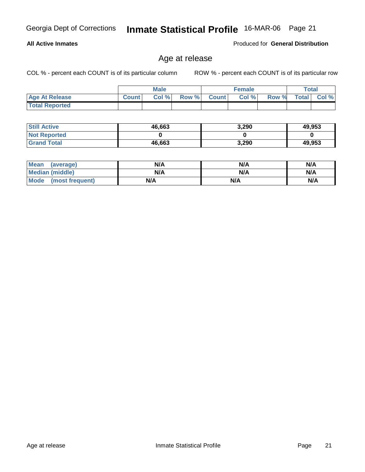**Total Reported**

**All Active Inmates**

| <b>Still Active</b> | 46,663 | 49,953 |        |
|---------------------|--------|--------|--------|
| <b>Not Reported</b> |        |        |        |
| <b>Grand Total</b>  | 46,663 | 3,290  | 49,953 |

 **Age At Release Count Col % Row % Count Col % Row % Total Col %** 

Age at release

| <b>Mean</b><br>(average)       | N/A | N/A | N/A |
|--------------------------------|-----|-----|-----|
| <b>Median (middle)</b>         | N/A | N/A | N/A |
| <b>Mode</b><br>(most frequent) | N/A | N/A | N/A |

**Male**

COL % - percent each COUNT is of its particular column ROW % - percent each COUNT is of its particular row

**Female Total**

Produced for **General Distribution**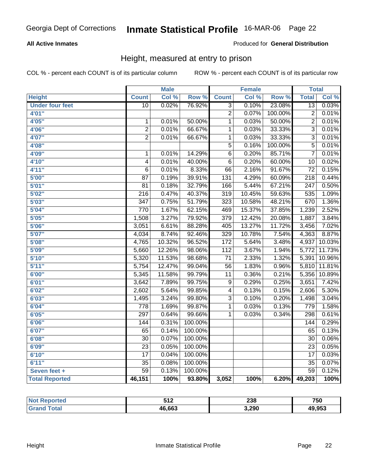#### **All Active Inmates**

#### Produced for **General Distribution**

### Height, measured at entry to prison

|                        |                  | <b>Male</b> |                  |                  | <b>Female</b>      |         | <b>Total</b>     |        |
|------------------------|------------------|-------------|------------------|------------------|--------------------|---------|------------------|--------|
| <b>Height</b>          | <b>Count</b>     | Col %       | Row <sup>%</sup> | <b>Count</b>     | Col %              | Row %   | <b>Total</b>     | Col %  |
| <b>Under four feet</b> | $\overline{10}$  | 0.02%       | 76.92%           | 3                | 0.10%              | 23.08%  | $\overline{13}$  | 0.03%  |
| 4'01''                 |                  |             |                  | $\overline{2}$   | 0.07%              | 100.00% | $\overline{2}$   | 0.01%  |
| 4'05"                  | $\overline{1}$   | 0.01%       | 50.00%           | $\overline{1}$   | 0.03%              | 50.00%  | $\overline{2}$   | 0.01%  |
| 4'06"                  | $\overline{2}$   | 0.01%       | 66.67%           | $\overline{1}$   | 0.03%              | 33.33%  | $\overline{3}$   | 0.01%  |
| 4'07"                  | $\overline{2}$   | 0.01%       | 66.67%           | $\overline{1}$   | 0.03%              | 33.33%  | $\overline{3}$   | 0.01%  |
| 4'08"                  |                  |             |                  | $\overline{5}$   | 0.16%              | 100.00% | $\overline{5}$   | 0.01%  |
| 4'09"                  | $\mathbf 1$      | 0.01%       | 14.29%           | $\overline{6}$   | 0.20%              | 85.71%  | $\overline{7}$   | 0.01%  |
| 4'10''                 | 4                | 0.01%       | 40.00%           | 6                | 0.20%              | 60.00%  | 10               | 0.02%  |
| 4'11''                 | $\overline{6}$   | 0.01%       | 8.33%            | $\overline{66}$  | 2.16%              | 91.67%  | $\overline{72}$  | 0.15%  |
| 5'00''                 | $\overline{87}$  | 0.19%       | 39.91%           | 131              | 4.29%              | 60.09%  | $\overline{218}$ | 0.44%  |
| 5'01''                 | $\overline{81}$  | 0.18%       | 32.79%           | 166              | 5.44%              | 67.21%  | $\overline{247}$ | 0.50%  |
| 5'02''                 | $\overline{216}$ | 0.47%       | 40.37%           | $\overline{319}$ | 10.45%             | 59.63%  | 535              | 1.09%  |
| 5'03''                 | $\overline{347}$ | 0.75%       | 51.79%           | $\overline{323}$ | 10.58%             | 48.21%  | 670              | 1.36%  |
| 5'04"                  | 770              | 1.67%       | 62.15%           | 469              | 15.37%             | 37.85%  | 1,239            | 2.52%  |
| 5'05''                 | 1,508            | 3.27%       | 79.92%           | 379              | 12.42%             | 20.08%  | 1,887            | 3.84%  |
| 5'06"                  | 3,051            | 6.61%       | 88.28%           | 405              | 13.27%             | 11.72%  | 3,456            | 7.02%  |
| 5'07''                 | 4,034            | 8.74%       | 92.46%           | 329              | 10.78%             | 7.54%   | 4,363            | 8.87%  |
| 5'08''                 | 4,765            | 10.32%      | 96.52%           | 172              | $\frac{1}{5.64\%}$ | 3.48%   | 4,937            | 10.03% |
| 5'09''                 | 5,660            | 12.26%      | 98.06%           | $\overline{112}$ | 3.67%              | 1.94%   | 5,772            | 11.73% |
| 5'10''                 | 5,320            | 11.53%      | 98.68%           | $\overline{71}$  | 2.33%              | 1.32%   | 5,391            | 10.96% |
| 5'11''                 | 5,754            | 12.47%      | 99.04%           | $\overline{56}$  | 1.83%              | 0.96%   | 5,810            | 11.81% |
| 6'00''                 | 5,345            | 11.58%      | 99.79%           | $\overline{11}$  | 0.36%              | 0.21%   | 5,356            | 10.89% |
| 6'01''                 | 3,642            | 7.89%       | 99.75%           | 9                | 0.29%              | 0.25%   | 3,651            | 7.42%  |
| 6'02''                 | 2,602            | 5.64%       | 99.85%           | 4                | 0.13%              | 0.15%   | 2,606            | 5.30%  |
| 6'03''                 | 1,495            | 3.24%       | 99.80%           | $\overline{3}$   | 0.10%              | 0.20%   | 1,498            | 3.04%  |
| 6'04''                 | 778              | 1.69%       | 99.87%           | 1                | 0.03%              | 0.13%   | 779              | 1.58%  |
| 6'05''                 | 297              | 0.64%       | 99.66%           | 1                | 0.03%              | 0.34%   | 298              | 0.61%  |
| 6'06''                 | 144              | 0.31%       | 100.00%          |                  |                    |         | $\overline{144}$ | 0.29%  |
| 6'07''                 | 65               | 0.14%       | 100.00%          |                  |                    |         | 65               | 0.13%  |
| 6'08''                 | $\overline{30}$  | 0.07%       | 100.00%          |                  |                    |         | $\overline{30}$  | 0.06%  |
| 6'09''                 | $\overline{23}$  | 0.05%       | 100.00%          |                  |                    |         | $\overline{23}$  | 0.05%  |
| 6'10''                 | $\overline{17}$  | 0.04%       | 100.00%          |                  |                    |         | $\overline{17}$  | 0.03%  |
| 6'11''                 | $\overline{35}$  | 0.08%       | 100.00%          |                  |                    |         | $\overline{35}$  | 0.07%  |
| Seven feet +           | $\overline{59}$  | 0.13%       | 100.00%          |                  |                    |         | $\overline{59}$  | 0.12%  |
| <b>Total Reported</b>  | 46,151           | 100%        | 93.80%           | 3,052            | 100%               | 6.20%   | 49,203           | 100%   |

|        | 54 M<br>JIL | 238   | 750    |
|--------|-------------|-------|--------|
| $\sim$ | 46.663      | 3,290 | 49.953 |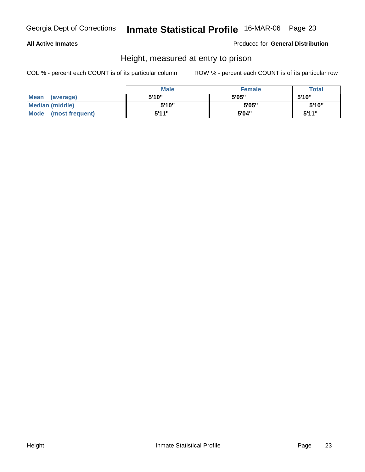#### **All Active Inmates**

Produced for **General Distribution**

### Height, measured at entry to prison

|                      | <b>Male</b> | <b>Female</b> | <b>Total</b> |
|----------------------|-------------|---------------|--------------|
| Mean (average)       | 5'10"       | 5'05"         | 5'10"        |
| Median (middle)      | 5'10"       | 5'05"         | 5'10''       |
| Mode (most frequent) | 5'11"       | 5'04"         | 5'11"        |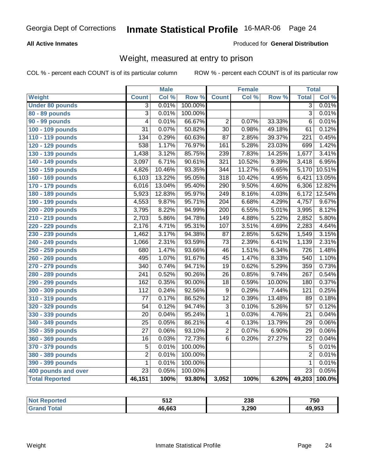#### **All Active Inmates**

#### Produced for **General Distribution**

### Weight, measured at entry to prison

|                        |                  | <b>Male</b> |         |                  | Female |        | <b>Total</b>     |        |
|------------------------|------------------|-------------|---------|------------------|--------|--------|------------------|--------|
| Weight                 | <b>Count</b>     | Col %       | Row %   | <b>Count</b>     | Col %  | Row %  | <b>Total</b>     | Col %  |
| <b>Under 80 pounds</b> | $\overline{3}$   | 0.01%       | 100.00% |                  |        |        | $\overline{3}$   | 0.01%  |
| 80 - 89 pounds         | $\overline{3}$   | 0.01%       | 100.00% |                  |        |        | $\overline{3}$   | 0.01%  |
| 90 - 99 pounds         | $\overline{4}$   | 0.01%       | 66.67%  | $\overline{2}$   | 0.07%  | 33.33% | $\overline{6}$   | 0.01%  |
| 100 - 109 pounds       | $\overline{31}$  | 0.07%       | 50.82%  | $\overline{30}$  | 0.98%  | 49.18% | 61               | 0.12%  |
| 110 - 119 pounds       | 134              | 0.29%       | 60.63%  | $\overline{87}$  | 2.85%  | 39.37% | $\overline{221}$ | 0.45%  |
| 120 - 129 pounds       | 538              | 1.17%       | 76.97%  | 161              | 5.28%  | 23.03% | 699              | 1.42%  |
| 130 - 139 pounds       | 1,438            | 3.12%       | 85.75%  | 239              | 7.83%  | 14.25% | 1,677            | 3.41%  |
| 140 - 149 pounds       | 3,097            | 6.71%       | 90.61%  | 321              | 10.52% | 9.39%  | 3,418            | 6.95%  |
| 150 - 159 pounds       | 4,826            | 10.46%      | 93.35%  | 344              | 11.27% | 6.65%  | 5,170            | 10.51% |
| 160 - 169 pounds       | 6,103            | 13.22%      | 95.05%  | $\overline{318}$ | 10.42% | 4.95%  | 6,421            | 13.05% |
| 170 - 179 pounds       | 6,016            | 13.04%      | 95.40%  | 290              | 9.50%  | 4.60%  | 6,306            | 12.82% |
| 180 - 189 pounds       | 5,923            | 12.83%      | 95.97%  | 249              | 8.16%  | 4.03%  | 6,172            | 12.54% |
| 190 - 199 pounds       | 4,553            | 9.87%       | 95.71%  | $\overline{204}$ | 6.68%  | 4.29%  | 4,757            | 9.67%  |
| 200 - 209 pounds       | 3,795            | 8.22%       | 94.99%  | $\overline{200}$ | 6.55%  | 5.01%  | 3,995            | 8.12%  |
| 210 - 219 pounds       | 2,703            | 5.86%       | 94.78%  | $\overline{149}$ | 4.88%  | 5.22%  | 2,852            | 5.80%  |
| 220 - 229 pounds       | 2,176            | 4.71%       | 95.31%  | 107              | 3.51%  | 4.69%  | 2,283            | 4.64%  |
| 230 - 239 pounds       | 1,462            | 3.17%       | 94.38%  | $\overline{87}$  | 2.85%  | 5.62%  | 1,549            | 3.15%  |
| 240 - 249 pounds       | 1,066            | 2.31%       | 93.59%  | $\overline{73}$  | 2.39%  | 6.41%  | 1,139            | 2.31%  |
| 250 - 259 pounds       | 680              | 1.47%       | 93.66%  | $\overline{46}$  | 1.51%  | 6.34%  | $\overline{726}$ | 1.48%  |
| 260 - 269 pounds       | 495              | 1.07%       | 91.67%  | $\overline{45}$  | 1.47%  | 8.33%  | 540              | 1.10%  |
| 270 - 279 pounds       | $\overline{340}$ | 0.74%       | 94.71%  | $\overline{19}$  | 0.62%  | 5.29%  | 359              | 0.73%  |
| 280 - 289 pounds       | $\overline{241}$ | 0.52%       | 90.26%  | $\overline{26}$  | 0.85%  | 9.74%  | $\overline{267}$ | 0.54%  |
| 290 - 299 pounds       | 162              | 0.35%       | 90.00%  | $\overline{18}$  | 0.59%  | 10.00% | 180              | 0.37%  |
| 300 - 309 pounds       | $\overline{112}$ | 0.24%       | 92.56%  | 9                | 0.29%  | 7.44%  | 121              | 0.25%  |
| 310 - 319 pounds       | $\overline{77}$  | 0.17%       | 86.52%  | $\overline{12}$  | 0.39%  | 13.48% | 89               | 0.18%  |
| 320 - 329 pounds       | $\overline{54}$  | 0.12%       | 94.74%  | 3                | 0.10%  | 5.26%  | 57               | 0.12%  |
| 330 - 339 pounds       | 20               | 0.04%       | 95.24%  | 1                | 0.03%  | 4.76%  | $\overline{21}$  | 0.04%  |
| 340 - 349 pounds       | 25               | 0.05%       | 86.21%  | 4                | 0.13%  | 13.79% | $\overline{29}$  | 0.06%  |
| 350 - 359 pounds       | $\overline{27}$  | 0.06%       | 93.10%  | 2                | 0.07%  | 6.90%  | $\overline{29}$  | 0.06%  |
| 360 - 369 pounds       | $\overline{16}$  | 0.03%       | 72.73%  | $\overline{6}$   | 0.20%  | 27.27% | $\overline{22}$  | 0.04%  |
| 370 - 379 pounds       | $\overline{5}$   | 0.01%       | 100.00% |                  |        |        | $\overline{5}$   | 0.01%  |
| 380 - 389 pounds       | $\overline{2}$   | 0.01%       | 100.00% |                  |        |        | $\overline{2}$   | 0.01%  |
| 390 - 399 pounds       | $\mathbf{1}$     | 0.01%       | 100.00% |                  |        |        | $\mathbf{1}$     | 0.01%  |
| 400 pounds and over    | $\overline{23}$  | 0.05%       | 100.00% |                  |        |        | $\overline{23}$  | 0.05%  |
| <b>Total Reported</b>  | 46,151           | 100%        | 93.80%  | 3,052            | 100%   | 6.20%  | 49,203           | 100.0% |

| rted  | E40<br><u>JIL</u> | 238   | 750    |
|-------|-------------------|-------|--------|
| īota. | 46.663            | 3,290 | 49,953 |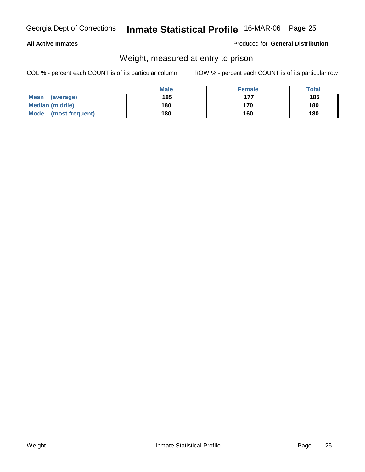#### **All Active Inmates**

#### Produced for **General Distribution**

### Weight, measured at entry to prison

|                      | <b>Male</b> | <b>Female</b> | <b>Total</b> |
|----------------------|-------------|---------------|--------------|
| Mean<br>(average)    | 185         | 177           | 185          |
| Median (middle)      | 180         | 170           | 180          |
| Mode (most frequent) | 180         | 160           | 180          |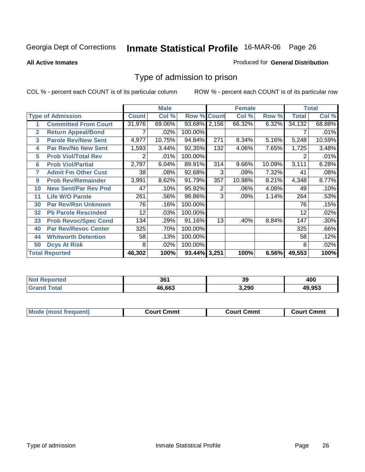**All Active Inmates**

#### Produced for **General Distribution**

### Type of admission to prison

|             |                             |              | <b>Male</b> |                    |     | <b>Female</b> |        |              | <b>Total</b> |
|-------------|-----------------------------|--------------|-------------|--------------------|-----|---------------|--------|--------------|--------------|
|             | <b>Type of Admission</b>    | <b>Count</b> | Col %       | <b>Row % Count</b> |     | Col %         | Row %  | <b>Total</b> | Col %        |
|             | <b>Committed From Court</b> | 31,976       | 69.06%      | 93.68% 2,156       |     | 66.32%        | 6.32%  | 34,132       | 68.88%       |
| $\mathbf 2$ | <b>Return Appeal/Bond</b>   |              | .02%        | 100.00%            |     |               |        |              | .01%         |
| 3           | <b>Parole Rev/New Sent</b>  | 4,977        | 10.75%      | 94.84%             | 271 | 8.34%         | 5.16%  | 5,248        | 10.59%       |
| 4           | <b>Par Rev/No New Sent</b>  | 1,593        | 3.44%       | 92.35%             | 132 | 4.06%         | 7.65%  | 1,725        | 3.48%        |
| 5           | <b>Prob Viol/Total Rev</b>  | 2            | .01%        | 100.00%            |     |               |        | 2            | .01%         |
| 6           | <b>Prob Viol/Partial</b>    | 2,797        | 6.04%       | 89.91%             | 314 | 9.66%         | 10.09% | 3,111        | 6.28%        |
| 7           | <b>Admit Fm Other Cust</b>  | 38           | .08%        | 92.68%             | 3   | .09%          | 7.32%  | 41           | .08%         |
| 9           | <b>Prob Rev/Remainder</b>   | 3,991        | 8.62%       | 91.79%             | 357 | 10.98%        | 8.21%  | 4,348        | 8.77%        |
| 10          | <b>New Sent/Par Rev Pnd</b> | 47           | .10%        | 95.92%             | 2   | .06%          | 4.08%  | 49           | .10%         |
| 11          | <b>Life W/O Parole</b>      | 261          | .56%        | 98.86%             | 3   | .09%          | 1.14%  | 264          | .53%         |
| 30          | <b>Par Rev/Rsn Unknown</b>  | 76           | .16%        | 100.00%            |     |               |        | 76           | .15%         |
| 32          | <b>Pb Parole Rescinded</b>  | 12           | .03%        | 100.00%            |     |               |        | 12           | .02%         |
| 33          | <b>Prob Revoc/Spec Cond</b> | 134          | .29%        | 91.16%             | 13  | .40%          | 8.84%  | 147          | .30%         |
| 40          | <b>Par Rev/Revoc Center</b> | 325          | .70%        | 100.00%            |     |               |        | 325          | .66%         |
| 44          | <b>Whitworth Detention</b>  | 58           | .13%        | 100.00%            |     |               |        | 58           | .12%         |
| 50          | <b>Dcys At Risk</b>         | 8            | .02%        | 100.00%            |     |               |        | 8            | .02%         |
|             | <b>Total Reported</b>       | 46,302       | 100%        | 93.44% 3,251       |     | 100%          | 6.56%  | 49,553       | 100%         |

| NO.<br>пею  | 361    | 39    | 400    |
|-------------|--------|-------|--------|
| $5 - 6 - 1$ | 46.663 | 3.290 | 49.953 |

| Mode<br>frequent)<br>most | ∖ Cmmt<br>∴ourt | Court Cmmt | Cmmt<br>∴ourt |
|---------------------------|-----------------|------------|---------------|
|                           |                 |            |               |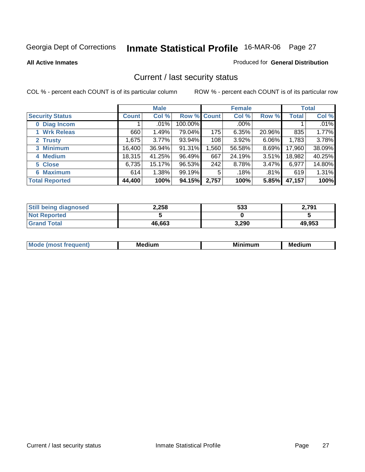**All Active Inmates**

#### Produced for **General Distribution**

### Current / last security status

|                        |              | <b>Male</b> |                    |       | <b>Female</b> |          |        | <b>Total</b> |
|------------------------|--------------|-------------|--------------------|-------|---------------|----------|--------|--------------|
| <b>Security Status</b> | <b>Count</b> | Col %       | <b>Row % Count</b> |       | Col %         | Row %    | Total  | Col %        |
| 0 Diag Incom           |              | $.01\%$     | 100.00%            |       | .00%          |          |        | $.01\%$      |
| <b>Wrk Releas</b>      | 660          | 1.49%       | 79.04%             | 175   | 6.35%         | 20.96%   | 835    | 1.77%        |
| 2 Trusty               | 1,675        | 3.77%       | 93.94%             | 108   | 3.92%         | 6.06%    | 1,783  | 3.78%        |
| 3 Minimum              | 16,400       | 36.94%      | 91.31%             | ,560  | 56.58%        | $8.69\%$ | 17,960 | 38.09%       |
| 4 Medium               | 18,315       | 41.25%      | 96.49%             | 667   | 24.19%        | $3.51\%$ | 18,982 | 40.25%       |
| 5 Close                | 6,735        | 15.17%      | 96.53%             | 242   | 8.78%         | $3.47\%$ | 6,977  | 14.80%       |
| <b>6 Maximum</b>       | 614          | 1.38%       | 99.19%             | 5     | .18%          | .81%     | 619    | 1.31%        |
| <b>Total Reported</b>  | 44,400       | 100%        | 94.15%             | 2,757 | 100%          | 5.85%    | 47,157 | 100%         |

| <b>Still being diagnosed</b> | 2,258  | 533   | 2.791  |
|------------------------------|--------|-------|--------|
| <b>Not Reported</b>          |        |       |        |
| <b>Grand Total</b>           | 46,663 | 3,290 | 49,953 |

| M,<br>--- | . .<br>М£<br>. | M<br>. | Medium |
|-----------|----------------|--------|--------|
|           |                |        |        |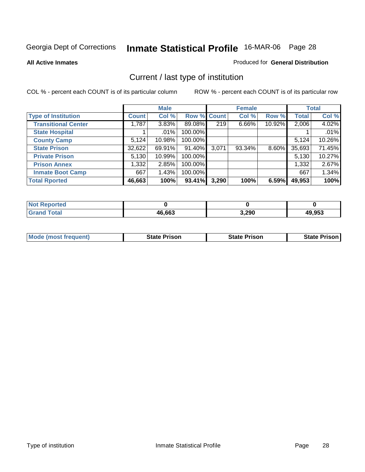**All Active Inmates**

#### Produced for **General Distribution**

### Current / last type of institution

|                            |              | <b>Male</b> |                    |       | <b>Female</b> |          |              | <b>Total</b> |
|----------------------------|--------------|-------------|--------------------|-------|---------------|----------|--------------|--------------|
| <b>Type of Institution</b> | <b>Count</b> | Col %       | <b>Row % Count</b> |       | Col %         | Row %    | <b>Total</b> | Col %        |
| <b>Transitional Center</b> | 1,787        | 3.83%       | 89.08%             | 219   | 6.66%         | 10.92%   | 2,006        | 4.02%        |
| <b>State Hospital</b>      |              | $.01\%$     | 100.00%            |       |               |          |              | .01%         |
| <b>County Camp</b>         | 5,124        | 10.98%      | 100.00%            |       |               |          | 5,124        | 10.26%       |
| <b>State Prison</b>        | 32,622       | 69.91%      | 91.40%             | 3,071 | 93.34%        | $8.60\%$ | 35,693       | 71.45%       |
| <b>Private Prison</b>      | 5,130        | 10.99%      | 100.00%            |       |               |          | 5,130        | 10.27%       |
| <b>Prison Annex</b>        | 1,332        | 2.85%       | 100.00%            |       |               |          | 1,332        | 2.67%        |
| <b>Inmate Boot Camp</b>    | 667          | 1.43%       | 100.00%            |       |               |          | 667          | 1.34%        |
| <b>Total Rported</b>       | 46,663       | 100%        | 93.41%             | 3,290 | 100%          | 6.59%    | 49,953       | 100%         |

| rtea        |        |       |        |
|-------------|--------|-------|--------|
| <b>otal</b> | 46,663 | 3,290 | 49,953 |

| <b>Mode (most frequent)</b> | <b>State Prison</b> | <b>State Prison</b> | <b>State Prison I</b> |
|-----------------------------|---------------------|---------------------|-----------------------|
|                             |                     |                     |                       |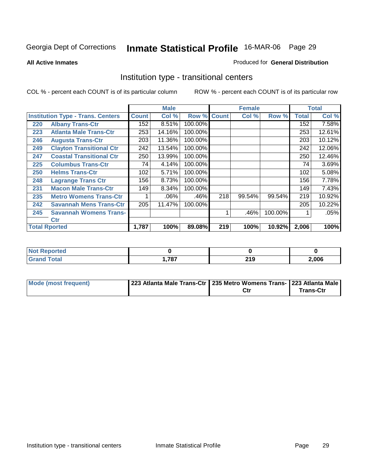**All Active Inmates**

#### Produced for **General Distribution**

### Institution type - transitional centers

|     |                                          |              | <b>Male</b> |                    |     | <b>Female</b> |         |              | <b>Total</b> |
|-----|------------------------------------------|--------------|-------------|--------------------|-----|---------------|---------|--------------|--------------|
|     | <b>Institution Type - Trans. Centers</b> | <b>Count</b> | Col %       | <b>Row % Count</b> |     | Col %         | Row %   | <b>Total</b> | Col %        |
| 220 | <b>Albany Trans-Ctr</b>                  | 152          | 8.51%       | 100.00%            |     |               |         | 152          | 7.58%        |
| 223 | <b>Atlanta Male Trans-Ctr</b>            | 253          | 14.16%      | 100.00%            |     |               |         | 253          | 12.61%       |
| 246 | <b>Augusta Trans-Ctr</b>                 | 203          | 11.36%      | 100.00%            |     |               |         | 203          | 10.12%       |
| 249 | <b>Clayton Transitional Ctr</b>          | 242          | 13.54%      | 100.00%            |     |               |         | 242          | 12.06%       |
| 247 | <b>Coastal Transitional Ctr</b>          | 250          | 13.99%      | 100.00%            |     |               |         | 250          | 12.46%       |
| 225 | <b>Columbus Trans-Ctr</b>                | 74           | 4.14%       | 100.00%            |     |               |         | 74           | 3.69%        |
| 250 | <b>Helms Trans-Ctr</b>                   | 102          | 5.71%       | 100.00%            |     |               |         | 102          | 5.08%        |
| 248 | <b>Lagrange Trans Ctr</b>                | 156          | 8.73%       | 100.00%            |     |               |         | 156          | 7.78%        |
| 231 | <b>Macon Male Trans-Ctr</b>              | 149          | 8.34%       | 100.00%            |     |               |         | 149          | 7.43%        |
| 235 | <b>Metro Womens Trans-Ctr</b>            | 1            | .06%        | .46%               | 218 | 99.54%        | 99.54%  | 219          | 10.92%       |
| 242 | <b>Savannah Mens Trans-Ctr</b>           | 205          | 11.47%      | 100.00%            |     |               |         | 205          | 10.22%       |
| 245 | <b>Savannah Womens Trans-</b>            |              |             |                    | 1   | .46%          | 100.00% |              | .05%         |
|     | <b>Ctr</b>                               |              |             |                    |     |               |         |              |              |
|     | <b>Total Rported</b>                     | 1,787        | 100%        | 89.08%             | 219 | 100%          | 10.92%  | 2,006        | 100%         |

| <b><i>Charles all</i></b><br>пео |     |            |       |
|----------------------------------|-----|------------|-------|
| <b>otal</b>                      | 707 | <b>210</b> | 2,006 |
| ------                           | .   | 2 I J      |       |

| Mode (most frequent) | 223 Atlanta Male Trans-Ctr   235 Metro Womens Trans- 223 Atlanta Male |     |                  |
|----------------------|-----------------------------------------------------------------------|-----|------------------|
|                      |                                                                       | Ctr | <b>Trans-Ctr</b> |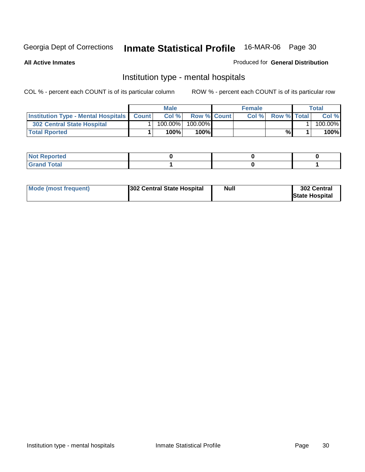**All Active Inmates**

#### Produced for **General Distribution**

### Institution type - mental hospitals

|                                                      | <b>Male</b> |            |                    | <b>Female</b> | <b>Total</b>       |  |         |
|------------------------------------------------------|-------------|------------|--------------------|---------------|--------------------|--|---------|
| <b>Institution Type - Mental Hospitals   Count  </b> |             | Col%       | <b>Row % Count</b> | Col%          | <b>Row % Total</b> |  | Col %   |
| 302 Central State Hospital                           |             | $100.00\%$ | 100.00%            |               |                    |  | 100.00% |
| <b>Total Rported</b>                                 |             | 100%       | 100%               |               | %                  |  | 100%    |

| $-1$<br><b>NOT</b><br>керогтеа<br>$\sim$ |  |  |
|------------------------------------------|--|--|
| Code <sup>r</sup><br>- - ----            |  |  |

| Mode (most frequent) | <b>Null</b><br>302 Central State Hospital | 302 Central<br><b>State Hospital</b> |
|----------------------|-------------------------------------------|--------------------------------------|
|----------------------|-------------------------------------------|--------------------------------------|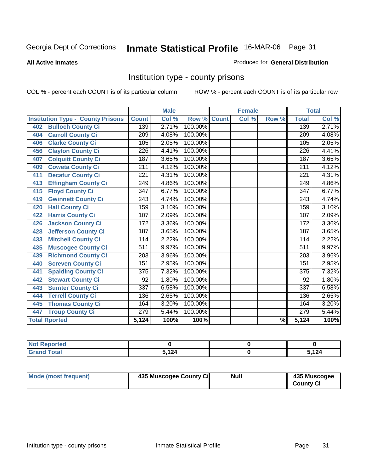#### **All Active Inmates**

#### Produced for **General Distribution**

### Institution type - county prisons

|                                          | <b>Male</b>      |                           |         | <b>Female</b> |       |                          | <b>Total</b>     |       |
|------------------------------------------|------------------|---------------------------|---------|---------------|-------|--------------------------|------------------|-------|
| <b>Institution Type - County Prisons</b> | <b>Count</b>     | $\overline{\text{Col}}$ % | Row %   | <b>Count</b>  | Col % | Row %                    | <b>Total</b>     | Col % |
| <b>Bulloch County Ci</b><br>402          | 139              | 2.71%                     | 100.00% |               |       |                          | 139              | 2.71% |
| <b>Carroll County Ci</b><br>404          | $\sqrt{209}$     | 4.08%                     | 100.00% |               |       |                          | $\overline{209}$ | 4.08% |
| <b>Clarke County Ci</b><br>406           | 105              | 2.05%                     | 100.00% |               |       |                          | 105              | 2.05% |
| <b>Clayton County Ci</b><br>456          | 226              | 4.41%                     | 100.00% |               |       |                          | 226              | 4.41% |
| <b>Colquitt County Ci</b><br>407         | 187              | 3.65%                     | 100.00% |               |       |                          | 187              | 3.65% |
| <b>Coweta County Ci</b><br>409           | $\overline{211}$ | 4.12%                     | 100.00% |               |       |                          | $\overline{211}$ | 4.12% |
| <b>Decatur County Ci</b><br>411          | $\overline{221}$ | 4.31%                     | 100.00% |               |       |                          | $\overline{221}$ | 4.31% |
| <b>Effingham County Ci</b><br>413        | 249              | 4.86%                     | 100.00% |               |       |                          | 249              | 4.86% |
| <b>Floyd County Ci</b><br>415            | 347              | 6.77%                     | 100.00% |               |       |                          | 347              | 6.77% |
| <b>Gwinnett County Ci</b><br>419         | $\overline{243}$ | 4.74%                     | 100.00% |               |       |                          | $\sqrt{243}$     | 4.74% |
| <b>Hall County Ci</b><br>420             | 159              | 3.10%                     | 100.00% |               |       |                          | 159              | 3.10% |
| <b>Harris County Ci</b><br>422           | 107              | 2.09%                     | 100.00% |               |       |                          | 107              | 2.09% |
| <b>Jackson County Ci</b><br>426          | 172              | 3.36%                     | 100.00% |               |       |                          | 172              | 3.36% |
| <b>Jefferson County Ci</b><br>428        | 187              | 3.65%                     | 100.00% |               |       |                          | 187              | 3.65% |
| <b>Mitchell County Ci</b><br>433         | 114              | 2.22%                     | 100.00% |               |       |                          | 114              | 2.22% |
| <b>Muscogee County Ci</b><br>435         | $\overline{511}$ | 9.97%                     | 100.00% |               |       |                          | $\overline{511}$ | 9.97% |
| <b>Richmond County Ci</b><br>439         | 203              | 3.96%                     | 100.00% |               |       |                          | 203              | 3.96% |
| <b>Screven County Ci</b><br>440          | 151              | 2.95%                     | 100.00% |               |       |                          | 151              | 2.95% |
| <b>Spalding County Ci</b><br>441         | 375              | 7.32%                     | 100.00% |               |       |                          | $\overline{375}$ | 7.32% |
| <b>Stewart County Ci</b><br>442          | 92               | 1.80%                     | 100.00% |               |       |                          | 92               | 1.80% |
| <b>Sumter County Ci</b><br>443           | 337              | 6.58%                     | 100.00% |               |       |                          | $\overline{337}$ | 6.58% |
| <b>Terrell County Ci</b><br>444          | 136              | 2.65%                     | 100.00% |               |       |                          | 136              | 2.65% |
| <b>Thomas County Ci</b><br>445           | 164              | 3.20%                     | 100.00% |               |       |                          | 164              | 3.20% |
| <b>Troup County Ci</b><br>447            | 279              | 5.44%                     | 100.00% |               |       |                          | $\overline{279}$ | 5.44% |
| <b>Total Rported</b>                     | 5,124            | 100%                      | 100%    |               |       | $\overline{\frac{9}{6}}$ | 5,124            | 100%  |

| τeα   |                               |                 |
|-------|-------------------------------|-----------------|
| _____ | $\overline{\phantom{a}}$<br>. | 4 O A<br>$\sim$ |

| Mode (most frequent) | 435 Muscogee County Ci | Null | 435 Muscogee     |
|----------------------|------------------------|------|------------------|
|                      |                        |      | <b>County Ci</b> |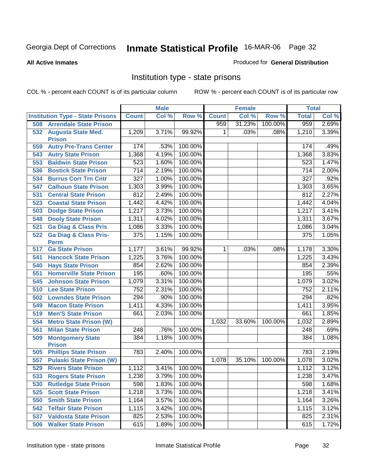#### **All Active Inmates**

#### Produced for **General Distribution**

### Institution type - state prisons

|     |                                                 |                  | <b>Male</b> |         |              | <b>Female</b> |         | <b>Total</b>     |       |
|-----|-------------------------------------------------|------------------|-------------|---------|--------------|---------------|---------|------------------|-------|
|     | <b>Institution Type - State Prisons</b>         | <b>Count</b>     | Col %       | Row %   | <b>Count</b> | Col %         | Row %   | <b>Total</b>     | Col % |
| 508 | <b>Arrendale State Prison</b>                   |                  |             |         | 959          | 31.23%        | 100.00% | 959              | 2.69% |
| 532 | <b>Augusta State Med.</b><br><b>Prison</b>      | 1,209            | 3.71%       | 99.92%  | $\mathbf 1$  | .03%          | .08%    | 1,210            | 3.39% |
| 559 | <b>Autry Pre-Trans Center</b>                   | 174              | .53%        | 100.00% |              |               |         | 174              | .49%  |
| 543 | <b>Autry State Prison</b>                       | 1,368            | 4.19%       | 100.00% |              |               |         | 1,368            | 3.83% |
| 553 | <b>Baldwin State Prison</b>                     | 523              | 1.60%       | 100.00% |              |               |         | 523              | 1.47% |
| 536 | <b>Bostick State Prison</b>                     | $\overline{714}$ | 2.19%       | 100.00% |              |               |         | 714              | 2.00% |
| 534 | <b>Burrus Corr Trn Cntr</b>                     | $\overline{327}$ | 1.00%       | 100.00% |              |               |         | $\overline{327}$ | .92%  |
| 547 | <b>Calhoun State Prison</b>                     | 1,303            | 3.99%       | 100.00% |              |               |         | 1,303            | 3.65% |
| 531 | <b>Central State Prison</b>                     | 812              | 2.49%       | 100.00% |              |               |         | 812              | 2.27% |
| 523 | <b>Coastal State Prison</b>                     | 1,442            | 4.42%       | 100.00% |              |               |         | 1,442            | 4.04% |
| 503 | <b>Dodge State Prison</b>                       | 1,217            | 3.73%       | 100.00% |              |               |         | 1,217            | 3.41% |
| 548 | <b>Dooly State Prison</b>                       | 1,311            | 4.02%       | 100.00% |              |               |         | 1,311            | 3.67% |
| 521 | <b>Ga Diag &amp; Class Pris</b>                 | 1,086            | 3.33%       | 100.00% |              |               |         | 1,086            | 3.04% |
| 522 | <b>Ga Diag &amp; Class Pris-</b><br><b>Perm</b> | 375              | 1.15%       | 100.00% |              |               |         | 375              | 1.05% |
| 517 | <b>Ga State Prison</b>                          | 1,177            | 3.61%       | 99.92%  | $\mathbf{1}$ | .03%          | .08%    | 1,178            | 3.30% |
| 541 | <b>Hancock State Prison</b>                     | 1,225            | 3.76%       | 100.00% |              |               |         | 1,225            | 3.43% |
| 540 | <b>Hays State Prison</b>                        | 854              | 2.62%       | 100.00% |              |               |         | 854              | 2.39% |
| 551 | <b>Homerville State Prison</b>                  | 195              | .60%        | 100.00% |              |               |         | 195              | .55%  |
| 545 | <b>Johnson State Prison</b>                     | 1,079            | 3.31%       | 100.00% |              |               |         | 1,079            | 3.02% |
| 510 | <b>Lee State Prison</b>                         | 752              | 2.31%       | 100.00% |              |               |         | 752              | 2.11% |
| 502 | <b>Lowndes State Prison</b>                     | 294              | .90%        | 100.00% |              |               |         | 294              | .82%  |
| 549 | <b>Macon State Prison</b>                       | 1,411            | 4.33%       | 100.00% |              |               |         | 1,411            | 3.95% |
| 519 | <b>Men'S State Prison</b>                       | 661              | 2.03%       | 100.00% |              |               |         | 661              | 1.85% |
| 554 | <b>Metro State Prison (W)</b>                   |                  |             |         | 1,032        | 33.60%        | 100.00% | 1,032            | 2.89% |
| 561 | <b>Milan State Prison</b>                       | 248              | .76%        | 100.00% |              |               |         | 248              | .69%  |
| 509 | <b>Montgomery State</b><br><b>Prison</b>        | 384              | 1.18%       | 100.00% |              |               |         | 384              | 1.08% |
| 505 | <b>Phillips State Prison</b>                    | 783              | 2.40%       | 100.00% |              |               |         | 783              | 2.19% |
| 557 | <b>Pulaski State Prison (W)</b>                 |                  |             |         | 1,078        | 35.10%        | 100.00% | 1,078            | 3.02% |
| 529 | <b>Rivers State Prison</b>                      | 1,112            | 3.41%       | 100.00% |              |               |         | 1,112            | 3.12% |
| 533 | <b>Rogers State Prison</b>                      | 1,238            | 3.79%       | 100.00% |              |               |         | 1,238            | 3.47% |
| 530 | <b>Rutledge State Prison</b>                    | 598              | 1.83%       | 100.00% |              |               |         | 598              | 1.68% |
| 525 | <b>Scott State Prison</b>                       | 1,218            | 3.73%       | 100.00% |              |               |         | 1,218            | 3.41% |
| 550 | <b>Smith State Prison</b>                       | 1,164            | 3.57%       | 100.00% |              |               |         | 1,164            | 3.26% |
| 542 | <b>Telfair State Prison</b>                     | 1,115            | 3.42%       | 100.00% |              |               |         | 1,115            | 3.12% |
| 537 | <b>Valdosta State Prison</b>                    | 825              | 2.53%       | 100.00% |              |               |         | 825              | 2.31% |
| 506 | <b>Walker State Prison</b>                      | 615              | 1.89%       | 100.00% |              |               |         | 615              | 1.72% |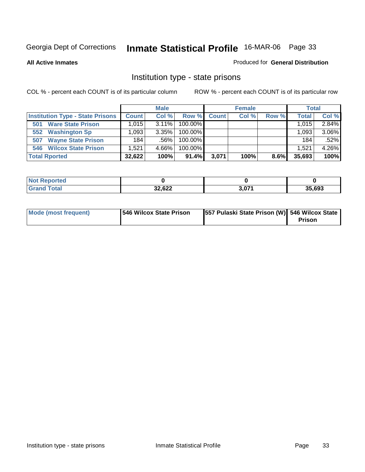**All Active Inmates**

#### Produced for **General Distribution**

### Institution type - state prisons

|                                         | <b>Male</b>  |          |            |              | <b>Female</b> | <b>Total</b> |              |          |
|-----------------------------------------|--------------|----------|------------|--------------|---------------|--------------|--------------|----------|
| <b>Institution Type - State Prisons</b> | <b>Count</b> | Col %    | Row %      | <b>Count</b> | Col %         | Row %        | <b>Total</b> | Col %    |
| <b>Ware State Prison</b><br>501         | ا 015. ا     | $3.11\%$ | 100.00%    |              |               |              | 1.015        | 2.84%    |
| <b>Washington Sp</b><br>552             | .093         | $3.35\%$ | $100.00\%$ |              |               |              | 1.093        | $3.06\%$ |
| <b>Wayne State Prison</b><br>507        | 184          | $.56\%$  | $100.00\%$ |              |               |              | 184          | .52%     |
| <b>546 Wilcox State Prison</b>          | .521         | 4.66%    | $100.00\%$ |              |               |              | 1,521        | 4.26%    |
| <b>Total Rported</b>                    | 32,622       | 100%     | 91.4%      | 3,071        | 100%          | 8.6%         | 35,693       | 100%     |

| <b>Not</b><br><b>Reported</b> |        |       |        |
|-------------------------------|--------|-------|--------|
| 'otal                         | 32,622 | 3,071 | 35,693 |

| Mode (most frequent) | <b>546 Wilcox State Prison</b> | 557 Pulaski State Prison (W) 546 Wilcox State |        |
|----------------------|--------------------------------|-----------------------------------------------|--------|
|                      |                                |                                               | Prison |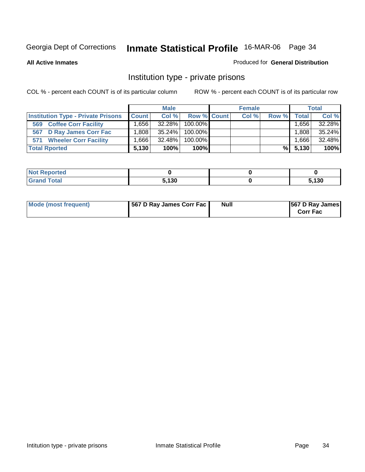**All Active Inmates**

#### Produced for **General Distribution**

### Institution type - private prisons

|                                           | <b>Male</b>  |           |             | <b>Female</b> | <b>Total</b> |                   |        |
|-------------------------------------------|--------------|-----------|-------------|---------------|--------------|-------------------|--------|
| <b>Institution Type - Private Prisons</b> | <b>Count</b> | Col %     | Row % Count | Col %         | Row %        | <b>Total</b>      | Col %  |
| <b>Coffee Corr Facility</b><br>569        | . 656        | $32.28\%$ | $100.00\%$  |               |              | .656              | 32.28% |
| <b>D Ray James Corr Fac</b><br>567        | ا 808.،      | $35.24\%$ | $100.00\%$  |               |              | .808 <sup>1</sup> | 35.24% |
| <b>Wheeler Corr Facility</b><br>571       | .666         | $32.48\%$ | $100.00\%$  |               |              | $.666$ .          | 32.48% |
| <b>Total Rported</b>                      | 5.130        | 100%      | 100%        |               | %I           | 5,130             | 100%   |

| Reported<br><b>NOT</b> |       |       |
|------------------------|-------|-------|
| <b>Total</b>           | 5,130 | , 130 |

| Mode (most frequent) | 567 D Ray James Corr Fac | Null | <b>567 D Ray James</b><br><b>Corr Fac</b> |
|----------------------|--------------------------|------|-------------------------------------------|
|----------------------|--------------------------|------|-------------------------------------------|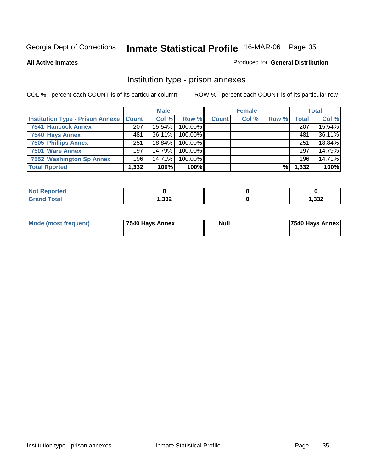#### **All Active Inmates**

#### Produced for **General Distribution**

### Institution type - prison annexes

|                                                   |       | <b>Male</b> |            |              | <b>Female</b> |       |              | <b>Total</b> |
|---------------------------------------------------|-------|-------------|------------|--------------|---------------|-------|--------------|--------------|
| <b>Institution Type - Prison Annexe   Count  </b> |       | Col %       | Row %      | <b>Count</b> | Col %         | Row % | <b>Total</b> | Col %        |
| <b>7541 Hancock Annex</b>                         | 207   | 15.54%      | 100.00%    |              |               |       | 207          | 15.54%       |
| 7540 Hays Annex                                   | 481   | $36.11\%$   | 100.00%    |              |               |       | 481          | 36.11%       |
| <b>7505 Phillips Annex</b>                        | 251   | $18.84\%$   | $100.00\%$ |              |               |       | 251          | 18.84%       |
| 7501 Ware Annex                                   | 197   | 14.79%      | $100.00\%$ |              |               |       | 197          | 14.79%       |
| 7552 Washington Sp Annex                          | 196   | 14.71%      | 100.00%    |              |               |       | 196          | 14.71%       |
| <b>Total Rported</b>                              | 1,332 | 100%        | 100%       |              |               | %     | 1,332        | 100%         |

| <b>Reported</b>      |               |       |
|----------------------|---------------|-------|
| <b>Total</b><br>Grar | າາາ<br>ےدد. י | 1,332 |

| Mode (most frequent) | 7540 Hays Annex | Null | 7540 Hays Annex |
|----------------------|-----------------|------|-----------------|
|                      |                 |      |                 |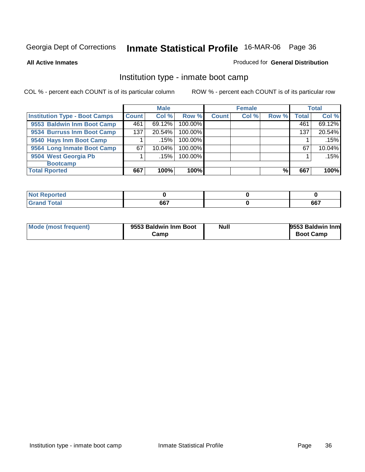**All Active Inmates**

#### Produced for **General Distribution**

### Institution type - inmate boot camp

|                                      |              | <b>Male</b> |         | <b>Female</b> |       | <b>Total</b> |       |        |
|--------------------------------------|--------------|-------------|---------|---------------|-------|--------------|-------|--------|
| <b>Institution Type - Boot Camps</b> | <b>Count</b> | Col %       | Row %   | <b>Count</b>  | Col % | Row %        | Total | Col %  |
| 9553 Baldwin Inm Boot Camp           | 461          | 69.12%      | 100.00% |               |       |              | 461   | 69.12% |
| 9534 Burruss Inm Boot Camp           | 137          | 20.54%      | 100.00% |               |       |              | 137   | 20.54% |
| 9540 Hays Inm Boot Camp              |              | .15%        | 100.00% |               |       |              |       | .15%   |
| 9564 Long Inmate Boot Camp           | 67           | 10.04%      | 100.00% |               |       |              | 67    | 10.04% |
| 9504 West Georgia Pb                 |              | .15%        | 100.00% |               |       |              |       | .15%   |
| <b>Bootcamp</b>                      |              |             |         |               |       |              |       |        |
| <b>Total Rported</b>                 | 667          | 100%        | 100%    |               |       | %            | 667   | 100%   |

| ported<br>$\sim$      |     |     |
|-----------------------|-----|-----|
| <b>otal</b><br>______ | 667 | 667 |

| Mode (most frequent) | 9553 Baldwin Inm Boot | Null | 9553 Baldwin Inm |
|----------------------|-----------------------|------|------------------|
|                      | Camp                  |      | <b>Boot Camp</b> |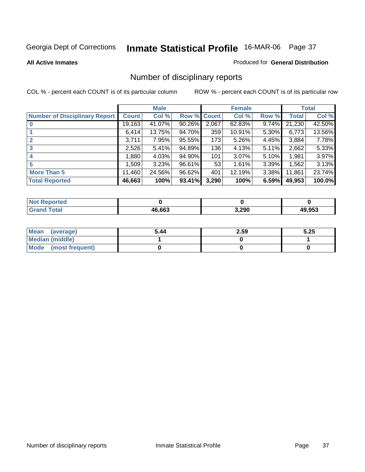#### **All Active Inmates**

#### Produced for **General Distribution**

## Number of disciplinary reports

|                                      |              | <b>Male</b> |             |       | <b>Female</b> |          |        | <b>Total</b> |
|--------------------------------------|--------------|-------------|-------------|-------|---------------|----------|--------|--------------|
| <b>Number of Disciplinary Report</b> | <b>Count</b> | Col %       | Row % Count |       | Col %         | Row %    | Total  | Col %        |
|                                      | 19,163       | 41.07%      | 90.26%      | 2,067 | 62.83%        | 9.74%    | 21,230 | 42.50%       |
|                                      | 6,414        | 13.75%      | 94.70%      | 359   | 10.91%        | $5.30\%$ | 6,773  | 13.56%       |
|                                      | 3,711        | 7.95%       | 95.55%      | 173   | 5.26%         | 4.45%    | 3,884  | 7.78%        |
| 3                                    | 2,526        | 5.41%       | 94.89%      | 136   | 4.13%         | 5.11%    | 2,662  | 5.33%        |
| 4                                    | 1,880        | 4.03%       | 94.90%      | 101   | 3.07%         | 5.10%    | 1,981  | 3.97%        |
| 5                                    | 1,509        | 3.23%       | 96.61%      | 53    | 1.61%         | 3.39%    | 1,562  | 3.13%        |
| <b>More Than 5</b>                   | 11,460       | 24.56%      | 96.62%      | 401   | 12.19%        | $3.38\%$ | 11,861 | 23.74%       |
| <b>Total Reported</b>                | 46,663       | 100%        | 93.41%      | 3,290 | 100%          | 6.59%    | 49,953 | 100.0%       |

| הפז<br>N |               |       |            |
|----------|---------------|-------|------------|
| ______   | <b>16 66°</b> | 3,290 | $AO$ $OED$ |

| Mean (average)       | 5.44 | 2.59 | 5.25 |
|----------------------|------|------|------|
| Median (middle)      |      |      |      |
| Mode (most frequent) |      |      |      |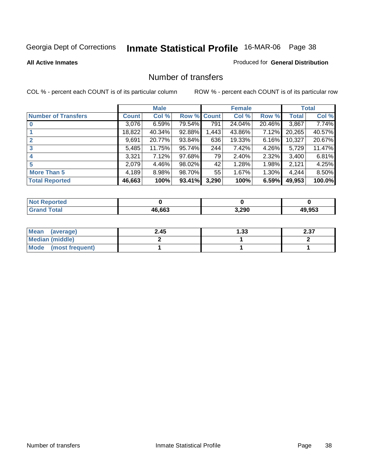#### **All Active Inmates**

#### Produced for **General Distribution**

### Number of transfers

|                            |              | <b>Male</b> |        |             | <b>Female</b> |          |              | <b>Total</b> |
|----------------------------|--------------|-------------|--------|-------------|---------------|----------|--------------|--------------|
| <b>Number of Transfers</b> | <b>Count</b> | Col %       |        | Row % Count | Col %         | Row %    | <b>Total</b> | Col %        |
|                            | 3,076        | 6.59%       | 79.54% | 791         | 24.04%        | 20.46%   | 3,867        | 7.74%        |
|                            | 18,822       | 40.34%      | 92.88% | 1,443       | 43.86%        | 7.12%    | 20,265       | 40.57%       |
|                            | 9,691        | 20.77%      | 93.84% | 636         | 19.33%        | 6.16%    | 10,327       | 20.67%       |
| 3                          | 5,485        | 11.75%      | 95.74% | 244         | 7.42%         | 4.26%    | 5,729        | 11.47%       |
|                            | 3,321        | 7.12%       | 97.68% | 79          | 2.40%         | 2.32%    | 3,400        | 6.81%        |
| 5                          | 2,079        | 4.46%       | 98.02% | 42          | 1.28%         | 1.98%    | 2,121        | 4.25%        |
| <b>More Than 5</b>         | 4,189        | 8.98%       | 98.70% | 55          | 1.67%         | $1.30\%$ | 4,244        | 8.50%        |
| <b>Total Reported</b>      | 46,663       | 100%        | 93.41% | 3,290       | 100%          | 6.59%    | 49,953       | 100.0%       |

| TA 0<br>N |        |       |            |
|-----------|--------|-------|------------|
|           | 46.662 | 3,290 | $AO$ $0E2$ |

| Mean (average)       | 2.45 | l.33 | 0. OZ<br>2.JI |
|----------------------|------|------|---------------|
| Median (middle)      |      |      |               |
| Mode (most frequent) |      |      |               |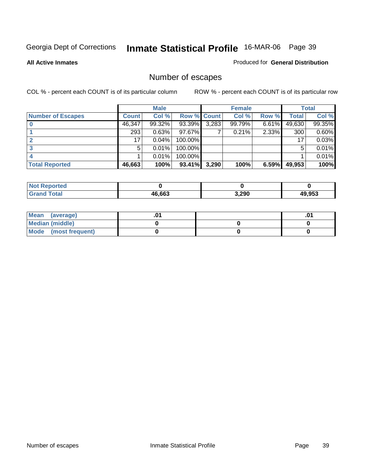**All Active Inmates**

#### Produced for **General Distribution**

## Number of escapes

|                          |              | <b>Male</b> |                    |       | <b>Female</b> |       |              | <b>Total</b> |
|--------------------------|--------------|-------------|--------------------|-------|---------------|-------|--------------|--------------|
| <b>Number of Escapes</b> | <b>Count</b> | Col %       | <b>Row % Count</b> |       | Col %         | Row % | <b>Total</b> | Col %        |
|                          | 46,347       | 99.32%      | 93.39%             | 3,283 | 99.79%        | 6.61% | 49,630       | 99.35%       |
|                          | 293          | 0.63%       | 97.67%             |       | 0.21%         | 2.33% | 300          | 0.60%        |
|                          | 17           | 0.04%       | 100.00%            |       |               |       | 17           | 0.03%        |
|                          | 5.           | $0.01\%$    | 100.00%            |       |               |       | 5            | 0.01%        |
|                          |              | $0.01\%$    | 100.00%            |       |               |       |              | 0.01%        |
| <b>Total Reported</b>    | 46,663       | 100%        | 93.41%             | 3,290 | 100%          | 6.59% | 49,953       | 100%         |

| rted |        |       |               |
|------|--------|-------|---------------|
|      | 46.663 | 3,290 | <b>AQ 052</b> |

| Mean<br>(average)       |  | .01 |
|-------------------------|--|-----|
| Median (middle)         |  |     |
| Mode<br>(most frequent) |  |     |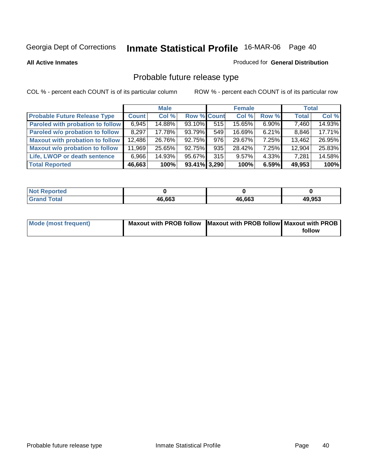**All Active Inmates**

#### Produced for **General Distribution**

# Probable future release type

|                                         |        | <b>Male</b> |                    |     | <b>Female</b> |          | <b>Total</b> |        |
|-----------------------------------------|--------|-------------|--------------------|-----|---------------|----------|--------------|--------|
| <b>Probable Future Release Type</b>     | Count  | Col %       | <b>Row % Count</b> |     | Col %         | Row %    | <b>Total</b> | Col %  |
| <b>Paroled with probation to follow</b> | 6,945  | 14.88%      | $93.10\%$          | 515 | 15.65%        | $6.90\%$ | 7,460        | 14.93% |
| Paroled w/o probation to follow         | 8.297  | 17.78%      | 93.79%             | 549 | 16.69%        | $6.21\%$ | 8,846        | 17.71% |
| Maxout with probation to follow         | 12,486 | 26.76%      | 92.75%             | 976 | 29.67%        | 7.25%    | 13,462       | 26.95% |
| <b>Maxout w/o probation to follow</b>   | 11,969 | 25.65%      | 92.75%             | 935 | 28.42%        | 7.25%    | 12,904       | 25.83% |
| Life, LWOP or death sentence            | 6,966  | 14.93%      | 95.67%             | 315 | 9.57%         | 4.33%    | 7,281        | 14.58% |
| <b>Total Reported</b>                   | 46,663 | 100%        | 93.41% 3.290       |     | 100%          | 6.59%    | 49,953       | 100%   |

| Γotal<br>C r o | 46,663 | 46,663 | 49,953 |
|----------------|--------|--------|--------|

| <b>Mode (most frequent)</b> | Maxout with PROB follow Maxout with PROB follow Maxout with PROB |        |
|-----------------------------|------------------------------------------------------------------|--------|
|                             |                                                                  | follow |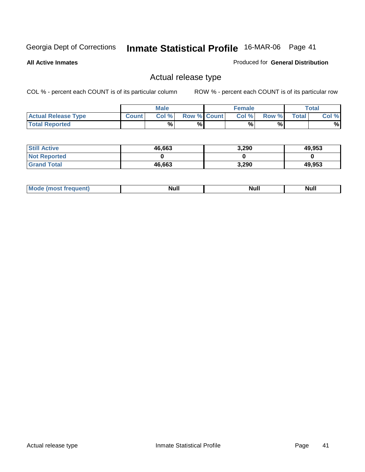**All Active Inmates**

### Produced for **General Distribution**

### Actual release type

|                            |              | <b>Male</b> |                    | <b>Female</b> |       |        | $\tau$ otal |
|----------------------------|--------------|-------------|--------------------|---------------|-------|--------|-------------|
| <b>Actual Release Type</b> | <b>Count</b> | Col %       | <b>Row % Count</b> | Col %         | Row % | Total, | Col %       |
| <b>Total Reported</b>      |              | %           | %                  | %             | %     |        | $\%$        |

| <b>Still Active</b> | 46,663 | 3,290 | 49,953 |
|---------------------|--------|-------|--------|
| <b>Not Reported</b> |        |       |        |
| <b>Grand Total</b>  | 46,663 | 3,290 | 49,953 |

| M | <b>Null</b> | ичин | Null |
|---|-------------|------|------|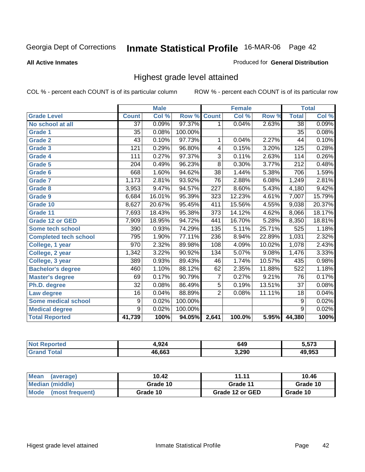#### **All Active Inmates**

### Produced for **General Distribution**

### Highest grade level attained

|                              |                 | <b>Male</b> |         |                  | <b>Female</b> |        |                  | <b>Total</b> |
|------------------------------|-----------------|-------------|---------|------------------|---------------|--------|------------------|--------------|
| <b>Grade Level</b>           | <b>Count</b>    | Col %       | Row %   | <b>Count</b>     | Col %         | Row %  | <b>Total</b>     | Col %        |
| No school at all             | $\overline{37}$ | 0.09%       | 97.37%  | 1                | 0.04%         | 2.63%  | $\overline{38}$  | 0.09%        |
| <b>Grade 1</b>               | $\overline{35}$ | 0.08%       | 100.00% |                  |               |        | $\overline{35}$  | 0.08%        |
| <b>Grade 2</b>               | $\overline{43}$ | 0.10%       | 97.73%  | 1                | 0.04%         | 2.27%  | 44               | 0.10%        |
| <b>Grade 3</b>               | 121             | 0.29%       | 96.80%  | 4                | 0.15%         | 3.20%  | 125              | 0.28%        |
| Grade 4                      | 111             | 0.27%       | 97.37%  | $\overline{3}$   | 0.11%         | 2.63%  | 114              | 0.26%        |
| Grade 5                      | 204             | 0.49%       | 96.23%  | $\overline{8}$   | 0.30%         | 3.77%  | $\overline{212}$ | 0.48%        |
| Grade 6                      | 668             | 1.60%       | 94.62%  | $\overline{38}$  | 1.44%         | 5.38%  | 706              | 1.59%        |
| <b>Grade 7</b>               | 1,173           | 2.81%       | 93.92%  | 76               | 2.88%         | 6.08%  | 1,249            | 2.81%        |
| <b>Grade 8</b>               | 3,953           | 9.47%       | 94.57%  | $\overline{227}$ | 8.60%         | 5.43%  | 4,180            | 9.42%        |
| <b>Grade 9</b>               | 6,684           | 16.01%      | 95.39%  | 323              | 12.23%        | 4.61%  | 7,007            | 15.79%       |
| Grade 10                     | 8,627           | 20.67%      | 95.45%  | 411              | 15.56%        | 4.55%  | 9,038            | 20.37%       |
| Grade 11                     | 7,693           | 18.43%      | 95.38%  | 373              | 14.12%        | 4.62%  | 8,066            | 18.17%       |
| <b>Grade 12 or GED</b>       | 7,909           | 18.95%      | 94.72%  | 441              | 16.70%        | 5.28%  | 8,350            | 18.81%       |
| Some tech school             | 390             | 0.93%       | 74.29%  | 135              | 5.11%         | 25.71% | 525              | 1.18%        |
| <b>Completed tech school</b> | 795             | 1.90%       | 77.11%  | 236              | 8.94%         | 22.89% | 1,031            | 2.32%        |
| College, 1 year              | 970             | 2.32%       | 89.98%  | 108              | 4.09%         | 10.02% | 1,078            | 2.43%        |
| College, 2 year              | 1,342           | 3.22%       | 90.92%  | 134              | 5.07%         | 9.08%  | 1,476            | 3.33%        |
| College, 3 year              | 389             | 0.93%       | 89.43%  | 46               | 1.74%         | 10.57% | 435              | 0.98%        |
| <b>Bachelor's degree</b>     | 460             | 1.10%       | 88.12%  | 62               | 2.35%         | 11.88% | 522              | 1.18%        |
| <b>Master's degree</b>       | 69              | 0.17%       | 90.79%  | 7                | 0.27%         | 9.21%  | 76               | 0.17%        |
| Ph.D. degree                 | $\overline{32}$ | 0.08%       | 86.49%  | $\overline{5}$   | 0.19%         | 13.51% | $\overline{37}$  | 0.08%        |
| Law degree                   | 16              | 0.04%       | 88.89%  | $\overline{2}$   | 0.08%         | 11.11% | $\overline{18}$  | 0.04%        |
| <b>Some medical school</b>   | 9               | 0.02%       | 100.00% |                  |               |        | 9                | 0.02%        |
| <b>Medical degree</b>        | $\overline{9}$  | 0.02%       | 100.00% |                  |               |        | $\overline{9}$   | 0.02%        |
| <b>Total Reported</b>        | 41,739          | 100%        | 94.05%  | 2,641            | 100.0%        | 5.95%  | 44,380           | 100%         |

| 1,924                 | 649            | - --^<br>,, |
|-----------------------|----------------|-------------|
| <b>ይገብ ብ!</b><br>/I F | ההה כ<br>J,ZJU | 052         |

| Mean<br>(average)       | 10.42    | 11.11           | 10.46    |
|-------------------------|----------|-----------------|----------|
| Median (middle)         | Grade 10 | Grade 11        | Grade 10 |
| Mode<br>(most frequent) | Grade 10 | Grade 12 or GED | Grade 10 |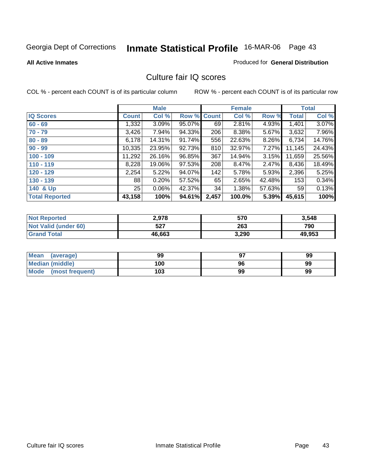#### **All Active Inmates**

### Produced for **General Distribution**

### Culture fair IQ scores

|                       |              | <b>Male</b> |        |              | <b>Female</b> |          |        | <b>Total</b> |
|-----------------------|--------------|-------------|--------|--------------|---------------|----------|--------|--------------|
| <b>IQ Scores</b>      | <b>Count</b> | Col %       | Row %  | <b>Count</b> | Col %         | Row %    | Total  | Col %        |
| $60 - 69$             | 1,332        | $3.09\%$    | 95.07% | 69           | 2.81%         | 4.93%    | 1,401  | $3.07\%$     |
| $70 - 79$             | 3,426        | $7.94\%$    | 94.33% | 206          | 8.38%         | 5.67%    | 3,632  | 7.96%        |
| $80 - 89$             | 6,178        | 14.31%      | 91.74% | 556          | 22.63%        | $8.26\%$ | 6,734  | 14.76%       |
| $90 - 99$             | 10,335       | 23.95%      | 92.73% | 810          | 32.97%        | $7.27\%$ | 11,145 | 24.43%       |
| $100 - 109$           | 11,292       | 26.16%      | 96.85% | 367          | 14.94%        | 3.15%    | 11,659 | 25.56%       |
| $110 - 119$           | 8,228        | 19.06%      | 97.53% | 208          | 8.47%         | 2.47%    | 8,436  | 18.49%       |
| $120 - 129$           | 2,254        | 5.22%       | 94.07% | 142          | 5.78%         | 5.93%    | 2,396  | 5.25%        |
| $130 - 139$           | 88           | 0.20%       | 57.52% | 65           | 2.65%         | 42.48%   | 153    | 0.34%        |
| 140 & Up              | 25           | $0.06\%$    | 42.37% | 34           | 1.38%         | 57.63%   | 59     | 0.13%        |
| <b>Total Reported</b> | 43,158       | 100%        | 94.61% | 2,457        | 100.0%        | 5.39%    | 45,615 | 100%         |

| <b>Not Reported</b>  | 2,978  | 570   | 3,548  |
|----------------------|--------|-------|--------|
| Not Valid (under 60) | 527    | 263   | 790    |
| <b>Grand Total</b>   | 46,663 | 3,290 | 49,953 |

| Mean<br>(average)       | 99  | 97 | 99 |
|-------------------------|-----|----|----|
| Median (middle)         | 100 | 96 | 99 |
| Mode<br>(most frequent) | 103 | 99 | 99 |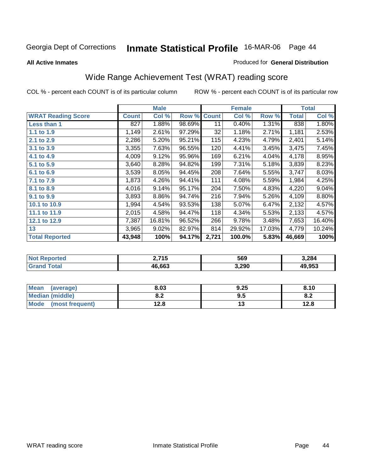#### **All Active Inmates**

#### Produced for **General Distribution**

## Wide Range Achievement Test (WRAT) reading score

|                           |              | <b>Male</b> |        |              | <b>Female</b> |        |              | <b>Total</b> |
|---------------------------|--------------|-------------|--------|--------------|---------------|--------|--------------|--------------|
| <b>WRAT Reading Score</b> | <b>Count</b> | Col %       | Row %  | <b>Count</b> | Col %         | Row %  | <b>Total</b> | Col %        |
| Less than 1               | 827          | 1.88%       | 98.69% | 11           | 0.40%         | 1.31%  | 838          | 1.80%        |
| 1.1 to 1.9                | 1,149        | 2.61%       | 97.29% | 32           | 1.18%         | 2.71%  | 1,181        | 2.53%        |
| 2.1 to 2.9                | 2,286        | 5.20%       | 95.21% | 115          | 4.23%         | 4.79%  | 2,401        | 5.14%        |
| 3.1 to 3.9                | 3,355        | 7.63%       | 96.55% | 120          | 4.41%         | 3.45%  | 3,475        | 7.45%        |
| 4.1 to 4.9                | 4,009        | 9.12%       | 95.96% | 169          | 6.21%         | 4.04%  | 4,178        | 8.95%        |
| 5.1 to 5.9                | 3,640        | 8.28%       | 94.82% | 199          | 7.31%         | 5.18%  | 3,839        | 8.23%        |
| 6.1 to 6.9                | 3,539        | 8.05%       | 94.45% | 208          | 7.64%         | 5.55%  | 3,747        | 8.03%        |
| 7.1 to 7.9                | 1,873        | 4.26%       | 94.41% | 111          | 4.08%         | 5.59%  | 1,984        | 4.25%        |
| 8.1 to 8.9                | 4,016        | 9.14%       | 95.17% | 204          | 7.50%         | 4.83%  | 4,220        | 9.04%        |
| 9.1 to 9.9                | 3,893        | 8.86%       | 94.74% | 216          | 7.94%         | 5.26%  | 4,109        | 8.80%        |
| 10.1 to 10.9              | 1,994        | 4.54%       | 93.53% | 138          | 5.07%         | 6.47%  | 2,132        | 4.57%        |
| 11.1 to 11.9              | 2,015        | 4.58%       | 94.47% | 118          | 4.34%         | 5.53%  | 2,133        | 4.57%        |
| 12.1 to 12.9              | 7,387        | 16.81%      | 96.52% | 266          | 9.78%         | 3.48%  | 7,653        | 16.40%       |
| 13                        | 3,965        | 9.02%       | 82.97% | 814          | 29.92%        | 17.03% | 4,779        | 10.24%       |
| <b>Total Reported</b>     | 43,948       | 100%        | 94.17% | 2,721        | 100.0%        | 5.83%  | 46,669       | 100%         |

| orted<br>NO. | <b>745</b><br>יי | 569   | 3,284  |
|--------------|------------------|-------|--------|
| $5 - 6 - 1$  | 16.663<br>Дh     | 3,290 | 49.953 |

| <b>Mean</b><br>(average) | 8.03           | 9.25 | 8.10 |
|--------------------------|----------------|------|------|
| <b>Median (middle)</b>   | י ה<br>0.Z     | 9.5  | o.z  |
| Mode<br>(most frequent)  | 19 Q<br>ه. 2 ا | . .  | 12.8 |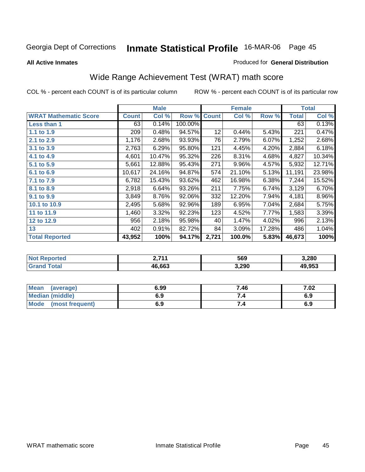**All Active Inmates**

#### Produced for **General Distribution**

## Wide Range Achievement Test (WRAT) math score

|                              |              | <b>Male</b> |         |              | <b>Female</b> |        |        | <b>Total</b> |
|------------------------------|--------------|-------------|---------|--------------|---------------|--------|--------|--------------|
| <b>WRAT Mathematic Score</b> | <b>Count</b> | Col %       | Row %   | <b>Count</b> | Col %         | Row %  | Total  | Col %        |
| Less than 1                  | 63           | 0.14%       | 100.00% |              |               |        | 63     | 0.13%        |
| 1.1 to 1.9                   | 209          | 0.48%       | 94.57%  | 12           | 0.44%         | 5.43%  | 221    | 0.47%        |
| 2.1 to 2.9                   | 1,176        | 2.68%       | 93.93%  | 76           | 2.79%         | 6.07%  | 1,252  | 2.68%        |
| 3.1 to 3.9                   | 2,763        | 6.29%       | 95.80%  | 121          | 4.45%         | 4.20%  | 2,884  | 6.18%        |
| 4.1 to 4.9                   | 4,601        | 10.47%      | 95.32%  | 226          | 8.31%         | 4.68%  | 4,827  | 10.34%       |
| 5.1 to 5.9                   | 5,661        | 12.88%      | 95.43%  | 271          | 9.96%         | 4.57%  | 5,932  | 12.71%       |
| 6.1 to 6.9                   | 10,617       | 24.16%      | 94.87%  | 574          | 21.10%        | 5.13%  | 11,191 | 23.98%       |
| 7.1 to 7.9                   | 6,782        | 15.43%      | 93.62%  | 462          | 16.98%        | 6.38%  | 7,244  | 15.52%       |
| 8.1 to 8.9                   | 2,918        | 6.64%       | 93.26%  | 211          | 7.75%         | 6.74%  | 3,129  | 6.70%        |
| 9.1 to 9.9                   | 3,849        | 8.76%       | 92.06%  | 332          | 12.20%        | 7.94%  | 4,181  | 8.96%        |
| 10.1 to 10.9                 | 2,495        | 5.68%       | 92.96%  | 189          | 6.95%         | 7.04%  | 2,684  | 5.75%        |
| 11 to 11.9                   | 1,460        | 3.32%       | 92.23%  | 123          | 4.52%         | 7.77%  | 1,583  | 3.39%        |
| 12 to 12.9                   | 956          | 2.18%       | 95.98%  | 40           | 1.47%         | 4.02%  | 996    | 2.13%        |
| 13                           | 402          | 0.91%       | 82.72%  | 84           | 3.09%         | 17.28% | 486    | 1.04%        |
| <b>Total Reported</b>        | 43,952       | 100%        | 94.17%  | 2,721        | 100.0%        | 5.83%  | 46,673 | 100%         |

| <b>Not Reported</b> | <b>2 744</b><br>. | 569   | 3,280  |
|---------------------|-------------------|-------|--------|
| Total<br>'Grano     | 46,663            | 3,290 | 49,953 |

| <b>Mean</b><br>(average) | 6.99 | 7.46 | 7.02 |
|--------------------------|------|------|------|
| <b>Median (middle)</b>   | 6.9  |      | 6.9  |
| Mode<br>(most frequent)  | 6.9  | 7.4  | 6.9  |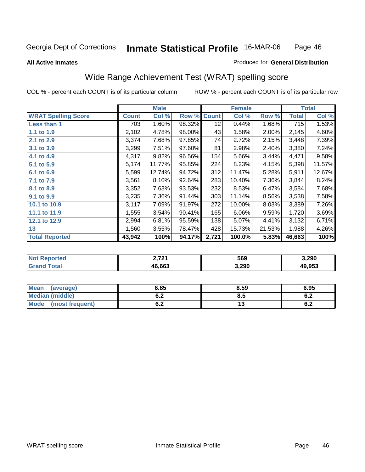#### **All Active Inmates**

### Produced for **General Distribution**

## Wide Range Achievement Test (WRAT) spelling score

|                            |              | <b>Male</b> |        |              | <b>Female</b> |        |                    | <b>Total</b> |
|----------------------------|--------------|-------------|--------|--------------|---------------|--------|--------------------|--------------|
| <b>WRAT Spelling Score</b> | <b>Count</b> | Col %       | Row %  | <b>Count</b> | Col %         | Row %  | <b>Total</b>       | Col %        |
| <b>Less than 1</b>         | 703          | 1.60%       | 98.32% | 12           | 0.44%         | 1.68%  | 715                | 1.53%        |
| 1.1 to 1.9                 | 2,102        | 4.78%       | 98.00% | 43           | 1.58%         | 2.00%  | 2,145              | 4.60%        |
| 2.1 to 2.9                 | 3,374        | 7.68%       | 97.85% | 74           | 2.72%         | 2.15%  | 3,448              | 7.39%        |
| 3.1 to 3.9                 | 3,299        | 7.51%       | 97.60% | 81           | 2.98%         | 2.40%  | 3,380              | 7.24%        |
| 4.1 to 4.9                 | 4,317        | 9.82%       | 96.56% | 154          | 5.66%         | 3.44%  | 4,471              | 9.58%        |
| 5.1 to 5.9                 | 5,174        | 11.77%      | 95.85% | 224          | 8.23%         | 4.15%  | 5,398              | 11.57%       |
| 6.1 to 6.9                 | 5,599        | 12.74%      | 94.72% | 312          | 11.47%        | 5.28%  | 5,911              | 12.67%       |
| 7.1 to 7.9                 | 3,561        | 8.10%       | 92.64% | 283          | 10.40%        | 7.36%  | 3,844              | 8.24%        |
| 8.1 to 8.9                 | 3,352        | 7.63%       | 93.53% | 232          | 8.53%         | 6.47%  | $\overline{3,}584$ | 7.68%        |
| 9.1 to 9.9                 | 3,235        | 7.36%       | 91.44% | 303          | 11.14%        | 8.56%  | 3,538              | 7.58%        |
| 10.1 to 10.9               | 3,117        | 7.09%       | 91.97% | 272          | 10.00%        | 8.03%  | 3,389              | 7.26%        |
| 11.1 to 11.9               | 1,555        | 3.54%       | 90.41% | 165          | 6.06%         | 9.59%  | 1,720              | 3.69%        |
| 12.1 to 12.9               | 2,994        | 6.81%       | 95.59% | 138          | 5.07%         | 4.41%  | 3,132              | 6.71%        |
| 13                         | 1,560        | 3.55%       | 78.47% | 428          | 15.73%        | 21.53% | 1,988              | 4.26%        |
| <b>Total Reported</b>      | 43,942       | 100%        | 94.17% | 2,721        | 100.0%        | 5.83%  | 46,663             | 100%         |

| orted<br>N0     | <b>1 ארד</b> | 569   | 3,290        |
|-----------------|--------------|-------|--------------|
| $\sim$ 4 $\sim$ | 16.663<br>4һ | 3,290 | 19.953<br>лч |

| Mean<br>(average)      | 6.85 | 8.59 | 6.95       |
|------------------------|------|------|------------|
| <b>Median (middle)</b> | U.Z  | 8.5  | r n<br>0.Z |
| Mode (most frequent)   | υ.Ζ  | ט ו  | 6.2        |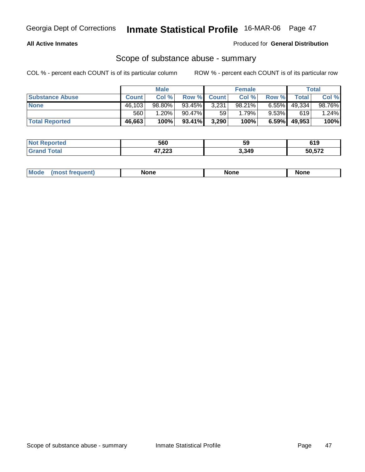### **All Active Inmates**

Produced for **General Distribution**

### Scope of substance abuse - summary

|                        |              | <b>Male</b> |                    |       | <b>Female</b> |          |        | <b>Total</b> |
|------------------------|--------------|-------------|--------------------|-------|---------------|----------|--------|--------------|
| <b>Substance Abuse</b> | <b>Count</b> | Col %       | <b>Row % Count</b> |       | Col %         | Row %    | Total  | Col %        |
| <b>None</b>            | 46,103       | 98.80%      | 93.45%             | 3,231 | 98.21%        | $6.55\%$ | 49,334 | 98.76%       |
|                        | 560          | $1.20\%$    | 90.47%             | 59    | 1.79%         | $9.53\%$ | 619    | $1.24\%$     |
| <b>Total Reported</b>  | 46,663       | 100%        | 93.41%             | 3,290 | 100%          | $6.59\%$ | 49,953 | 100%         |

| <b>Not</b><br><b>Reported</b> | 560                     | 59    | 619          |
|-------------------------------|-------------------------|-------|--------------|
| <b>Total</b>                  | 17 222<br>41,225<br>___ | 3,349 | EN ETA<br>эu |

|  | Mode | lone | None | <b>None</b> |
|--|------|------|------|-------------|
|--|------|------|------|-------------|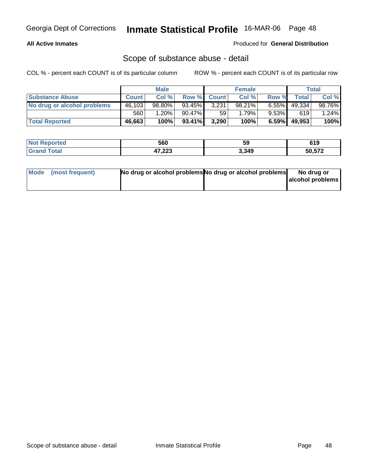### **All Active Inmates**

#### Produced for **General Distribution**

### Scope of substance abuse - detail

|                             |              | <b>Male</b> |           |             | <b>Female</b> |          |        | Total    |
|-----------------------------|--------------|-------------|-----------|-------------|---------------|----------|--------|----------|
| <b>Substance Abuse</b>      | <b>Count</b> | Col %       |           | Row % Count | Col %         | Row %    | Total  | Col %    |
| No drug or alcohol problems | 46,103       | $98.80\%$   | 93.45%    | 3,231       | 98.21%        | $6.55\%$ | 49,334 | 98.76%   |
|                             | 560          | 1.20%       | 90.47%    | 59          | 1.79%         | $9.53\%$ | 619    | $1.24\%$ |
| <b>Total Reported</b>       | 46,663       | 100%        | $93.41\%$ | 3,290       | 100%          | $6.59\%$ | 49,953 | 100%     |

| <b>Not Reported</b> | 560              | 59    | 61 O<br>ט וט |
|---------------------|------------------|-------|--------------|
| <b>Grand Total</b>  | パラ つつつ<br>41,223 | 3,349 | 50,572       |

| Mode (most frequent) | No drug or alcohol problems No drug or alcohol problems | No drug or       |
|----------------------|---------------------------------------------------------|------------------|
|                      |                                                         | alcohol problems |
|                      |                                                         |                  |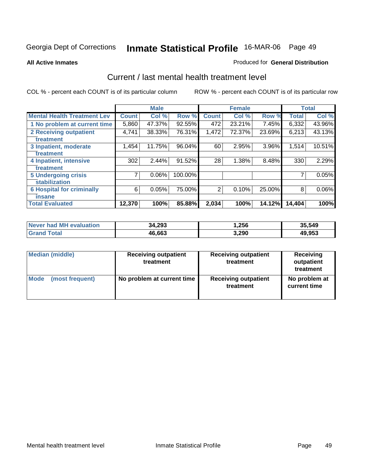**All Active Inmates**

#### Produced for **General Distribution**

### Current / last mental health treatment level

|                                    |              | <b>Male</b> |         |              | <b>Female</b> |          |              | <b>Total</b> |
|------------------------------------|--------------|-------------|---------|--------------|---------------|----------|--------------|--------------|
| <b>Mental Health Treatment Lev</b> | <b>Count</b> | Col%        | Row %   | <b>Count</b> | Col %         | Row %    | <b>Total</b> | Col %        |
| 1 No problem at current time       | 5,860        | 47.37%      | 92.55%  | 472          | 23.21%        | 7.45%    | 6,332        | 43.96%       |
| <b>2 Receiving outpatient</b>      | 4,741        | 38.33%      | 76.31%  | 1,472        | 72.37%        | 23.69%   | 6,213        | 43.13%       |
| treatment                          |              |             |         |              |               |          |              |              |
| 3 Inpatient, moderate              | 1,454        | 11.75%      | 96.04%  | 60           | 2.95%         | $3.96\%$ | 1,514        | 10.51%       |
| treatment                          |              |             |         |              |               |          |              |              |
| 4 Inpatient, intensive             | 302          | 2.44%       | 91.52%  | 28           | 1.38%         | 8.48%    | 330          | 2.29%        |
| treatment                          |              |             |         |              |               |          |              |              |
| <b>5 Undergoing crisis</b>         | 7            | 0.06%       | 100.00% |              |               |          | 7            | 0.05%        |
| stabilization                      |              |             |         |              |               |          |              |              |
| <b>6 Hospital for criminally</b>   | 6            | 0.05%       | 75.00%  | 2            | 0.10%         | 25.00%   | 8            | $0.06\%$     |
| insane                             |              |             |         |              |               |          |              |              |
| <b>Total Evaluated</b>             | 12,370       | 100%        | 85.88%  | 2,034        | 100%          | 14.12%   | 14,404       | 100%         |

| Never had MH evaluation | 34,293 | 256. ا | 35,549 |
|-------------------------|--------|--------|--------|
| Grand<br>Total          | 46,663 | 3,290  | 49,953 |

| <b>Median (middle)</b> | <b>Receiving outpatient</b><br>treatment | <b>Receiving outpatient</b><br>treatment | Receiving<br>outpatient<br>treatment |
|------------------------|------------------------------------------|------------------------------------------|--------------------------------------|
| Mode                   | No problem at current time               | <b>Receiving outpatient</b>              | No problem at                        |
| (most frequent)        |                                          | treatment                                | current time                         |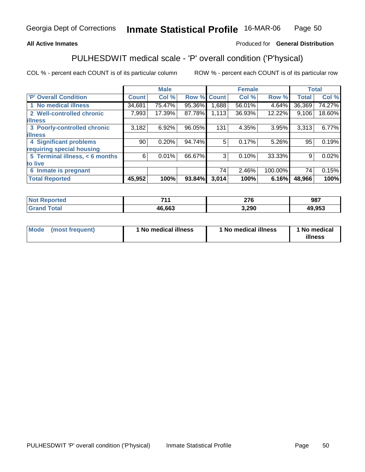#### **All Active Inmates**

### Produced for **General Distribution**

## PULHESDWIT medical scale - 'P' overall condition ('P'hysical)

|                                |              | <b>Male</b> |             |       | <b>Female</b> |         | <b>Total</b> |        |
|--------------------------------|--------------|-------------|-------------|-------|---------------|---------|--------------|--------|
| 'P' Overall Condition          | <b>Count</b> | Col %       | Row % Count |       | Col %         | Row %   | <b>Total</b> | Col %  |
| 1 No medical illness           | 34,681       | 75.47%      | 95.36%      | .688  | $56.01\%$     | 4.64%   | 36,369       | 74.27% |
| 2 Well-controlled chronic      | 7,993        | 17.39%      | 87.78%      | 1,113 | 36.93%        | 12.22%  | 9,106        | 18.60% |
| <b>illness</b>                 |              |             |             |       |               |         |              |        |
| 3 Poorly-controlled chronic    | 3,182        | 6.92%       | 96.05%      | 131   | 4.35%         | 3.95%   | 3,313        | 6.77%  |
| <b>illness</b>                 |              |             |             |       |               |         |              |        |
| 4 Significant problems         | 90           | 0.20%       | 94.74%      | 5     | 0.17%         | 5.26%   | 95           | 0.19%  |
| requiring special housing      |              |             |             |       |               |         |              |        |
| 5 Terminal illness, < 6 months | 6            | $0.01\%$    | 66.67%      | 3     | 0.10%         | 33.33%  | 9            | 0.02%  |
| to live                        |              |             |             |       |               |         |              |        |
| 6 Inmate is pregnant           |              |             |             | 74    | 2.46%         | 100.00% | 74           | 0.15%  |
| <b>Total Reported</b>          | 45,952       | 100%        | 93.84%      | 3,014 | 100%          | 6.16%   | 48,966       | 100%   |

| <b>Not</b> | 744    | 276           | 987    |
|------------|--------|---------------|--------|
| aportec'   |        | $\sim$ $\sim$ |        |
| 'otal      | 46,663 | 3,290         | 49,953 |

| <b>Mode</b> | (most frequent) | 1 No medical illness | 1 No medical illness | 1 No medical<br>illness |
|-------------|-----------------|----------------------|----------------------|-------------------------|
|-------------|-----------------|----------------------|----------------------|-------------------------|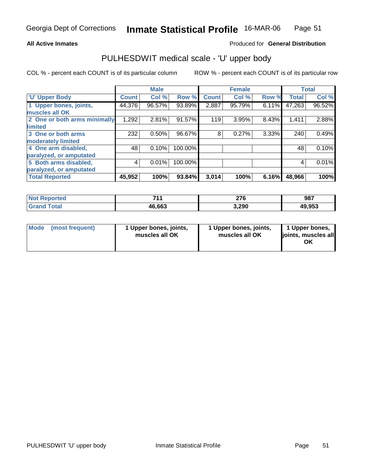#### **All Active Inmates**

### Produced for **General Distribution**

### PULHESDWIT medical scale - 'U' upper body

|                              |              | <b>Male</b> |         |              | <b>Female</b> |       |              | <b>Total</b> |
|------------------------------|--------------|-------------|---------|--------------|---------------|-------|--------------|--------------|
| <b>U' Upper Body</b>         | <b>Count</b> | Col %       | Row %   | <b>Count</b> | Col %         | Row % | <b>Total</b> | Col %        |
| 1 Upper bones, joints,       | 44,376       | 96.57%      | 93.89%  | 2,887        | 95.79%        | 6.11% | 47,263       | 96.52%       |
| muscles all OK               |              |             |         |              |               |       |              |              |
| 2 One or both arms minimally | 1,292        | 2.81%       | 91.57%  | 119          | 3.95%         | 8.43% | 1,411        | 2.88%        |
| <b>limited</b>               |              |             |         |              |               |       |              |              |
| 3 One or both arms           | 232          | 0.50%       | 96.67%  | 8            | 0.27%         | 3.33% | 240          | 0.49%        |
| moderately limited           |              |             |         |              |               |       |              |              |
| 4 One arm disabled,          | 48           | 0.10%       | 100.00% |              |               |       | 48           | 0.10%        |
| paralyzed, or amputated      |              |             |         |              |               |       |              |              |
| 5 Both arms disabled,        | 4            | 0.01%       | 100.00% |              |               |       | 4            | 0.01%        |
| paralyzed, or amputated      |              |             |         |              |               |       |              |              |
| <b>Total Reported</b>        | 45,952       | 100%        | 93.84%  | 3,014        | 100%          | 6.16% | 48,966       | 100%         |

| <b>Not Reported</b>   | 744    | 276   | 987    |
|-----------------------|--------|-------|--------|
| <b>Total</b><br>Grand | 46,663 | 3,290 | 49,953 |

| <b>Mode</b> | (most frequent) | 1 Upper bones, joints,<br>muscles all OK | 1 Upper bones, joints,<br>muscles all OK | 1 Upper bones,<br>joints, muscles all<br>ΟK |
|-------------|-----------------|------------------------------------------|------------------------------------------|---------------------------------------------|
|-------------|-----------------|------------------------------------------|------------------------------------------|---------------------------------------------|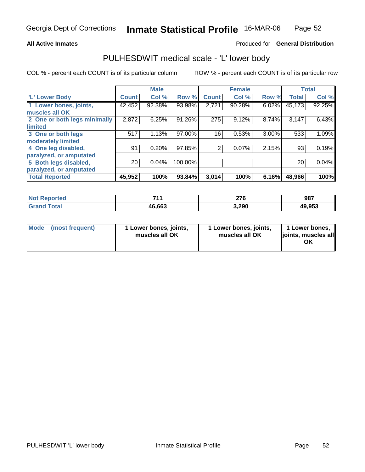#### **All Active Inmates**

### Produced for **General Distribution**

### PULHESDWIT medical scale - 'L' lower body

|                              |              | <b>Male</b> |         |              | <b>Female</b> |          |              | <b>Total</b> |
|------------------------------|--------------|-------------|---------|--------------|---------------|----------|--------------|--------------|
| 'L' Lower Body               | <b>Count</b> | Col %       | Row %   | <b>Count</b> | Col %         | Row %    | <b>Total</b> | Col %        |
| 1 Lower bones, joints,       | 42,452       | 92.38%      | 93.98%  | 2,721        | 90.28%        | 6.02%    | 45,173       | 92.25%       |
| muscles all OK               |              |             |         |              |               |          |              |              |
| 2 One or both legs minimally | 2,872        | 6.25%       | 91.26%  | 275          | 9.12%         | 8.74%    | 3,147        | 6.43%        |
| limited                      |              |             |         |              |               |          |              |              |
| 3 One or both legs           | 517          | 1.13%       | 97.00%  | 16           | 0.53%         | $3.00\%$ | 533          | 1.09%        |
| moderately limited           |              |             |         |              |               |          |              |              |
| 4 One leg disabled,          | 91           | 0.20%       | 97.85%  | 2            | 0.07%         | 2.15%    | 93           | 0.19%        |
| paralyzed, or amputated      |              |             |         |              |               |          |              |              |
| 5 Both legs disabled,        | 20           | 0.04%       | 100.00% |              |               |          | 20           | 0.04%        |
| paralyzed, or amputated      |              |             |         |              |               |          |              |              |
| <b>Total Reported</b>        | 45,952       | 100%        | 93.84%  | 3,014        | 100%          | 6.16%    | 48,966       | 100%         |

| <b>Not Reported</b>        | <b>744</b> | 276   | 987    |
|----------------------------|------------|-------|--------|
| $\tau$ otal<br><b>Gran</b> | 46,663     | 3,290 | 49,953 |

| <b>Mode</b> | (most frequent) | 1 Lower bones, joints,<br>muscles all OK | 1 Lower bones, joints,<br>muscles all OK | 1 Lower bones,<br>joints, muscles all<br>ΟK |
|-------------|-----------------|------------------------------------------|------------------------------------------|---------------------------------------------|
|-------------|-----------------|------------------------------------------|------------------------------------------|---------------------------------------------|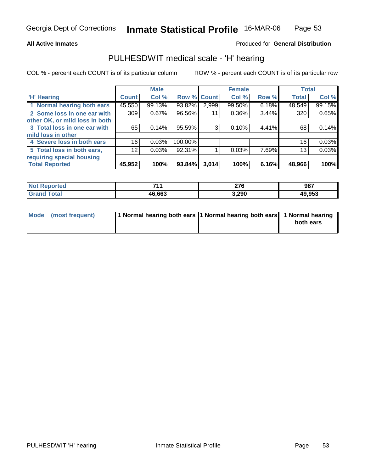#### **All Active Inmates**

### Produced for **General Distribution**

### PULHESDWIT medical scale - 'H' hearing

|                                |        | <b>Male</b> |             |       | <b>Female</b> |       | <b>Total</b> |        |
|--------------------------------|--------|-------------|-------------|-------|---------------|-------|--------------|--------|
| <b>H'</b> Hearing              | Count  | Col %       | Row % Count |       | Col %         | Row % | <b>Total</b> | Col %  |
| 1 Normal hearing both ears     | 45,550 | 99.13%      | 93.82%      | 2,999 | 99.50%        | 6.18% | 48,549       | 99.15% |
| 2 Some loss in one ear with    | 309    | 0.67%       | 96.56%      | 11    | $0.36\%$      | 3.44% | 320          | 0.65%  |
| other OK, or mild loss in both |        |             |             |       |               |       |              |        |
| 3 Total loss in one ear with   | 65     | 0.14%       | 95.59%      | 3     | 0.10%         | 4.41% | 68           | 0.14%  |
| mild loss in other             |        |             |             |       |               |       |              |        |
| 4 Severe loss in both ears     | 16     | 0.03%       | 100.00%     |       |               |       | 16           | 0.03%  |
| 5 Total loss in both ears,     | 12     | 0.03%       | 92.31%      |       | 0.03%         | 7.69% | 13           | 0.03%  |
| requiring special housing      |        |             |             |       |               |       |              |        |
| <b>Total Reported</b>          | 45,952 | 100%        | 93.84%      | 3,014 | 100%          | 6.16% | 48,966       | 100%   |

| 744    | <b>070</b><br>21 O<br>__ | 987    |
|--------|--------------------------|--------|
| 46.663 | 3,290                    | 49,953 |

| Mode (most frequent) | 1 Normal hearing both ears 1 Normal hearing both ears 1 Normal hearing |           |
|----------------------|------------------------------------------------------------------------|-----------|
|                      |                                                                        | both ears |
|                      |                                                                        |           |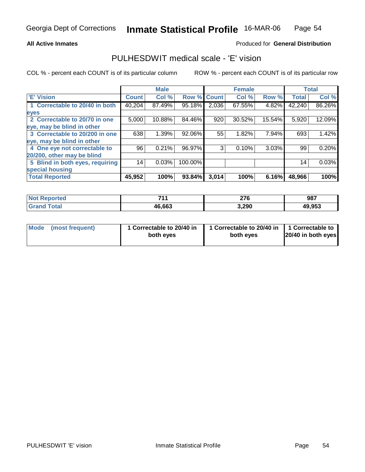#### **All Active Inmates**

### Produced for **General Distribution**

### PULHESDWIT medical scale - 'E' vision

|                                 |              | <b>Male</b> |                    |       | <b>Female</b> |        |              | <b>Total</b> |
|---------------------------------|--------------|-------------|--------------------|-------|---------------|--------|--------------|--------------|
| <b>E' Vision</b>                | <b>Count</b> | Col %       | <b>Row % Count</b> |       | Col %         | Row %  | <b>Total</b> | Col %        |
| 1 Correctable to 20/40 in both  | 40,204       | 87.49%      | 95.18%             | 2,036 | 67.55%        | 4.82%  | 42,240       | 86.26%       |
| eyes                            |              |             |                    |       |               |        |              |              |
| 2 Correctable to 20/70 in one   | 5,000        | 10.88%      | 84.46%             | 920   | 30.52%        | 15.54% | 5,920        | 12.09%       |
| eye, may be blind in other      |              |             |                    |       |               |        |              |              |
| 3 Correctable to 20/200 in one  | 638          | 1.39%       | 92.06%             | 55    | 1.82%         | 7.94%  | 693          | 1.42%        |
| eye, may be blind in other      |              |             |                    |       |               |        |              |              |
| 4 One eye not correctable to    | 96           | 0.21%       | 96.97%             | 3     | 0.10%         | 3.03%  | 99           | 0.20%        |
| 20/200, other may be blind      |              |             |                    |       |               |        |              |              |
| 5 Blind in both eyes, requiring | 14           | 0.03%       | 100.00%            |       |               |        | 14           | 0.03%        |
| special housing                 |              |             |                    |       |               |        |              |              |
| <b>Total Reported</b>           | 45,952       | 100%        | 93.84%             | 3,014 | 100%          | 6.16%  | 48,966       | 100%         |

| orted<br>No:    | 744    | へつの<br>40 V | 987    |
|-----------------|--------|-------------|--------|
| `otal<br>'Grand | 46,663 | 3,290       | 49,953 |

| Mode            | 1 Correctable to 20/40 in | 1 Correctable to 20/40 in   1 Correctable to | 20/40 in both eyes |
|-----------------|---------------------------|----------------------------------------------|--------------------|
| (most frequent) | both eyes                 | both eyes                                    |                    |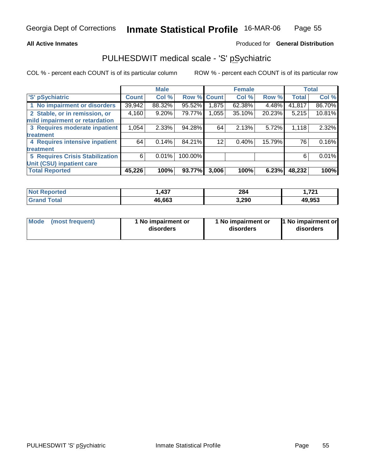#### **All Active Inmates**

#### Produced for **General Distribution**

### PULHESDWIT medical scale - 'S' pSychiatric

|                                        |              | <b>Male</b> |             |       | <b>Female</b> |        |              | <b>Total</b> |
|----------------------------------------|--------------|-------------|-------------|-------|---------------|--------|--------------|--------------|
| 'S' pSychiatric                        | <b>Count</b> | Col %       | Row % Count |       | Col %         | Row %  | <b>Total</b> | Col %        |
| 1 No impairment or disorders           | 39,942       | 88.32%      | 95.52%      | 1,875 | 62.38%        | 4.48%  | 41,817       | 86.70%       |
| 2 Stable, or in remission, or          | 4,160        | $9.20\%$    | 79.77%      | 1,055 | 35.10%        | 20.23% | 5,215        | 10.81%       |
| mild impairment or retardation         |              |             |             |       |               |        |              |              |
| 3 Requires moderate inpatient          | 1,054        | $2.33\%$    | 94.28%      | 64    | 2.13%         | 5.72%  | 1,118        | 2.32%        |
| treatment                              |              |             |             |       |               |        |              |              |
| 4 Requires intensive inpatient         | 64           | 0.14%       | 84.21%      | 12    | 0.40%         | 15.79% | 76           | 0.16%        |
| treatment                              |              |             |             |       |               |        |              |              |
| <b>5 Requires Crisis Stabilization</b> | 6            | 0.01%       | 100.00%     |       |               |        | 6            | 0.01%        |
| Unit (CSU) inpatient care              |              |             |             |       |               |        |              |              |
| <b>Total Reported</b>                  | 45,226       | 100%        | 93.77%      | 3,006 | 100%          | 6.23%  | 48,232       | 100%         |

| τeα  | <b>A37</b><br>ישר | 284   | 721.ا  |
|------|-------------------|-------|--------|
| امەت | 46,663            | 3,290 | 49,953 |

| Mode | (most frequent) | 1 No impairment or<br>disorders | 1 No impairment or<br>disorders | 1 No impairment or<br>disorders |
|------|-----------------|---------------------------------|---------------------------------|---------------------------------|
|------|-----------------|---------------------------------|---------------------------------|---------------------------------|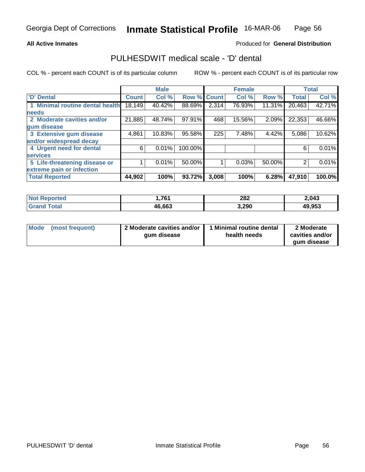#### **All Active Inmates**

### Produced for **General Distribution**

### PULHESDWIT medical scale - 'D' dental

|                                 |              | <b>Male</b> |                    |       | <b>Female</b> |        |              | <b>Total</b> |
|---------------------------------|--------------|-------------|--------------------|-------|---------------|--------|--------------|--------------|
| 'D' Dental                      | <b>Count</b> | Col %       | <b>Row % Count</b> |       | Col %         | Row %  | <b>Total</b> | Col %        |
| 1 Minimal routine dental health | 18,149       | 40.42%      | 88.69%             | 2,314 | 76.93%        | 11.31% | 20,463       | 42.71%       |
| <b>needs</b>                    |              |             |                    |       |               |        |              |              |
| 2 Moderate cavities and/or      | 21,885       | 48.74%      | 97.91%             | 468   | 15.56%        | 2.09%  | 22,353       | 46.66%       |
| gum disease                     |              |             |                    |       |               |        |              |              |
| 3 Extensive gum disease         | 4,861        | 10.83%      | 95.58%             | 225   | 7.48%         | 4.42%  | 5,086        | 10.62%       |
| and/or widespread decay         |              |             |                    |       |               |        |              |              |
| 4 Urgent need for dental        | 6            | 0.01%       | 100.00%            |       |               |        | 6            | 0.01%        |
| <b>services</b>                 |              |             |                    |       |               |        |              |              |
| 5 Life-threatening disease or   |              | 0.01%       | 50.00%             |       | 0.03%         | 50.00% | 2            | 0.01%        |
| extreme pain or infection       |              |             |                    |       |               |        |              |              |
| <b>Total Reported</b>           | 44,902       | 100%        | 93.72%             | 3,008 | 100%          | 6.28%  | 47,910       | 100.0%       |

| <b>Not</b><br>Reported | 1,761  | 282   | 2,043  |
|------------------------|--------|-------|--------|
| ™ota⊩<br><b>Grar</b>   | 46,663 | 3,290 | 49,953 |

| Mode | (most frequent) | 2 Moderate cavities and/or  <br>gum disease | 1 Minimal routine dental<br>health needs | 2 Moderate<br>cavities and/or |
|------|-----------------|---------------------------------------------|------------------------------------------|-------------------------------|
|      |                 |                                             |                                          | gum disease                   |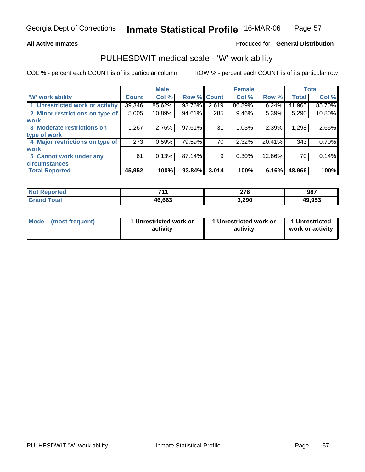#### **All Active Inmates**

#### Produced for **General Distribution**

### PULHESDWIT medical scale - 'W' work ability

|                                 |              | <b>Male</b> |             |       | <b>Female</b> |          |              | <b>Total</b> |
|---------------------------------|--------------|-------------|-------------|-------|---------------|----------|--------------|--------------|
| <b>W' work ability</b>          | <b>Count</b> | Col %       | Row % Count |       | Col%          | Row %    | <b>Total</b> | Col %        |
| 1 Unrestricted work or activity | 39,346       | 85.62%      | 93.76%      | 2,619 | 86.89%        | $6.24\%$ | 41,965       | 85.70%       |
| 2 Minor restrictions on type of | 5,005        | 10.89%      | 94.61%      | 285   | 9.46%         | 5.39%    | 5,290        | 10.80%       |
| <b>work</b>                     |              |             |             |       |               |          |              |              |
| 3 Moderate restrictions on      | 1,267        | 2.76%       | 97.61%      | 31    | 1.03%         | 2.39%    | 1,298        | 2.65%        |
| type of work                    |              |             |             |       |               |          |              |              |
| 4 Major restrictions on type of | 273          | 0.59%       | 79.59%      | 70    | 2.32%         | 20.41%   | 343          | 0.70%        |
| work                            |              |             |             |       |               |          |              |              |
| 5 Cannot work under any         | 61           | 0.13%       | 87.14%      | 9     | 0.30%         | 12.86%   | 70           | 0.14%        |
| <b>circumstances</b>            |              |             |             |       |               |          |              |              |
| <b>Total Reported</b>           | 45,952       | 100%        | 93.84%      | 3,014 | 100%          | 6.16%    | 48,966       | 100%         |

| <b>Not Reported</b> | 744    | 276   | 987    |
|---------------------|--------|-------|--------|
| Total<br>'Grand     | 46,663 | 3,290 | 49,953 |

| Mode | (most frequent) | 1 Unrestricted work or<br>activity | 1 Unrestricted work or<br>activity | 1 Unrestricted<br>work or activity |
|------|-----------------|------------------------------------|------------------------------------|------------------------------------|
|------|-----------------|------------------------------------|------------------------------------|------------------------------------|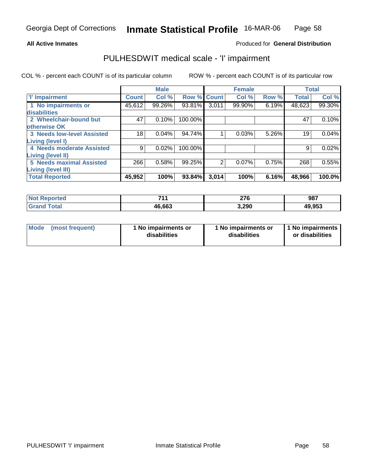#### **All Active Inmates**

### Produced for **General Distribution**

### PULHESDWIT medical scale - 'I' impairment

|                                   |              | <b>Male</b> |             |       | <b>Female</b> |       | <b>Total</b> |        |
|-----------------------------------|--------------|-------------|-------------|-------|---------------|-------|--------------|--------|
| <b>T' Impairment</b>              | <b>Count</b> | Col %       | Row % Count |       | Col %         | Row % | <b>Total</b> | Col %  |
| 1 No impairments or               | 45,612       | 99.26%      | 93.81%      | 3,011 | 99.90%        | 6.19% | 48,623       | 99.30% |
| disabilities                      |              |             |             |       |               |       |              |        |
| 2 Wheelchair-bound but            | 47           | 0.10%       | 100.00%     |       |               |       | 47           | 0.10%  |
| otherwise OK                      |              |             |             |       |               |       |              |        |
| <b>3 Needs low-level Assisted</b> | 18           | 0.04%       | 94.74%      |       | 0.03%         | 5.26% | 19           | 0.04%  |
| Living (level I)                  |              |             |             |       |               |       |              |        |
| 4 Needs moderate Assisted         | 9            | 0.02%       | 100.00%     |       |               |       | 9            | 0.02%  |
| Living (level II)                 |              |             |             |       |               |       |              |        |
| <b>5 Needs maximal Assisted</b>   | 266          | 0.58%       | 99.25%      | 2     | 0.07%         | 0.75% | 268          | 0.55%  |
| Living (level III)                |              |             |             |       |               |       |              |        |
| <b>Total Reported</b>             | 45,952       | 100%        | 93.84%      | 3,014 | 100%          | 6.16% | 48,966       | 100.0% |

| <b>Not</b><br><b>Reported</b> | 744    | <b>276</b><br>41 U<br>___ | 987    |
|-------------------------------|--------|---------------------------|--------|
| Total<br><b>Grand</b>         | 46,663 | 3,290                     | 49,953 |

| Mode | (most frequent) | 1 No impairments or<br>disabilities | 1 No impairments or<br>disabilities | 11 No impairments<br>or disabilities |
|------|-----------------|-------------------------------------|-------------------------------------|--------------------------------------|
|------|-----------------|-------------------------------------|-------------------------------------|--------------------------------------|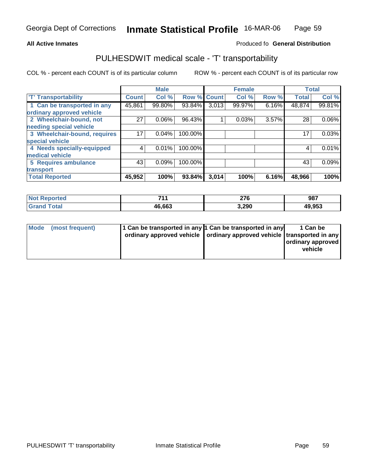#### **Inmate Statistical Profile** 16-MAR-06 Page Page 59

#### **All Active Inmates Allowski** Produced fo **General Distribution**

### PULHESDWIT medical scale - 'T' transportability

|                              |              | <b>Male</b> |                    |       | <b>Female</b> |       | <b>Total</b> |          |
|------------------------------|--------------|-------------|--------------------|-------|---------------|-------|--------------|----------|
| <b>T' Transportability</b>   | <b>Count</b> | Col %       | <b>Row % Count</b> |       | Col %         | Row % | <b>Total</b> | Col %    |
| 1 Can be transported in any  | 45,861       | 99.80%      | 93.84%             | 3,013 | 99.97%        | 6.16% | 48,874       | 99.81%   |
| ordinary approved vehicle    |              |             |                    |       |               |       |              |          |
| 2 Wheelchair-bound, not      | 27           | 0.06%       | 96.43%             |       | 0.03%         | 3.57% | 28           | $0.06\%$ |
| needing special vehicle      |              |             |                    |       |               |       |              |          |
| 3 Wheelchair-bound, requires | 17           | 0.04%       | 100.00%            |       |               |       | 17           | 0.03%    |
| special vehicle              |              |             |                    |       |               |       |              |          |
| 4 Needs specially-equipped   | 4            | 0.01%       | 100.00%            |       |               |       | 4            | 0.01%    |
| medical vehicle              |              |             |                    |       |               |       |              |          |
| 5 Requires ambulance         | 43           | 0.09%       | 100.00%            |       |               |       | 43           | 0.09%    |
| transport                    |              |             |                    |       |               |       |              |          |
| <b>Total Reported</b>        | 45,952       | 100%        | 93.84%             | 3,014 | 100%          | 6.16% | 48,966       | 100%     |

| <b>No</b>          | 744    | 276   | 987    |
|--------------------|--------|-------|--------|
| eported:           |        | ___   |        |
| $T$ otol<br>'Grano | 46,663 | 3,290 | 49,953 |

| Mode (most frequent) | 1 Can be transported in any 1 Can be transported in any<br>ordinary approved vehicle   ordinary approved vehicle   transported in any | 1 Can be<br>ordinary approved<br>vehicle |
|----------------------|---------------------------------------------------------------------------------------------------------------------------------------|------------------------------------------|
|                      |                                                                                                                                       |                                          |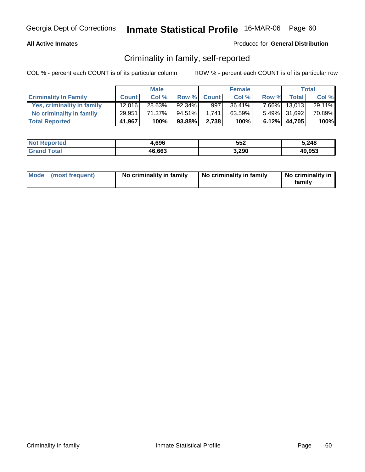### **All Active Inmates**

#### Produced for **General Distribution**

### Criminality in family, self-reported

|                              |              | <b>Male</b> |        |             | <b>Female</b> |       |              | <b>Total</b> |
|------------------------------|--------------|-------------|--------|-------------|---------------|-------|--------------|--------------|
| <b>Criminality In Family</b> | <b>Count</b> | Col%        |        | Row % Count | Col %         | Row % | <b>Total</b> | Col %        |
| Yes, criminality in family   | 12,016       | $28.63\%$   | 92.34% | 997         | $36.41\%$     |       | 7.66% 13.013 | 29.11%       |
| No criminality in family     | 29,951       | 71.37%      | 94.51% | 1.741       | 63.59%        |       | 5.49% 31,692 | 70.89%       |
| <b>Total Reported</b>        | 41,967       | 100%        | 93.88% | 2.738       | 100%          |       | 6.12% 44,705 | 100%         |

| <b>Not</b><br><b>Reported</b> | 696,ا  | 552   | 5,248  |
|-------------------------------|--------|-------|--------|
| <b>Tota</b>                   | 46,663 | 3,290 | 49.953 |

| Mode (most frequent) | No criminality in family | No criminality in family | No criminality in<br>family |
|----------------------|--------------------------|--------------------------|-----------------------------|
|----------------------|--------------------------|--------------------------|-----------------------------|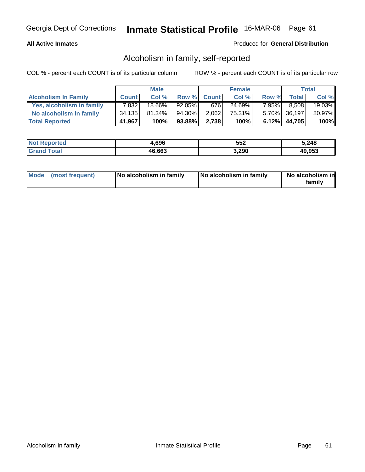### **All Active Inmates**

### Produced for **General Distribution**

### Alcoholism in family, self-reported

|                             |              | <b>Male</b> |           |             | <b>Female</b> |          |              | <b>Total</b> |
|-----------------------------|--------------|-------------|-----------|-------------|---------------|----------|--------------|--------------|
| <b>Alcoholism In Family</b> | <b>Count</b> | Col%        |           | Row % Count | Col %         | Row %    | <b>Total</b> | Col %        |
| Yes, alcoholism in family   | 7,832        | $18.66\%$   | $92.05\%$ | 676         | 24.69%        | $7.95\%$ | 8.508        | 19.03%       |
| No alcoholism in family     | 34,135       | $81.34\%$   | 94.30%    | 2,062       | 75.31%        |          | 5.70% 36,197 | 80.97%       |
| <b>Total Reported</b>       | 41,967       | 100%        | 93.88%    | 2.738       | 100%          |          | 6.12% 44,705 | 100%         |

| <b>Not Reported</b>   | .,696  | 552   | 5,248  |
|-----------------------|--------|-------|--------|
| <b>Grand</b><br>Total | 46,663 | 3,290 | 49,953 |

| Mode (most frequent) | No alcoholism in family | No alcoholism in family | No alcoholism in<br>familv |
|----------------------|-------------------------|-------------------------|----------------------------|
|----------------------|-------------------------|-------------------------|----------------------------|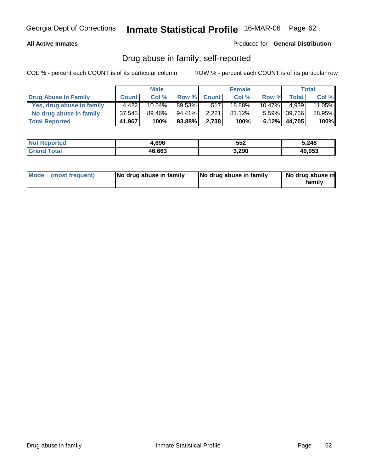### **All Active Inmates**

Produced for **General Distribution**

### Drug abuse in family, self-reported

|                           |              | <b>Male</b> |           |             | <b>Female</b> |           |                 | Total  |
|---------------------------|--------------|-------------|-----------|-------------|---------------|-----------|-----------------|--------|
| Drug Abuse In Family      | <b>Count</b> | Col %       |           | Row % Count | Col %         | Row %     | Total I         | Col %  |
| Yes, drug abuse in family | 4.422        | $10.54\%$   | 89.53%    | 517         | 18.88%        | $10.47\%$ | 4.939           | 11.05% |
| No drug abuse in family   | 37,545       | 89.46%      | $94.41\%$ | 2.221       | $81.12\%$     |           | $5.59\%$ 39,766 | 88.95% |
| <b>Total Reported</b>     | 41,967       | 100%        | 93.88%    | 2.738       | 100%          |           | $6.12\%$ 44,705 | 100%   |

| <b>Not Reported</b>   | .,696  | 552   | 5,248  |
|-----------------------|--------|-------|--------|
| <b>Grand</b><br>Total | 46,663 | 3,290 | 49,953 |

|  | Mode (most frequent) | No drug abuse in family | No drug abuse in family | No drug abuse in<br>family |
|--|----------------------|-------------------------|-------------------------|----------------------------|
|--|----------------------|-------------------------|-------------------------|----------------------------|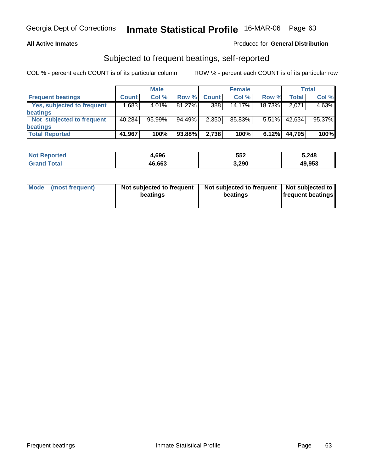### **All Active Inmates**

### Produced for **General Distribution**

### Subjected to frequent beatings, self-reported

|                            |              | <b>Male</b> |        |              | <b>Female</b> |          |              | <b>Total</b> |
|----------------------------|--------------|-------------|--------|--------------|---------------|----------|--------------|--------------|
| <b>Frequent beatings</b>   | <b>Count</b> | Col%        | Row %  | <b>Count</b> | Col%          | Row %    | <b>Total</b> | Col %        |
| Yes, subjected to frequent | .683         | $4.01\%$    | 81.27% | 388          | 14.17%        | 18.73%   | 2.071        | 4.63%        |
| <b>beatings</b>            |              |             |        |              |               |          |              |              |
| Not subjected to frequent  | 40,284       | $95.99\%$   | 94.49% | 2.350        | 85.83%        | $5.51\%$ | 42,634       | 95.37%       |
| beatings                   |              |             |        |              |               |          |              |              |
| <b>Total Reported</b>      | 41,967       | 100%        | 93.88% | 2,738        | 100%          | 6.12%    | 44,705       | 100%         |

| <b>Not Reported</b>   | .696   | 552   | 5,248  |
|-----------------------|--------|-------|--------|
| <b>Total</b><br>Grand | 46,663 | 3,290 | 49.953 |

| Mode | (most frequent) | Not subjected to frequent<br>beatings | Not subjected to frequent   Not subjected to  <br>beatings | <b>frequent beatings</b> |
|------|-----------------|---------------------------------------|------------------------------------------------------------|--------------------------|
|------|-----------------|---------------------------------------|------------------------------------------------------------|--------------------------|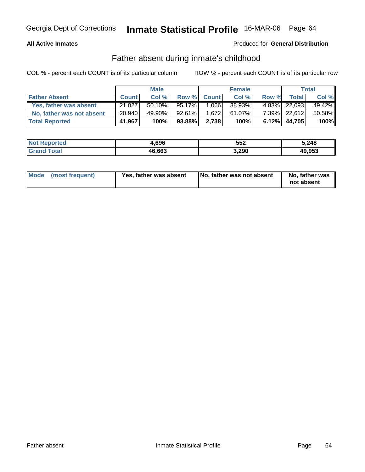### **All Active Inmates**

### Produced for **General Distribution**

### Father absent during inmate's childhood

|                           |              | <b>Male</b> |           |             | <b>Female</b> |       |                 | Total  |
|---------------------------|--------------|-------------|-----------|-------------|---------------|-------|-----------------|--------|
| <b>Father Absent</b>      | <b>Count</b> | Col %       |           | Row % Count | Col %         | Row % | Total           | Col %  |
| Yes, father was absent    | 21,027       | $50.10\%$   | $95.17\%$ | 1,066       | 38.93%        |       | 4.83% 22,093    | 49.42% |
| No, father was not absent | 20,940       | 49.90%      | $92.61\%$ | 1.672       | 61.07%        |       | 7.39% 22,612    | 50.58% |
| <b>Total Reported</b>     | 41,967       | 100%        | 93.88%    | 2.738       | 100%          |       | $6.12\%$ 44,705 | 100%   |

| <b>Not</b><br><b>Reported</b> | 1,696  | 552   | 5,248  |
|-------------------------------|--------|-------|--------|
| $\sim$                        | 46,663 | 3,290 | 49,953 |

| Mode (most frequent)<br>Yes, father was absent | No, father was not absent | No, father was<br>not absent |
|------------------------------------------------|---------------------------|------------------------------|
|------------------------------------------------|---------------------------|------------------------------|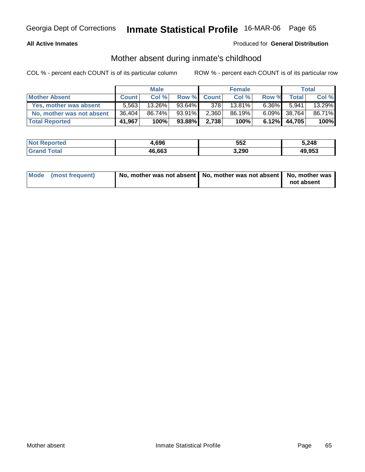### **All Active Inmates**

### Produced for **General Distribution**

### Mother absent during inmate's childhood

|                           | <b>Male</b>  |        |           | <b>Female</b> |        |          | Total           |        |
|---------------------------|--------------|--------|-----------|---------------|--------|----------|-----------------|--------|
| <b>Mother Absent</b>      | <b>Count</b> | Col %  |           | Row % Count   | Col %  | Row %    | <b>Total</b>    | Col %  |
| Yes, mother was absent    | 5.563        | 13.26% | $93.64\%$ | 378           | 13.81% | $6.36\%$ | 5.941           | 13.29% |
| No, mother was not absent | 36,404       | 86.74% | 93.91%    | 2,360         | 86.19% |          | 6.09% 38,764    | 86.71% |
| <b>Total Reported</b>     | 41,967       | 100%   | 93.88%    | 2.738         | 100%   |          | $6.12\%$ 44,705 | 100%   |

| <b>Not</b><br><b>Reported</b> | 1,696  | 552   | 5,248  |
|-------------------------------|--------|-------|--------|
| $\sim$                        | 46,663 | 3,290 | 49,953 |

| Mode (most frequent) | No, mother was not absent   No, mother was not absent   No, mother was |            |
|----------------------|------------------------------------------------------------------------|------------|
|                      |                                                                        | not absent |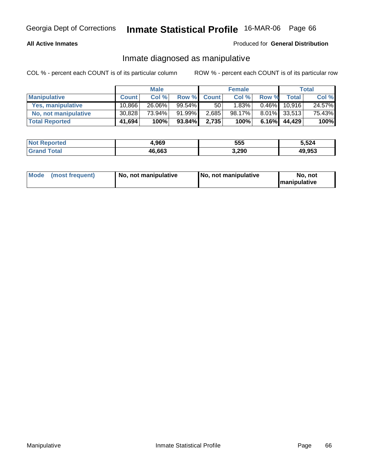#### **All Active Inmates**

### Produced for **General Distribution**

### Inmate diagnosed as manipulative

|                       | <b>Male</b>  |        |           | <b>Female</b> |          |          | Total  |        |
|-----------------------|--------------|--------|-----------|---------------|----------|----------|--------|--------|
| <b>Manipulative</b>   | <b>Count</b> | Col %  |           | Row % Count   | Col %    | Row %    | Total  | Col %  |
| Yes, manipulative     | 10,866       | 26.06% | $99.54\%$ | 50            | $1.83\%$ | $0.46\%$ | 10.916 | 24.57% |
| No, not manipulative  | 30,828       | 73.94% | 91.99%    | 2,685         | 98.17%   | $8.01\%$ | 33,513 | 75.43% |
| <b>Total Reported</b> | 41,694       | 100%   | 93.84%    | 2,735         | 100%     | $6.16\%$ | 44,429 | 100%   |

| <b>Not Reported</b>  | 1.969  | 555   | 5,524  |
|----------------------|--------|-------|--------|
| <b>Tota</b><br>Grand | 46,663 | 3,290 | 49,953 |

| Mode (most frequent) | 1 No. not manipulative | <b>No. not manipulative</b> | No. not              |
|----------------------|------------------------|-----------------------------|----------------------|
|                      |                        |                             | <b>Imanipulative</b> |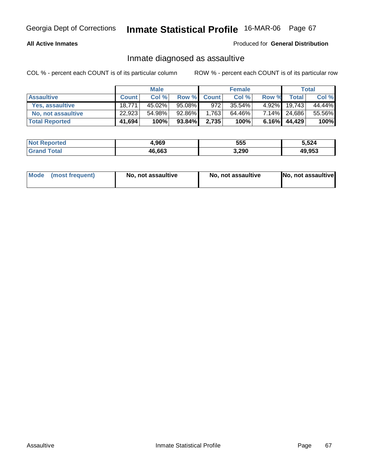### **All Active Inmates**

#### Produced for **General Distribution**

### Inmate diagnosed as assaultive

|                       | <b>Male</b>  |        |        | <b>Female</b>     |           |          | Total        |        |
|-----------------------|--------------|--------|--------|-------------------|-----------|----------|--------------|--------|
| <b>Assaultive</b>     | <b>Count</b> | Col %  | Row %  | <b>Count</b>      | Col %     | Row %    | Total        | Col %  |
| Yes, assaultive       | 18,771       | 45.02% | 95.08% | 972               | $35.54\%$ | $4.92\%$ | 19,743       | 44.44% |
| No, not assaultive    | 22,923       | 54.98% | 92.86% | .763 <sup>1</sup> | 64.46%    |          | 7.14% 24,686 | 55.56% |
| <b>Total Reported</b> | 41,694       | 100%   | 93.84% | 2,735             | 100%      | $6.16\%$ | 44,429       | 100%   |

| <b>Not Reported</b> | 1,969  | 555   | 5,524  |
|---------------------|--------|-------|--------|
| ⊺otai               | 46,663 | 3,290 | 49.953 |

| Mode (most frequent)<br>No, not assaultive | No, not assaultive | No, not assaultive |
|--------------------------------------------|--------------------|--------------------|
|--------------------------------------------|--------------------|--------------------|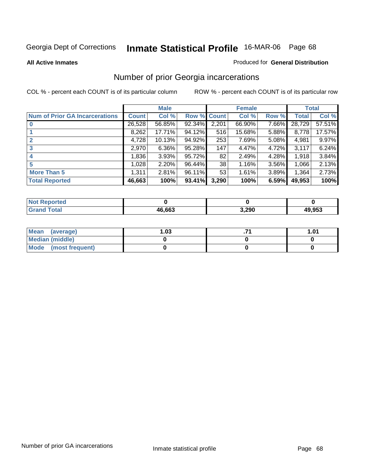#### **All Active Inmates**

#### Produced for **General Distribution**

### Number of prior Georgia incarcerations

|                                       |                | <b>Male</b> |                    |       | <b>Female</b> |          |        | <b>Total</b> |
|---------------------------------------|----------------|-------------|--------------------|-------|---------------|----------|--------|--------------|
| <b>Num of Prior GA Incarcerations</b> | <b>Count</b> l | Col %       | <b>Row % Count</b> |       | Col %         | Row %    | Total  | Col %        |
|                                       | 26,528         | 56.85%      | 92.34%             | 2,201 | 66.90%        | 7.66%    | 28,729 | 57.51%       |
|                                       | 8,262          | 17.71%      | 94.12%             | 516   | 15.68%        | 5.88%    | 8,778  | 17.57%       |
|                                       | 4,728          | 10.13%      | 94.92%             | 253   | 7.69%         | 5.08%    | 4,981  | 9.97%        |
| 3                                     | 2,970          | 6.36%       | 95.28%             | 147   | 4.47%         | 4.72%    | 3,117  | 6.24%        |
| $\boldsymbol{4}$                      | 1,836          | 3.93%       | 95.72%             | 82    | 2.49%         | 4.28%    | 1,918  | 3.84%        |
| 5                                     | 1,028          | 2.20%       | 96.44%             | 38    | 1.16%         | $3.56\%$ | 1,066  | 2.13%        |
| <b>More Than 5</b>                    | 1,311          | 2.81%       | 96.11%             | 53    | 1.61%         | 3.89%    | 1,364  | 2.73%        |
| <b>Total Reported</b>                 | 46,663         | 100%        | 93.41%             | 3,290 | 100%          | 6.59%    | 49,953 | 100%         |

| N     |              |       |        |
|-------|--------------|-------|--------|
| _____ | ደሕሕ ሕ1<br>ль | 3,290 | 49.953 |

| Mean (average)       | l.O3 | 1.01 |
|----------------------|------|------|
| Median (middle)      |      |      |
| Mode (most frequent) |      |      |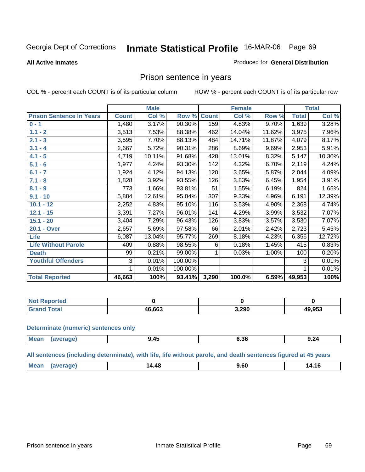**All Active Inmates**

#### Produced for **General Distribution**

### Prison sentence in years

COL % - percent each COUNT is of its particular column ROW % - percent each COUNT is of its particular row

|                                 |              | <b>Male</b> |         |                 | <b>Female</b> |        | <b>Total</b> |        |
|---------------------------------|--------------|-------------|---------|-----------------|---------------|--------|--------------|--------|
| <b>Prison Sentence In Years</b> | <b>Count</b> | Col %       | Row %   | <b>Count</b>    | Col %         | Row %  | <b>Total</b> | Col %  |
| $0 - 1$                         | 1,480        | 3.17%       | 90.30%  | 159             | 4.83%         | 9.70%  | 1,639        | 3.28%  |
| $1.1 - 2$                       | 3,513        | 7.53%       | 88.38%  | 462             | 14.04%        | 11.62% | 3,975        | 7.96%  |
| $2.1 - 3$                       | 3,595        | 7.70%       | 88.13%  | 484             | 14.71%        | 11.87% | 4,079        | 8.17%  |
| $3.1 - 4$                       | 2,667        | 5.72%       | 90.31%  | 286             | 8.69%         | 9.69%  | 2,953        | 5.91%  |
| $4.1 - 5$                       | 4,719        | 10.11%      | 91.68%  | 428             | 13.01%        | 8.32%  | 5,147        | 10.30% |
| $5.1 - 6$                       | 1,977        | 4.24%       | 93.30%  | 142             | 4.32%         | 6.70%  | 2,119        | 4.24%  |
| $6.1 - 7$                       | 1,924        | 4.12%       | 94.13%  | 120             | 3.65%         | 5.87%  | 2,044        | 4.09%  |
| $7.1 - 8$                       | 1,828        | 3.92%       | 93.55%  | 126             | 3.83%         | 6.45%  | 1,954        | 3.91%  |
| $8.1 - 9$                       | 773          | 1.66%       | 93.81%  | $\overline{51}$ | 1.55%         | 6.19%  | 824          | 1.65%  |
| $9.1 - 10$                      | 5,884        | 12.61%      | 95.04%  | 307             | 9.33%         | 4.96%  | 6,191        | 12.39% |
| $10.1 - 12$                     | 2,252        | 4.83%       | 95.10%  | 116             | 3.53%         | 4.90%  | 2,368        | 4.74%  |
| $12.1 - 15$                     | 3,391        | 7.27%       | 96.01%  | 141             | 4.29%         | 3.99%  | 3,532        | 7.07%  |
| $15.1 - 20$                     | 3,404        | 7.29%       | 96.43%  | 126             | 3.83%         | 3.57%  | 3,530        | 7.07%  |
| 20.1 - Over                     | 2,657        | 5.69%       | 97.58%  | 66              | 2.01%         | 2.42%  | 2,723        | 5.45%  |
| Life                            | 6,087        | 13.04%      | 95.77%  | 269             | 8.18%         | 4.23%  | 6,356        | 12.72% |
| <b>Life Without Parole</b>      | 409          | 0.88%       | 98.55%  | 6               | 0.18%         | 1.45%  | 415          | 0.83%  |
| <b>Death</b>                    | 99           | 0.21%       | 99.00%  |                 | 0.03%         | 1.00%  | 100          | 0.20%  |
| <b>Youthful Offenders</b>       | 3            | 0.01%       | 100.00% |                 |               |        | 3            | 0.01%  |
|                                 | 1            | 0.01%       | 100.00% |                 |               |        | 1            | 0.01%  |
| <b>Total Reported</b>           | 46,663       | 100%        | 93.41%  | 3,290           | 100.0%        | 6.59%  | 49,953       | 100%   |

| orteo |       |                |        |
|-------|-------|----------------|--------|
|       | 6.663 | 2.200<br>J.ZJU | 49,953 |

#### **Determinate (numeric) sentences only**

| Mea<br>ane≀ | $\cdots$<br><br>٠.<br>__ | ს. ას<br>$  -$ | $\overline{\phantom{a}}$<br>Y.Z4 |
|-------------|--------------------------|----------------|----------------------------------|

#### **All sentences (including determinate), with life, life without parole, and death sentences figured at 45 years**

| . <u>д</u><br>oι<br>.<br>.<br>. |  | M. | 4.48 |  |  |
|---------------------------------|--|----|------|--|--|
|---------------------------------|--|----|------|--|--|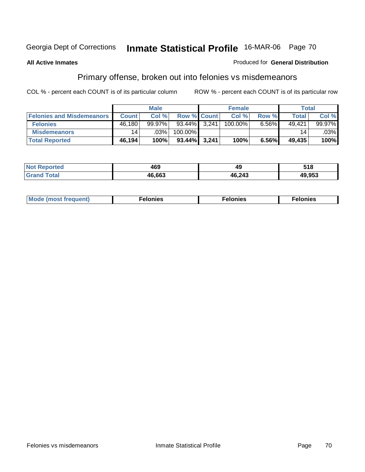### **All Active Inmates**

#### Produced for **General Distribution**

## Primary offense, broken out into felonies vs misdemeanors

|                                  |              | <b>Male</b> |                    |       | <b>Female</b> |       | Total  |        |
|----------------------------------|--------------|-------------|--------------------|-------|---------------|-------|--------|--------|
| <b>Felonies and Misdemeanors</b> | <b>Count</b> | Col %       | <b>Row % Count</b> |       | Col %         | Row % | Total  | Col %  |
| <b>Felonies</b>                  | 46,180       | $99.97\%$   | 93.44%             | 3.241 | 100.00%       | 6.56% | 49.421 | 99.97% |
| <b>Misdemeanors</b>              | 14           | $.03\%$     | 100.00%            |       |               |       | 14     | .03%   |
| <b>Total Reported</b>            | 46,194       | 100%        | $93.44\%$ 3,241    |       | 100%          | 6.56% | 49,435 | 100%   |

| N <sub>of</sub><br>'eported<br>$\sim$ | 460<br>-09 | - 17             | 518    |
|---------------------------------------|------------|------------------|--------|
|                                       | 16.663     | 46.24?<br>17.LTJ | 49.953 |

| Mode (most frequent) | าทเคร | lonies | elonies |
|----------------------|-------|--------|---------|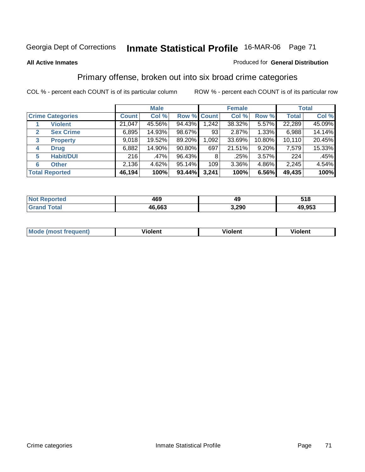#### **All Active Inmates**

#### Produced for **General Distribution**

### Primary offense, broken out into six broad crime categories

|   |                         |              | <b>Male</b> |             |       | <b>Female</b> |          | <b>Total</b> |        |
|---|-------------------------|--------------|-------------|-------------|-------|---------------|----------|--------------|--------|
|   | <b>Crime Categories</b> | <b>Count</b> | Col %       | Row % Count |       | Col %         | Row %    | <b>Total</b> | Col %  |
|   | <b>Violent</b>          | 21,047       | 45.56%      | 94.43%      | 1,242 | 38.32%        | 5.57%    | 22,289       | 45.09% |
| 2 | <b>Sex Crime</b>        | 6,895        | 14.93%      | 98.67%      | 93    | 2.87%         | $1.33\%$ | 6,988        | 14.14% |
| 3 | <b>Property</b>         | 9,018        | 19.52%      | 89.20%      | 1,092 | 33.69%        | 10.80%   | 10,110       | 20.45% |
| 4 | <b>Drug</b>             | 6,882        | 14.90%      | $90.80\%$   | 697   | 21.51%        | 9.20%    | 7,579        | 15.33% |
| 5 | <b>Habit/DUI</b>        | 216          | .47%        | 96.43%      | 8     | .25%          | 3.57%    | 224          | .45%   |
| 6 | <b>Other</b>            | 2,136        | 4.62%       | 95.14%      | 109   | 3.36%         | 4.86%    | 2,245        | 4.54%  |
|   | <b>Total Reported</b>   | 46,194       | 100%        | 93.44%      | 3,241 | 100%          | 6.56%    | 49,435       | 100%   |

| <b>orted</b><br>NO | 469    | 49             | 518    |
|--------------------|--------|----------------|--------|
| <b>Total</b>       | 46,663 | חמפ י<br>J.ZJU | 49,953 |

|  | <b>Mou</b> | .<br>Violent | <br>iolent | งlent |
|--|------------|--------------|------------|-------|
|--|------------|--------------|------------|-------|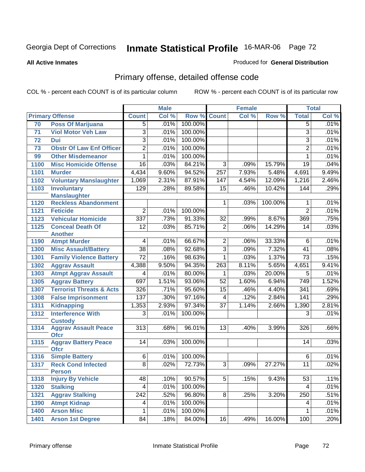#### **All Active Inmates**

#### Produced for **General Distribution**

## Primary offense, detailed offense code

| Col %<br>Col %<br><b>Count</b><br>Col %<br>Row %<br><b>Total</b><br><b>Primary Offense</b><br><b>Count</b><br>Row %<br>.01%<br>70<br><b>Poss Of Marijuana</b><br>.01%<br>100.00%<br>$\overline{5}$<br>$\overline{5}$<br>$\overline{3}$<br>100.00%<br>.01%<br><b>Viol Motor Veh Law</b><br>.01%<br>$\overline{3}$<br>71<br>$\overline{3}$<br>100.00%<br>$\overline{3}$<br>.01%<br>.01%<br>72<br><b>Dui</b><br>$\overline{2}$<br>.01%<br>100.00%<br>$\overline{2}$<br>.01%<br><b>Obstr Of Law Enf Officer</b><br>73<br>.01%<br>100.00%<br>.01%<br><b>Other Misdemeanor</b><br>1<br>$\mathbf{1}$<br>99<br>16<br>84.21%<br>.03%<br>$\overline{3}$<br>.09%<br>15.79%<br>$\overline{19}$<br>.04%<br>1100<br><b>Misc Homicide Offense</b><br>94.52%<br>257<br>4,434<br>9.60%<br>7.93%<br>5.48%<br>9.49%<br>1101<br>4,691<br><b>Murder</b><br><b>Voluntary Manslaughter</b><br>1,069<br>87.91%<br>147<br>12.09%<br>1,216<br>2.46%<br>1102<br>2.31%<br>4.54%<br>89.58%<br>.29%<br>1103<br>129<br>.28%<br>$\overline{15}$<br>.46%<br>10.42%<br>144<br><b>Involuntary</b><br><b>Manslaughter</b><br>.01%<br><b>Reckless Abandonment</b><br>100.00%<br>1120<br>.03%<br>1<br>1<br>$\overline{2}$<br>100.00%<br>$\overline{2}$<br>.01%<br>.01%<br>1121<br><b>Feticide</b><br>$\overline{337}$<br>91.33%<br>.75%<br>.73%<br>$\overline{32}$<br>8.67%<br>369<br>1123<br><b>Vehicular Homicide</b><br>.99%<br>$\overline{2}$<br><b>Conceal Death Of</b><br>.03%<br>85.71%<br>.06%<br>14.29%<br>.03%<br>1125<br>12<br>14<br><b>Another</b><br>66.67%<br><b>Atmpt Murder</b><br>.01%<br>$\overline{2}$<br>.06%<br>33.33%<br>.01%<br>1190<br>$\overline{\mathbf{4}}$<br>6<br>$\overline{3}$<br>$\overline{38}$<br>.08%<br>92.68%<br>7.32%<br>.08%<br><b>Misc Assault/Battery</b><br>.09%<br>$\overline{41}$<br>1300<br>$\overline{72}$<br>98.63%<br>1.37%<br><b>Family Violence Battery</b><br>.16%<br>$\mathbf{1}$<br>.03%<br>$\overline{73}$<br>.15%<br>1301<br>94.35%<br>5.65%<br>4,388<br>9.50%<br>263<br>8.11%<br>9.41%<br>1302<br><b>Aggrav Assault</b><br>4,651<br><b>Atmpt Aggrav Assault</b><br>80.00%<br>20.00%<br>.01%<br>.03%<br>.01%<br>1303<br>5<br>4<br>1<br>1.51%<br>93.06%<br>6.94%<br>1.52%<br><b>Aggrav Battery</b><br>697<br>$\overline{52}$<br>1.60%<br>749<br>1305<br><b>Terrorist Threats &amp; Acts</b><br>95.60%<br>$\overline{341}$<br>.69%<br>326<br>.71%<br>$\overline{15}$<br>.46%<br>4.40%<br>1307<br>137<br>97.16%<br>.29%<br>.30%<br>.12%<br>2.84%<br>141<br>4<br>1308<br><b>False Imprisonment</b><br>97.34%<br><b>Kidnapping</b><br>1,353<br>2.93%<br>$\overline{37}$<br>2.66%<br>2.81%<br>1311<br>1.14%<br>1,390<br>100.00%<br>.01%<br>1312<br><b>Interference With</b><br>$\overline{3}$<br>.01%<br>$\overline{3}$<br><b>Custody</b><br><b>Aggrav Assault Peace</b><br>$\overline{313}$<br>96.01%<br>$\overline{13}$<br>.40%<br>3.99%<br>326<br>.66%<br>1314<br>.68%<br><b>Ofcr</b><br><b>Aggrav Battery Peace</b><br>14<br>100.00%<br>.03%<br>1315<br>.03%<br>14<br><b>Ofcr</b><br><b>Simple Battery</b><br>$\overline{6}$<br>.01%<br>100.00%<br>.01%<br>1316<br>6<br><b>Reck Cond Infected</b><br>$\overline{8}$<br>.02%<br>.02%<br>72.73%<br>$\overline{3}$<br>27.27%<br>$\overline{11}$<br>.09%<br>1317<br><b>Person</b><br>.11%<br>90.57%<br>$\overline{5}$<br>48<br>9.43%<br>53<br><b>Injury By Vehicle</b><br>.10%<br>.15%<br>1318<br>100.00%<br>.01%<br><b>Stalking</b><br>.01%<br>1320<br>4<br>4<br>.51%<br><b>Aggrav Stalking</b><br>242<br>.52%<br>96.80%<br>3.20%<br>250<br>1321<br>8 <sup>1</sup><br>.25%<br>100.00%<br>.01%<br>1390<br><b>Atmpt Kidnap</b><br>4<br>.01%<br>4<br>100.00%<br><b>Arson Misc</b><br>.01%<br>1400<br>1<br>.01%<br>1 |      |                         |    | <b>Male</b> |        |    | <b>Female</b> |        |     | <b>Total</b> |
|------------------------------------------------------------------------------------------------------------------------------------------------------------------------------------------------------------------------------------------------------------------------------------------------------------------------------------------------------------------------------------------------------------------------------------------------------------------------------------------------------------------------------------------------------------------------------------------------------------------------------------------------------------------------------------------------------------------------------------------------------------------------------------------------------------------------------------------------------------------------------------------------------------------------------------------------------------------------------------------------------------------------------------------------------------------------------------------------------------------------------------------------------------------------------------------------------------------------------------------------------------------------------------------------------------------------------------------------------------------------------------------------------------------------------------------------------------------------------------------------------------------------------------------------------------------------------------------------------------------------------------------------------------------------------------------------------------------------------------------------------------------------------------------------------------------------------------------------------------------------------------------------------------------------------------------------------------------------------------------------------------------------------------------------------------------------------------------------------------------------------------------------------------------------------------------------------------------------------------------------------------------------------------------------------------------------------------------------------------------------------------------------------------------------------------------------------------------------------------------------------------------------------------------------------------------------------------------------------------------------------------------------------------------------------------------------------------------------------------------------------------------------------------------------------------------------------------------------------------------------------------------------------------------------------------------------------------------------------------------------------------------------------------------------------------------------------------------------------------------------------------------------------------------------------------------------------------------------------------------------------------------------------------------------------------------------------------------------------------------------------------------------------------------------------------------------------------------------------------------------------------------------------------------------------------------------------------------------------------------------------------------------------------------------------|------|-------------------------|----|-------------|--------|----|---------------|--------|-----|--------------|
|                                                                                                                                                                                                                                                                                                                                                                                                                                                                                                                                                                                                                                                                                                                                                                                                                                                                                                                                                                                                                                                                                                                                                                                                                                                                                                                                                                                                                                                                                                                                                                                                                                                                                                                                                                                                                                                                                                                                                                                                                                                                                                                                                                                                                                                                                                                                                                                                                                                                                                                                                                                                                                                                                                                                                                                                                                                                                                                                                                                                                                                                                                                                                                                                                                                                                                                                                                                                                                                                                                                                                                                                                                                                              |      |                         |    |             |        |    |               |        |     |              |
|                                                                                                                                                                                                                                                                                                                                                                                                                                                                                                                                                                                                                                                                                                                                                                                                                                                                                                                                                                                                                                                                                                                                                                                                                                                                                                                                                                                                                                                                                                                                                                                                                                                                                                                                                                                                                                                                                                                                                                                                                                                                                                                                                                                                                                                                                                                                                                                                                                                                                                                                                                                                                                                                                                                                                                                                                                                                                                                                                                                                                                                                                                                                                                                                                                                                                                                                                                                                                                                                                                                                                                                                                                                                              |      |                         |    |             |        |    |               |        |     |              |
|                                                                                                                                                                                                                                                                                                                                                                                                                                                                                                                                                                                                                                                                                                                                                                                                                                                                                                                                                                                                                                                                                                                                                                                                                                                                                                                                                                                                                                                                                                                                                                                                                                                                                                                                                                                                                                                                                                                                                                                                                                                                                                                                                                                                                                                                                                                                                                                                                                                                                                                                                                                                                                                                                                                                                                                                                                                                                                                                                                                                                                                                                                                                                                                                                                                                                                                                                                                                                                                                                                                                                                                                                                                                              |      |                         |    |             |        |    |               |        |     |              |
|                                                                                                                                                                                                                                                                                                                                                                                                                                                                                                                                                                                                                                                                                                                                                                                                                                                                                                                                                                                                                                                                                                                                                                                                                                                                                                                                                                                                                                                                                                                                                                                                                                                                                                                                                                                                                                                                                                                                                                                                                                                                                                                                                                                                                                                                                                                                                                                                                                                                                                                                                                                                                                                                                                                                                                                                                                                                                                                                                                                                                                                                                                                                                                                                                                                                                                                                                                                                                                                                                                                                                                                                                                                                              |      |                         |    |             |        |    |               |        |     |              |
|                                                                                                                                                                                                                                                                                                                                                                                                                                                                                                                                                                                                                                                                                                                                                                                                                                                                                                                                                                                                                                                                                                                                                                                                                                                                                                                                                                                                                                                                                                                                                                                                                                                                                                                                                                                                                                                                                                                                                                                                                                                                                                                                                                                                                                                                                                                                                                                                                                                                                                                                                                                                                                                                                                                                                                                                                                                                                                                                                                                                                                                                                                                                                                                                                                                                                                                                                                                                                                                                                                                                                                                                                                                                              |      |                         |    |             |        |    |               |        |     |              |
|                                                                                                                                                                                                                                                                                                                                                                                                                                                                                                                                                                                                                                                                                                                                                                                                                                                                                                                                                                                                                                                                                                                                                                                                                                                                                                                                                                                                                                                                                                                                                                                                                                                                                                                                                                                                                                                                                                                                                                                                                                                                                                                                                                                                                                                                                                                                                                                                                                                                                                                                                                                                                                                                                                                                                                                                                                                                                                                                                                                                                                                                                                                                                                                                                                                                                                                                                                                                                                                                                                                                                                                                                                                                              |      |                         |    |             |        |    |               |        |     |              |
|                                                                                                                                                                                                                                                                                                                                                                                                                                                                                                                                                                                                                                                                                                                                                                                                                                                                                                                                                                                                                                                                                                                                                                                                                                                                                                                                                                                                                                                                                                                                                                                                                                                                                                                                                                                                                                                                                                                                                                                                                                                                                                                                                                                                                                                                                                                                                                                                                                                                                                                                                                                                                                                                                                                                                                                                                                                                                                                                                                                                                                                                                                                                                                                                                                                                                                                                                                                                                                                                                                                                                                                                                                                                              |      |                         |    |             |        |    |               |        |     |              |
|                                                                                                                                                                                                                                                                                                                                                                                                                                                                                                                                                                                                                                                                                                                                                                                                                                                                                                                                                                                                                                                                                                                                                                                                                                                                                                                                                                                                                                                                                                                                                                                                                                                                                                                                                                                                                                                                                                                                                                                                                                                                                                                                                                                                                                                                                                                                                                                                                                                                                                                                                                                                                                                                                                                                                                                                                                                                                                                                                                                                                                                                                                                                                                                                                                                                                                                                                                                                                                                                                                                                                                                                                                                                              |      |                         |    |             |        |    |               |        |     |              |
|                                                                                                                                                                                                                                                                                                                                                                                                                                                                                                                                                                                                                                                                                                                                                                                                                                                                                                                                                                                                                                                                                                                                                                                                                                                                                                                                                                                                                                                                                                                                                                                                                                                                                                                                                                                                                                                                                                                                                                                                                                                                                                                                                                                                                                                                                                                                                                                                                                                                                                                                                                                                                                                                                                                                                                                                                                                                                                                                                                                                                                                                                                                                                                                                                                                                                                                                                                                                                                                                                                                                                                                                                                                                              |      |                         |    |             |        |    |               |        |     |              |
|                                                                                                                                                                                                                                                                                                                                                                                                                                                                                                                                                                                                                                                                                                                                                                                                                                                                                                                                                                                                                                                                                                                                                                                                                                                                                                                                                                                                                                                                                                                                                                                                                                                                                                                                                                                                                                                                                                                                                                                                                                                                                                                                                                                                                                                                                                                                                                                                                                                                                                                                                                                                                                                                                                                                                                                                                                                                                                                                                                                                                                                                                                                                                                                                                                                                                                                                                                                                                                                                                                                                                                                                                                                                              |      |                         |    |             |        |    |               |        |     |              |
|                                                                                                                                                                                                                                                                                                                                                                                                                                                                                                                                                                                                                                                                                                                                                                                                                                                                                                                                                                                                                                                                                                                                                                                                                                                                                                                                                                                                                                                                                                                                                                                                                                                                                                                                                                                                                                                                                                                                                                                                                                                                                                                                                                                                                                                                                                                                                                                                                                                                                                                                                                                                                                                                                                                                                                                                                                                                                                                                                                                                                                                                                                                                                                                                                                                                                                                                                                                                                                                                                                                                                                                                                                                                              |      |                         |    |             |        |    |               |        |     |              |
|                                                                                                                                                                                                                                                                                                                                                                                                                                                                                                                                                                                                                                                                                                                                                                                                                                                                                                                                                                                                                                                                                                                                                                                                                                                                                                                                                                                                                                                                                                                                                                                                                                                                                                                                                                                                                                                                                                                                                                                                                                                                                                                                                                                                                                                                                                                                                                                                                                                                                                                                                                                                                                                                                                                                                                                                                                                                                                                                                                                                                                                                                                                                                                                                                                                                                                                                                                                                                                                                                                                                                                                                                                                                              |      |                         |    |             |        |    |               |        |     |              |
|                                                                                                                                                                                                                                                                                                                                                                                                                                                                                                                                                                                                                                                                                                                                                                                                                                                                                                                                                                                                                                                                                                                                                                                                                                                                                                                                                                                                                                                                                                                                                                                                                                                                                                                                                                                                                                                                                                                                                                                                                                                                                                                                                                                                                                                                                                                                                                                                                                                                                                                                                                                                                                                                                                                                                                                                                                                                                                                                                                                                                                                                                                                                                                                                                                                                                                                                                                                                                                                                                                                                                                                                                                                                              |      |                         |    |             |        |    |               |        |     |              |
|                                                                                                                                                                                                                                                                                                                                                                                                                                                                                                                                                                                                                                                                                                                                                                                                                                                                                                                                                                                                                                                                                                                                                                                                                                                                                                                                                                                                                                                                                                                                                                                                                                                                                                                                                                                                                                                                                                                                                                                                                                                                                                                                                                                                                                                                                                                                                                                                                                                                                                                                                                                                                                                                                                                                                                                                                                                                                                                                                                                                                                                                                                                                                                                                                                                                                                                                                                                                                                                                                                                                                                                                                                                                              |      |                         |    |             |        |    |               |        |     |              |
|                                                                                                                                                                                                                                                                                                                                                                                                                                                                                                                                                                                                                                                                                                                                                                                                                                                                                                                                                                                                                                                                                                                                                                                                                                                                                                                                                                                                                                                                                                                                                                                                                                                                                                                                                                                                                                                                                                                                                                                                                                                                                                                                                                                                                                                                                                                                                                                                                                                                                                                                                                                                                                                                                                                                                                                                                                                                                                                                                                                                                                                                                                                                                                                                                                                                                                                                                                                                                                                                                                                                                                                                                                                                              |      |                         |    |             |        |    |               |        |     |              |
|                                                                                                                                                                                                                                                                                                                                                                                                                                                                                                                                                                                                                                                                                                                                                                                                                                                                                                                                                                                                                                                                                                                                                                                                                                                                                                                                                                                                                                                                                                                                                                                                                                                                                                                                                                                                                                                                                                                                                                                                                                                                                                                                                                                                                                                                                                                                                                                                                                                                                                                                                                                                                                                                                                                                                                                                                                                                                                                                                                                                                                                                                                                                                                                                                                                                                                                                                                                                                                                                                                                                                                                                                                                                              |      |                         |    |             |        |    |               |        |     |              |
|                                                                                                                                                                                                                                                                                                                                                                                                                                                                                                                                                                                                                                                                                                                                                                                                                                                                                                                                                                                                                                                                                                                                                                                                                                                                                                                                                                                                                                                                                                                                                                                                                                                                                                                                                                                                                                                                                                                                                                                                                                                                                                                                                                                                                                                                                                                                                                                                                                                                                                                                                                                                                                                                                                                                                                                                                                                                                                                                                                                                                                                                                                                                                                                                                                                                                                                                                                                                                                                                                                                                                                                                                                                                              |      |                         |    |             |        |    |               |        |     |              |
|                                                                                                                                                                                                                                                                                                                                                                                                                                                                                                                                                                                                                                                                                                                                                                                                                                                                                                                                                                                                                                                                                                                                                                                                                                                                                                                                                                                                                                                                                                                                                                                                                                                                                                                                                                                                                                                                                                                                                                                                                                                                                                                                                                                                                                                                                                                                                                                                                                                                                                                                                                                                                                                                                                                                                                                                                                                                                                                                                                                                                                                                                                                                                                                                                                                                                                                                                                                                                                                                                                                                                                                                                                                                              |      |                         |    |             |        |    |               |        |     |              |
|                                                                                                                                                                                                                                                                                                                                                                                                                                                                                                                                                                                                                                                                                                                                                                                                                                                                                                                                                                                                                                                                                                                                                                                                                                                                                                                                                                                                                                                                                                                                                                                                                                                                                                                                                                                                                                                                                                                                                                                                                                                                                                                                                                                                                                                                                                                                                                                                                                                                                                                                                                                                                                                                                                                                                                                                                                                                                                                                                                                                                                                                                                                                                                                                                                                                                                                                                                                                                                                                                                                                                                                                                                                                              |      |                         |    |             |        |    |               |        |     |              |
|                                                                                                                                                                                                                                                                                                                                                                                                                                                                                                                                                                                                                                                                                                                                                                                                                                                                                                                                                                                                                                                                                                                                                                                                                                                                                                                                                                                                                                                                                                                                                                                                                                                                                                                                                                                                                                                                                                                                                                                                                                                                                                                                                                                                                                                                                                                                                                                                                                                                                                                                                                                                                                                                                                                                                                                                                                                                                                                                                                                                                                                                                                                                                                                                                                                                                                                                                                                                                                                                                                                                                                                                                                                                              |      |                         |    |             |        |    |               |        |     |              |
|                                                                                                                                                                                                                                                                                                                                                                                                                                                                                                                                                                                                                                                                                                                                                                                                                                                                                                                                                                                                                                                                                                                                                                                                                                                                                                                                                                                                                                                                                                                                                                                                                                                                                                                                                                                                                                                                                                                                                                                                                                                                                                                                                                                                                                                                                                                                                                                                                                                                                                                                                                                                                                                                                                                                                                                                                                                                                                                                                                                                                                                                                                                                                                                                                                                                                                                                                                                                                                                                                                                                                                                                                                                                              |      |                         |    |             |        |    |               |        |     |              |
|                                                                                                                                                                                                                                                                                                                                                                                                                                                                                                                                                                                                                                                                                                                                                                                                                                                                                                                                                                                                                                                                                                                                                                                                                                                                                                                                                                                                                                                                                                                                                                                                                                                                                                                                                                                                                                                                                                                                                                                                                                                                                                                                                                                                                                                                                                                                                                                                                                                                                                                                                                                                                                                                                                                                                                                                                                                                                                                                                                                                                                                                                                                                                                                                                                                                                                                                                                                                                                                                                                                                                                                                                                                                              |      |                         |    |             |        |    |               |        |     |              |
|                                                                                                                                                                                                                                                                                                                                                                                                                                                                                                                                                                                                                                                                                                                                                                                                                                                                                                                                                                                                                                                                                                                                                                                                                                                                                                                                                                                                                                                                                                                                                                                                                                                                                                                                                                                                                                                                                                                                                                                                                                                                                                                                                                                                                                                                                                                                                                                                                                                                                                                                                                                                                                                                                                                                                                                                                                                                                                                                                                                                                                                                                                                                                                                                                                                                                                                                                                                                                                                                                                                                                                                                                                                                              |      |                         |    |             |        |    |               |        |     |              |
|                                                                                                                                                                                                                                                                                                                                                                                                                                                                                                                                                                                                                                                                                                                                                                                                                                                                                                                                                                                                                                                                                                                                                                                                                                                                                                                                                                                                                                                                                                                                                                                                                                                                                                                                                                                                                                                                                                                                                                                                                                                                                                                                                                                                                                                                                                                                                                                                                                                                                                                                                                                                                                                                                                                                                                                                                                                                                                                                                                                                                                                                                                                                                                                                                                                                                                                                                                                                                                                                                                                                                                                                                                                                              |      |                         |    |             |        |    |               |        |     |              |
|                                                                                                                                                                                                                                                                                                                                                                                                                                                                                                                                                                                                                                                                                                                                                                                                                                                                                                                                                                                                                                                                                                                                                                                                                                                                                                                                                                                                                                                                                                                                                                                                                                                                                                                                                                                                                                                                                                                                                                                                                                                                                                                                                                                                                                                                                                                                                                                                                                                                                                                                                                                                                                                                                                                                                                                                                                                                                                                                                                                                                                                                                                                                                                                                                                                                                                                                                                                                                                                                                                                                                                                                                                                                              |      |                         |    |             |        |    |               |        |     |              |
|                                                                                                                                                                                                                                                                                                                                                                                                                                                                                                                                                                                                                                                                                                                                                                                                                                                                                                                                                                                                                                                                                                                                                                                                                                                                                                                                                                                                                                                                                                                                                                                                                                                                                                                                                                                                                                                                                                                                                                                                                                                                                                                                                                                                                                                                                                                                                                                                                                                                                                                                                                                                                                                                                                                                                                                                                                                                                                                                                                                                                                                                                                                                                                                                                                                                                                                                                                                                                                                                                                                                                                                                                                                                              |      |                         |    |             |        |    |               |        |     |              |
|                                                                                                                                                                                                                                                                                                                                                                                                                                                                                                                                                                                                                                                                                                                                                                                                                                                                                                                                                                                                                                                                                                                                                                                                                                                                                                                                                                                                                                                                                                                                                                                                                                                                                                                                                                                                                                                                                                                                                                                                                                                                                                                                                                                                                                                                                                                                                                                                                                                                                                                                                                                                                                                                                                                                                                                                                                                                                                                                                                                                                                                                                                                                                                                                                                                                                                                                                                                                                                                                                                                                                                                                                                                                              |      |                         |    |             |        |    |               |        |     |              |
|                                                                                                                                                                                                                                                                                                                                                                                                                                                                                                                                                                                                                                                                                                                                                                                                                                                                                                                                                                                                                                                                                                                                                                                                                                                                                                                                                                                                                                                                                                                                                                                                                                                                                                                                                                                                                                                                                                                                                                                                                                                                                                                                                                                                                                                                                                                                                                                                                                                                                                                                                                                                                                                                                                                                                                                                                                                                                                                                                                                                                                                                                                                                                                                                                                                                                                                                                                                                                                                                                                                                                                                                                                                                              |      |                         |    |             |        |    |               |        |     |              |
|                                                                                                                                                                                                                                                                                                                                                                                                                                                                                                                                                                                                                                                                                                                                                                                                                                                                                                                                                                                                                                                                                                                                                                                                                                                                                                                                                                                                                                                                                                                                                                                                                                                                                                                                                                                                                                                                                                                                                                                                                                                                                                                                                                                                                                                                                                                                                                                                                                                                                                                                                                                                                                                                                                                                                                                                                                                                                                                                                                                                                                                                                                                                                                                                                                                                                                                                                                                                                                                                                                                                                                                                                                                                              |      |                         |    |             |        |    |               |        |     |              |
|                                                                                                                                                                                                                                                                                                                                                                                                                                                                                                                                                                                                                                                                                                                                                                                                                                                                                                                                                                                                                                                                                                                                                                                                                                                                                                                                                                                                                                                                                                                                                                                                                                                                                                                                                                                                                                                                                                                                                                                                                                                                                                                                                                                                                                                                                                                                                                                                                                                                                                                                                                                                                                                                                                                                                                                                                                                                                                                                                                                                                                                                                                                                                                                                                                                                                                                                                                                                                                                                                                                                                                                                                                                                              |      |                         |    |             |        |    |               |        |     |              |
|                                                                                                                                                                                                                                                                                                                                                                                                                                                                                                                                                                                                                                                                                                                                                                                                                                                                                                                                                                                                                                                                                                                                                                                                                                                                                                                                                                                                                                                                                                                                                                                                                                                                                                                                                                                                                                                                                                                                                                                                                                                                                                                                                                                                                                                                                                                                                                                                                                                                                                                                                                                                                                                                                                                                                                                                                                                                                                                                                                                                                                                                                                                                                                                                                                                                                                                                                                                                                                                                                                                                                                                                                                                                              |      |                         |    |             |        |    |               |        |     |              |
|                                                                                                                                                                                                                                                                                                                                                                                                                                                                                                                                                                                                                                                                                                                                                                                                                                                                                                                                                                                                                                                                                                                                                                                                                                                                                                                                                                                                                                                                                                                                                                                                                                                                                                                                                                                                                                                                                                                                                                                                                                                                                                                                                                                                                                                                                                                                                                                                                                                                                                                                                                                                                                                                                                                                                                                                                                                                                                                                                                                                                                                                                                                                                                                                                                                                                                                                                                                                                                                                                                                                                                                                                                                                              |      |                         |    |             |        |    |               |        |     |              |
|                                                                                                                                                                                                                                                                                                                                                                                                                                                                                                                                                                                                                                                                                                                                                                                                                                                                                                                                                                                                                                                                                                                                                                                                                                                                                                                                                                                                                                                                                                                                                                                                                                                                                                                                                                                                                                                                                                                                                                                                                                                                                                                                                                                                                                                                                                                                                                                                                                                                                                                                                                                                                                                                                                                                                                                                                                                                                                                                                                                                                                                                                                                                                                                                                                                                                                                                                                                                                                                                                                                                                                                                                                                                              |      |                         |    |             |        |    |               |        |     |              |
|                                                                                                                                                                                                                                                                                                                                                                                                                                                                                                                                                                                                                                                                                                                                                                                                                                                                                                                                                                                                                                                                                                                                                                                                                                                                                                                                                                                                                                                                                                                                                                                                                                                                                                                                                                                                                                                                                                                                                                                                                                                                                                                                                                                                                                                                                                                                                                                                                                                                                                                                                                                                                                                                                                                                                                                                                                                                                                                                                                                                                                                                                                                                                                                                                                                                                                                                                                                                                                                                                                                                                                                                                                                                              |      |                         |    |             |        |    |               |        |     |              |
|                                                                                                                                                                                                                                                                                                                                                                                                                                                                                                                                                                                                                                                                                                                                                                                                                                                                                                                                                                                                                                                                                                                                                                                                                                                                                                                                                                                                                                                                                                                                                                                                                                                                                                                                                                                                                                                                                                                                                                                                                                                                                                                                                                                                                                                                                                                                                                                                                                                                                                                                                                                                                                                                                                                                                                                                                                                                                                                                                                                                                                                                                                                                                                                                                                                                                                                                                                                                                                                                                                                                                                                                                                                                              |      |                         |    |             |        |    |               |        |     |              |
|                                                                                                                                                                                                                                                                                                                                                                                                                                                                                                                                                                                                                                                                                                                                                                                                                                                                                                                                                                                                                                                                                                                                                                                                                                                                                                                                                                                                                                                                                                                                                                                                                                                                                                                                                                                                                                                                                                                                                                                                                                                                                                                                                                                                                                                                                                                                                                                                                                                                                                                                                                                                                                                                                                                                                                                                                                                                                                                                                                                                                                                                                                                                                                                                                                                                                                                                                                                                                                                                                                                                                                                                                                                                              |      |                         |    |             |        |    |               |        |     |              |
|                                                                                                                                                                                                                                                                                                                                                                                                                                                                                                                                                                                                                                                                                                                                                                                                                                                                                                                                                                                                                                                                                                                                                                                                                                                                                                                                                                                                                                                                                                                                                                                                                                                                                                                                                                                                                                                                                                                                                                                                                                                                                                                                                                                                                                                                                                                                                                                                                                                                                                                                                                                                                                                                                                                                                                                                                                                                                                                                                                                                                                                                                                                                                                                                                                                                                                                                                                                                                                                                                                                                                                                                                                                                              | 1401 | <b>Arson 1st Degree</b> | 84 | .18%        | 84.00% | 16 | .49%          | 16.00% | 100 | .20%         |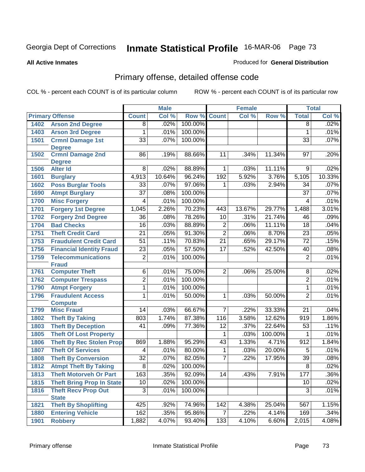#### **All Active Inmates**

### Produced for **General Distribution**

# Primary offense, detailed offense code

|      |                                                        |                 | <b>Male</b> |         |                 | <b>Female</b> |                  |                  | <b>Total</b>  |
|------|--------------------------------------------------------|-----------------|-------------|---------|-----------------|---------------|------------------|------------------|---------------|
|      | <b>Primary Offense</b>                                 | <b>Count</b>    | Col %       | Row %   | <b>Count</b>    | Col %         | Row %            | <b>Total</b>     | Col %         |
| 1402 | <b>Arson 2nd Degree</b>                                | $\overline{8}$  | .02%        | 100.00% |                 |               |                  | $\overline{8}$   | .02%          |
| 1403 | <b>Arson 3rd Degree</b>                                | 1               | .01%        | 100.00% |                 |               |                  | 1                | .01%          |
| 1501 | <b>Crmnl Damage 1st</b>                                | $\overline{33}$ | .07%        | 100.00% |                 |               |                  | $\overline{33}$  | .07%          |
|      | <b>Degree</b>                                          |                 |             |         |                 |               |                  |                  |               |
| 1502 | <b>Crmnl Damage 2nd</b>                                | 86              | .19%        | 88.66%  | 11              | .34%          | 11.34%           | 97               | .20%          |
|      | <b>Degree</b>                                          |                 |             |         |                 |               |                  |                  |               |
| 1506 | <b>Alter Id</b>                                        | 8               | .02%        | 88.89%  | $\vec{1}$       | .03%          | 11.11%           | 9                | .02%          |
| 1601 | <b>Burglary</b>                                        | 4,913           | 10.64%      | 96.24%  | 192             | 5.92%         | 3.76%            | 5,105            | 10.33%        |
| 1602 | <b>Poss Burglar Tools</b>                              | $\overline{33}$ | .07%        | 97.06%  | 1               | .03%          | 2.94%            | $\overline{34}$  | .07%          |
| 1690 | <b>Atmpt Burglary</b>                                  | $\overline{37}$ | .08%        | 100.00% |                 |               |                  | $\overline{37}$  | .07%          |
| 1700 | <b>Misc Forgery</b>                                    | 4               | .01%        | 100.00% |                 |               |                  | 4                | .01%          |
| 1701 | <b>Forgery 1st Degree</b>                              | 1,045           | 2.26%       | 70.23%  | 443             | 13.67%        | 29.77%           | 1,488            | 3.01%         |
| 1702 | <b>Forgery 2nd Degree</b>                              | $\overline{36}$ | .08%        | 78.26%  | $\overline{10}$ | .31%          | 21.74%           | 46               | .09%          |
| 1704 | <b>Bad Checks</b>                                      | $\overline{16}$ | .03%        | 88.89%  | $\overline{2}$  | .06%          | 11.11%           | 18               | .04%          |
| 1751 | <b>Theft Credit Card</b>                               | $\overline{21}$ | .05%        | 91.30%  | $\overline{2}$  | .06%          | 8.70%            | $\overline{23}$  | .05%          |
| 1753 | <b>Fraudulent Credit Card</b>                          | $\overline{51}$ | .11%        | 70.83%  | $\overline{21}$ | .65%          | 29.17%           | $\overline{72}$  | .15%          |
| 1756 | <b>Financial Identity Fraud</b>                        | $\overline{23}$ | .05%        | 57.50%  | $\overline{17}$ | .52%          | 42.50%           | 40               | .08%          |
| 1759 | <b>Telecommunications</b>                              | 2               | .01%        | 100.00% |                 |               |                  | $\overline{2}$   | .01%          |
|      | <b>Fraud</b>                                           |                 |             |         |                 |               |                  |                  |               |
| 1761 | <b>Computer Theft</b>                                  | $\overline{6}$  | .01%        | 75.00%  | $\overline{2}$  | .06%          | 25.00%           | $\overline{8}$   | .02%          |
| 1762 | <b>Computer Trespass</b>                               | $\overline{2}$  | .01%        | 100.00% |                 |               |                  | $\overline{2}$   | .01%          |
| 1790 | <b>Atmpt Forgery</b>                                   | 1               | .01%        | 100.00% |                 |               |                  | 1                | .01%          |
| 1796 | <b>Fraudulent Access</b>                               | 1               | .01%        | 50.00%  | 1               | .03%          | 50.00%           | $\overline{2}$   | .01%          |
| 1799 | <b>Compute</b><br><b>Misc Fraud</b>                    | 14              | .03%        | 66.67%  | $\overline{7}$  | .22%          | 33.33%           | $\overline{21}$  | .04%          |
|      |                                                        | 803             | 1.74%       | 87.38%  | 116             | 3.58%         | 12.62%           | $\overline{919}$ | 1.86%         |
| 1802 | <b>Theft By Taking</b>                                 | $\overline{41}$ |             | 77.36%  |                 | .37%          | 22.64%           | $\overline{53}$  | .11%          |
| 1803 | <b>Theft By Deception</b>                              |                 | .09%        |         | $\overline{12}$ |               |                  |                  |               |
| 1805 | <b>Theft Of Lost Property</b>                          |                 |             | 95.29%  | 1               | .03%<br>1.33% | 100.00%<br>4.71% | 1                | .01%<br>1.84% |
| 1806 | <b>Theft By Rec Stolen Prop</b>                        | 869             | 1.88%       |         | 43              |               |                  | $\overline{912}$ |               |
| 1807 | <b>Theft Of Services</b>                               | 4               | .01%        | 80.00%  | 1               | .03%          | 20.00%           | 5                | .01%          |
| 1808 | <b>Theft By Conversion</b>                             | $\overline{32}$ | .07%        | 82.05%  | 7               | .22%          | 17.95%           | $\overline{39}$  | .08%          |
| 1812 | <b>Atmpt Theft By Taking</b>                           | $\overline{8}$  | .02%        | 100.00% |                 |               |                  | $\overline{8}$   | .02%          |
| 1813 | <b>Theft Motorveh Or Part</b>                          | 163             | .35%        | 92.09%  | 14              | .43%          | 7.91%            | 177              | .36%          |
| 1815 | <b>Theft Bring Prop In State</b>                       | 10              | .02%        | 100.00% |                 |               |                  | 10               | .02%          |
| 1816 | <b>Theft Recv Prop Out</b>                             | $\overline{3}$  | .01%        | 100.00% |                 |               |                  | $\overline{3}$   | .01%          |
| 1821 | <b>State</b>                                           | 425             | .92%        | 74.96%  | 142             | 4.38%         | 25.04%           | 567              | 1.15%         |
|      | <b>Theft By Shoplifting</b><br><b>Entering Vehicle</b> | 162             | .35%        | 95.86%  | $\overline{7}$  |               | 4.14%            | 169              | .34%          |
| 1880 |                                                        |                 |             |         |                 | .22%          |                  | 2,015            |               |
| 1901 | <b>Robbery</b>                                         | 1,882           | 4.07%       | 93.40%  | 133             | 4.10%         | 6.60%            |                  | 4.08%         |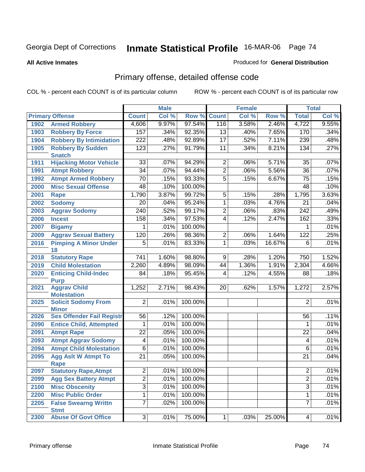#### **All Active Inmates**

#### Produced for **General Distribution**

# Primary offense, detailed offense code

|      |                                                  |                  | <b>Male</b> |         |                 | <b>Female</b> |        |                         | <b>Total</b> |
|------|--------------------------------------------------|------------------|-------------|---------|-----------------|---------------|--------|-------------------------|--------------|
|      | <b>Primary Offense</b>                           | <b>Count</b>     | Col %       | Row %   | <b>Count</b>    | Col %         | Row %  | <b>Total</b>            | Col %        |
| 1902 | <b>Armed Robbery</b>                             | 4,606            | 9.97%       | 97.54%  | 116             | 3.58%         | 2.46%  | 4,722                   | 9.55%        |
| 1903 | <b>Robbery By Force</b>                          | 157              | .34%        | 92.35%  | 13              | .40%          | 7.65%  | 170                     | .34%         |
| 1904 | <b>Robbery By Intimidation</b>                   | $\overline{222}$ | .48%        | 92.89%  | $\overline{17}$ | .52%          | 7.11%  | 239                     | .48%         |
| 1905 | <b>Robbery By Sudden</b>                         | 123              | .27%        | 91.79%  | 11              | .34%          | 8.21%  | 134                     | .27%         |
|      | <b>Snatch</b>                                    |                  |             |         |                 |               |        |                         |              |
| 1911 | <b>Hijacking Motor Vehicle</b>                   | 33               | .07%        | 94.29%  | 2               | .06%          | 5.71%  | 35                      | .07%         |
| 1991 | <b>Atmpt Robbery</b>                             | $\overline{34}$  | .07%        | 94.44%  | $\overline{2}$  | .06%          | 5.56%  | $\overline{36}$         | .07%         |
| 1992 | <b>Atmpt Armed Robbery</b>                       | $\overline{70}$  | .15%        | 93.33%  | 5               | .15%          | 6.67%  | $\overline{75}$         | .15%         |
| 2000 | <b>Misc Sexual Offense</b>                       | 48               | .10%        | 100.00% |                 |               |        | $\overline{48}$         | .10%         |
| 2001 | <b>Rape</b>                                      | 1,790            | 3.87%       | 99.72%  | 5               | .15%          | .28%   | 1,795                   | 3.63%        |
| 2002 | <b>Sodomy</b>                                    | 20               | .04%        | 95.24%  | 1               | .03%          | 4.76%  | $\overline{21}$         | .04%         |
| 2003 | <b>Aggrav Sodomy</b>                             | 240              | .52%        | 99.17%  | 2               | .06%          | .83%   | 242                     | .49%         |
| 2006 | <b>Incest</b>                                    | 158              | .34%        | 97.53%  | 4               | .12%          | 2.47%  | 162                     | .33%         |
| 2007 | <b>Bigamy</b>                                    | 1                | .01%        | 100.00% |                 |               |        | 1                       | .01%         |
| 2009 | <b>Aggrav Sexual Battery</b>                     | 120              | .26%        | 98.36%  | 2               | .06%          | 1.64%  | $\overline{122}$        | .25%         |
| 2016 | <b>Pimping A Minor Under</b>                     | 5                | .01%        | 83.33%  | 1               | .03%          | 16.67% | 6                       | .01%         |
|      | 18                                               |                  |             |         |                 |               |        |                         |              |
| 2018 | <b>Statutory Rape</b>                            | 741              | 1.60%       | 98.80%  | 9               | .28%          | 1.20%  | 750                     | 1.52%        |
| 2019 | <b>Child Molestation</b>                         | 2,260            | 4.89%       | 98.09%  | 44              | 1.36%         | 1.91%  | 2,304                   | 4.66%        |
| 2020 | <b>Enticing Child-Indec</b>                      | 84               | .18%        | 95.45%  | 4               | .12%          | 4.55%  | 88                      | .18%         |
|      | <b>Purp</b>                                      |                  |             |         |                 |               |        |                         |              |
| 2021 | <b>Aggrav Child</b>                              | 1,252            | 2.71%       | 98.43%  | 20              | .62%          | 1.57%  | 1,272                   | 2.57%        |
|      | <b>Molestation</b>                               |                  |             |         |                 |               |        |                         |              |
| 2025 | <b>Solicit Sodomy From</b>                       | $\overline{2}$   | .01%        | 100.00% |                 |               |        | 2                       | .01%         |
|      | <b>Minor</b><br><b>Sex Offender Fail Registr</b> | 56               | .12%        | 100.00% |                 |               |        | 56                      | .11%         |
| 2026 |                                                  |                  | .01%        | 100.00% |                 |               |        | 1                       | .01%         |
| 2090 | <b>Entice Child, Attempted</b>                   | 1                |             |         |                 |               |        |                         |              |
| 2091 | <b>Atmpt Rape</b>                                | $\overline{22}$  | .05%        | 100.00% |                 |               |        | $\overline{22}$         | .04%         |
| 2093 | <b>Atmpt Aggrav Sodomy</b>                       | 4                | .01%        | 100.00% |                 |               |        | $\overline{\mathbf{4}}$ | .01%         |
| 2094 | <b>Atmpt Child Molestation</b>                   | 6                | .01%        | 100.00% |                 |               |        | 6                       | .01%         |
| 2095 | <b>Agg Aslt W Atmpt To</b>                       | $\overline{21}$  | .05%        | 100.00% |                 |               |        | $\overline{21}$         | .04%         |
| 2097 | Rape<br><b>Statutory Rape, Atmpt</b>             | $\overline{2}$   | $.01\%$     | 100.00% |                 |               |        | $\overline{2}$          | .01%         |
| 2099 | <b>Agg Sex Battery Atmpt</b>                     | $\overline{2}$   | .01%        | 100.00% |                 |               |        | $\overline{2}$          | .01%         |
| 2100 | <b>Misc Obscenity</b>                            | $\overline{3}$   | .01%        | 100.00% |                 |               |        | $\overline{3}$          | .01%         |
|      |                                                  |                  |             |         |                 |               |        |                         |              |
| 2200 | <b>Misc Public Order</b>                         | 1                | .01%        | 100.00% |                 |               |        | 1                       | .01%         |
| 2205 | <b>False Swearng Writtn</b><br><b>Stmt</b>       | $\overline{7}$   | .02%        | 100.00% |                 |               |        | $\overline{7}$          | .01%         |
| 2300 | <b>Abuse Of Govt Office</b>                      | $\overline{3}$   | .01%        | 75.00%  | $\mathbf{1}$    | .03%          | 25.00% | $\overline{4}$          | .01%         |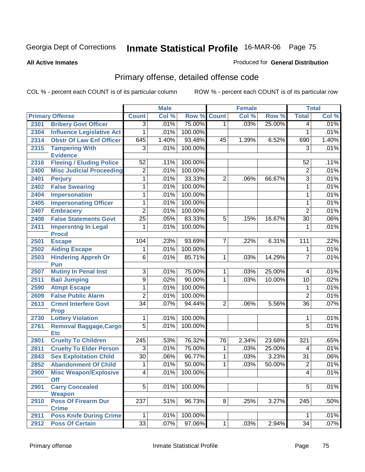#### **All Active Inmates**

### Produced for **General Distribution**

# Primary offense, detailed offense code

|      |                                            |                 | <b>Male</b>  |         |                | <b>Female</b> |        |                         | <b>Total</b> |
|------|--------------------------------------------|-----------------|--------------|---------|----------------|---------------|--------|-------------------------|--------------|
|      | <b>Primary Offense</b>                     | <b>Count</b>    | Col %        | Row %   | <b>Count</b>   | Col %         | Row %  | <b>Total</b>            | Col %        |
| 2301 | <b>Bribery Govt Officer</b>                | $\overline{3}$  | .01%         | 75.00%  | 1              | .03%          | 25.00% | 4                       | .01%         |
| 2304 | <b>Influence Legislative Act</b>           | 1               | .01%         | 100.00% |                |               |        | 1                       | .01%         |
| 2314 | <b>Obstr Of Law Enf Officer</b>            | 645             | 1.40%        | 93.48%  | 45             | 1.39%         | 6.52%  | 690                     | 1.40%        |
| 2315 | <b>Tampering With</b>                      | $\overline{3}$  | .01%         | 100.00% |                |               |        | 3                       | .01%         |
|      | <b>Evidence</b>                            |                 |              |         |                |               |        |                         |              |
| 2316 | <b>Fleeing / Eluding Police</b>            | 52              | .11%         | 100.00% |                |               |        | 52                      | .11%         |
| 2400 | <b>Misc Judicial Proceeding</b>            | $\overline{2}$  | .01%         | 100.00% |                |               |        | $\overline{2}$          | .01%         |
| 2401 | <b>Perjury</b>                             | 1               | .01%         | 33.33%  | $\overline{2}$ | .06%          | 66.67% | $\overline{3}$          | .01%         |
| 2402 | <b>False Swearing</b>                      | 1               | .01%         | 100.00% |                |               |        | $\mathbf{1}$            | .01%         |
| 2404 | Impersonation                              | 1               | .01%         | 100.00% |                |               |        | 1                       | .01%         |
| 2405 | <b>Impersonating Officer</b>               | 1               | .01%         | 100.00% |                |               |        | $\mathbf{1}$            | .01%         |
| 2407 | <b>Embracery</b>                           | $\overline{2}$  | .01%         | 100.00% |                |               |        | $\overline{2}$          | .01%         |
| 2408 | <b>False Statements Govt</b>               | $\overline{25}$ | .05%         | 83.33%  | 5              | .15%          | 16.67% | $\overline{30}$         | .06%         |
| 2411 | <b>Impersntng In Legal</b>                 | 1               | .01%         | 100.00% |                |               |        | 1                       | .01%         |
|      | <b>Procd</b>                               |                 |              |         |                |               |        |                         |              |
| 2501 | <b>Escape</b>                              | 104             | .23%         | 93.69%  | 7              | $.22\%$       | 6.31%  | $\overline{111}$        | .22%         |
| 2502 | <b>Aiding Escape</b>                       | 1               | .01%         | 100.00% |                |               |        | 1                       | .01%         |
| 2503 | <b>Hindering Appreh Or</b><br>Pun          | $\overline{6}$  | .01%         | 85.71%  | 1              | .03%          | 14.29% | 7                       | .01%         |
| 2507 | <b>Mutiny In Penal Inst</b>                | $\overline{3}$  | .01%         | 75.00%  | 1              | .03%          | 25.00% | $\overline{\mathbf{4}}$ | .01%         |
| 2511 | <b>Bail Jumping</b>                        | $\overline{9}$  | .02%         | 90.00%  | 1              | .03%          | 10.00% | $\overline{10}$         | .02%         |
| 2590 | <b>Atmpt Escape</b>                        | 1               | .01%         | 100.00% |                |               |        | 1                       | .01%         |
| 2609 | <b>False Public Alarm</b>                  | $\overline{2}$  | .01%         | 100.00% |                |               |        | $\overline{2}$          | .01%         |
| 2613 | <b>Crmnl Interfere Govt</b>                | $\overline{34}$ | .07%         | 94.44%  | 2              | .06%          | 5.56%  | $\overline{36}$         | .07%         |
|      | <b>Prop</b>                                |                 |              |         |                |               |        |                         |              |
| 2730 | <b>Lottery Violation</b>                   | 1               | .01%         | 100.00% |                |               |        | 1                       | .01%         |
| 2761 | <b>Removal Baggage, Cargo</b>              | 5               | .01%         | 100.00% |                |               |        | $\overline{5}$          | .01%         |
|      | <b>Etc</b>                                 |                 |              |         |                |               |        |                         |              |
| 2801 | <b>Cruelty To Children</b>                 | 245             | .53%<br>.01% | 76.32%  | 76             | 2.34%         | 23.68% | 321                     | .65%         |
| 2811 | <b>Cruelty To Elder Person</b>             | 3               |              | 75.00%  | 1              | .03%          | 25.00% | 4                       | .01%         |
| 2843 | <b>Sex Exploitation Child</b>              | $\overline{30}$ | .06%         | 96.77%  | 1              | .03%          | 3.23%  | $\overline{31}$         | .06%         |
| 2852 | <b>Abandonment Of Child</b>                | 1               | .01%         | 50.00%  | 1              | .03%          | 50.00% | 2                       | .01%         |
| 2900 | <b>Misc Weapon/Explosive</b><br><b>Off</b> | 4               | .01%         | 100.00% |                |               |        | $\overline{4}$          | .01%         |
| 2901 | <b>Carry Concealed</b>                     | $\overline{5}$  | .01%         | 100.00% |                |               |        | $\overline{5}$          | .01%         |
|      | Weapon                                     |                 |              |         |                |               |        |                         |              |
| 2910 | <b>Poss Of Firearm Dur</b>                 | 237             | .51%         | 96.73%  | 8              | .25%          | 3.27%  | 245                     | .50%         |
|      | <b>Crime</b>                               |                 |              |         |                |               |        |                         |              |
| 2911 | <b>Poss Knife During Crime</b>             | 1               | .01%         | 100.00% |                |               |        | 1                       | .01%         |
| 2912 | <b>Poss Of Certain</b>                     | 33              | .07%         | 97.06%  | 1              | .03%          | 2.94%  | 34                      | .07%         |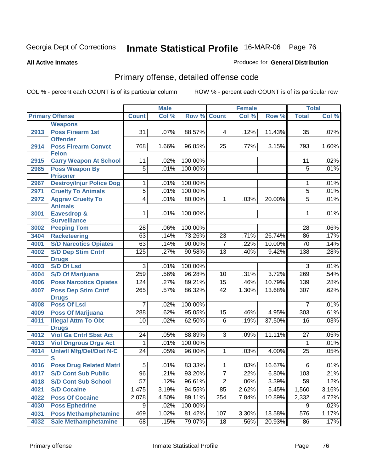Produced for **General Distribution**

#### **All Active Inmates**

# Primary offense, detailed offense code

|      |                                            |                 | <b>Male</b> |         |                         | <b>Female</b> |        |                 | <b>Total</b> |
|------|--------------------------------------------|-----------------|-------------|---------|-------------------------|---------------|--------|-----------------|--------------|
|      | <b>Primary Offense</b>                     | <b>Count</b>    | Col %       |         | <b>Row % Count</b>      | Col %         | Row %  | <b>Total</b>    | CoI%         |
|      | <b>Weapons</b>                             |                 |             |         |                         |               |        |                 |              |
| 2913 | <b>Poss Firearm 1st</b><br><b>Offender</b> | $\overline{31}$ | .07%        | 88.57%  | $\overline{\mathbf{4}}$ | .12%          | 11.43% | 35              | .07%         |
| 2914 | <b>Poss Firearm Convct</b><br><b>Felon</b> | 768             | 1.66%       | 96.85%  | 25                      | .77%          | 3.15%  | 793             | 1.60%        |
| 2915 | <b>Carry Weapon At School</b>              | 11              | .02%        | 100.00% |                         |               |        | 11              | .02%         |
| 2965 | <b>Poss Weapon By</b><br><b>Prisoner</b>   | $\overline{5}$  | .01%        | 100.00% |                         |               |        | $\overline{5}$  | .01%         |
| 2967 | <b>Destroy/Injur Police Dog</b>            | 1               | .01%        | 100.00% |                         |               |        | 1               | .01%         |
| 2971 | <b>Cruelty To Animals</b>                  | $\overline{5}$  | .01%        | 100.00% |                         |               |        | 5               | .01%         |
| 2972 | <b>Aggrav Cruelty To</b><br><b>Animals</b> | 4               | .01%        | 80.00%  | 1                       | .03%          | 20.00% | $\overline{5}$  | .01%         |
| 3001 | Eavesdrop &<br><b>Surveillance</b>         | 1               | .01%        | 100.00% |                         |               |        | 1               | .01%         |
| 3002 | <b>Peeping Tom</b>                         | $\overline{28}$ | .06%        | 100.00% |                         |               |        | 28              | .06%         |
| 3404 | <b>Racketeering</b>                        | 63              | .14%        | 73.26%  | $\overline{23}$         | .71%          | 26.74% | 86              | .17%         |
| 4001 | <b>S/D Narcotics Opiates</b>               | 63              | .14%        | 90.00%  | $\overline{7}$          | .22%          | 10.00% | $\overline{70}$ | .14%         |
| 4002 | <b>S/D Dep Stim Cntrf</b><br><b>Drugs</b>  | 125             | .27%        | 90.58%  | $\overline{13}$         | .40%          | 9.42%  | 138             | .28%         |
| 4003 | <b>S/D Of Lsd</b>                          | $\overline{3}$  | .01%        | 100.00% |                         |               |        | 3               | .01%         |
| 4004 | <b>S/D Of Marijuana</b>                    | 259             | .56%        | 96.28%  | 10                      | .31%          | 3.72%  | 269             | .54%         |
| 4006 | <b>Poss Narcotics Opiates</b>              | 124             | .27%        | 89.21%  | 15                      | .46%          | 10.79% | 139             | .28%         |
| 4007 | <b>Poss Dep Stim Cntrf</b><br><b>Drugs</b> | 265             | .57%        | 86.32%  | 42                      | 1.30%         | 13.68% | 307             | .62%         |
| 4008 | <b>Poss Of Lsd</b>                         | 7               | .02%        | 100.00% |                         |               |        | 7               | .01%         |
| 4009 | <b>Poss Of Marijuana</b>                   | 288             | .62%        | 95.05%  | 15                      | .46%          | 4.95%  | 303             | .61%         |
| 4011 | <b>Illegal Attm To Obt</b><br><b>Drugs</b> | 10              | .02%        | 62.50%  | 6                       | .19%          | 37.50% | 16              | .03%         |
| 4012 | <b>Viol Ga Cntrl Sbst Act</b>              | 24              | .05%        | 88.89%  | $\overline{3}$          | .09%          | 11.11% | 27              | .05%         |
| 4013 | <b>Viol Dngrous Drgs Act</b>               | 1               | .01%        | 100.00% |                         |               |        | $\mathbf 1$     | .01%         |
| 4014 | <b>Uniwfl Mfg/Del/Dist N-C</b><br>S        | 24              | .05%        | 96.00%  | 1                       | .03%          | 4.00%  | 25              | .05%         |
| 4016 | <b>Poss Drug Related Matri</b>             | 5               | .01%        | 83.33%  | 1                       | .03%          | 16.67% | 6               | .01%         |
| 4017 | <b>S/D Cont Sub Public</b>                 | 96              | .21%        | 93.20%  | 7                       | .22%          | 6.80%  | 103             | .21%         |
| 4018 | <b>S/D Cont Sub School</b>                 | $\overline{57}$ | .12%        | 96.61%  | $\overline{2}$          | .06%          | 3.39%  | 59              | .12%         |
| 4021 | <b>S/D Cocaine</b>                         | 1,475           | 3.19%       | 94.55%  | 85                      | 2.62%         | 5.45%  | 1,560           | 3.16%        |
| 4022 | <b>Poss Of Cocaine</b>                     | 2,078           | 4.50%       | 89.11%  | 254                     | 7.84%         | 10.89% | 2,332           | 4.72%        |
| 4030 | <b>Poss Ephedrine</b>                      | 9               | .02%        | 100.00% |                         |               |        | 9               | .02%         |
| 4031 | <b>Poss Methamphetamine</b>                | 469             | 1.02%       | 81.42%  | 107                     | 3.30%         | 18.58% | 576             | 1.17%        |
| 4032 | <b>Sale Methamphetamine</b>                | 68              | .15%        | 79.07%  | 18                      | .56%          | 20.93% | 86              | .17%         |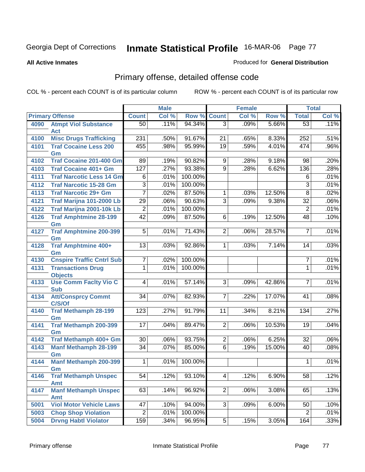#### **All Active Inmates**

### Produced for **General Distribution**

# Primary offense, detailed offense code

|      |                                        |                 | <b>Male</b> |         |                 | <b>Female</b> |        |                 | <b>Total</b> |
|------|----------------------------------------|-----------------|-------------|---------|-----------------|---------------|--------|-----------------|--------------|
|      | <b>Primary Offense</b>                 | <b>Count</b>    | Col %       | Row %   | <b>Count</b>    | Col %         | Row %  | <b>Total</b>    | Col %        |
| 4090 | <b>Atmpt Viol Substance</b>            | 50              | .11%        | 94.34%  | $\overline{3}$  | .09%          | 5.66%  | $\overline{53}$ | .11%         |
|      | <b>Act</b>                             |                 |             |         |                 |               |        |                 |              |
| 4100 | <b>Misc Drugs Trafficking</b>          | 231             | .50%        | 91.67%  | $\overline{21}$ | .65%          | 8.33%  | 252             | .51%         |
| 4101 | <b>Traf Cocaine Less 200</b>           | 455             | .98%        | 95.99%  | $\overline{19}$ | .59%          | 4.01%  | 474             | .96%         |
|      | Gm                                     |                 |             |         |                 |               |        |                 |              |
| 4102 | <b>Traf Cocaine 201-400 Gm</b>         | 89              | .19%        | 90.82%  | 9               | .28%          | 9.18%  | 98              | .20%         |
| 4103 | <b>Traf Cocaine 401+ Gm</b>            | 127             | .27%        | 93.38%  | $\overline{9}$  | .28%          | 6.62%  | 136             | .28%         |
| 4111 | <b>Traf Narcotic Less 14 Gm</b>        | 6               | .01%        | 100.00% |                 |               |        | 6               | .01%         |
| 4112 | <b>Traf Narcotic 15-28 Gm</b>          | $\overline{3}$  | .01%        | 100.00% |                 |               |        | $\overline{3}$  | .01%         |
| 4113 | <b>Traf Narcotic 29+ Gm</b>            | 7               | .02%        | 87.50%  | 1               | .03%          | 12.50% | $\overline{8}$  | .02%         |
| 4121 | Traf Marijna 101-2000 Lb               | $\overline{29}$ | .06%        | 90.63%  | $\overline{3}$  | .09%          | 9.38%  | $\overline{32}$ | .06%         |
| 4122 | Traf Marijna 2001-10k Lb               | $\overline{2}$  | .01%        | 100.00% |                 |               |        | $\overline{2}$  | .01%         |
| 4126 | <b>Traf Amphtmine 28-199</b>           | $\overline{42}$ | .09%        | 87.50%  | 6               | .19%          | 12.50% | $\overline{48}$ | .10%         |
|      | Gm                                     |                 |             |         |                 |               |        |                 |              |
| 4127 | <b>Traf Amphtmine 200-399</b>          | $\overline{5}$  | .01%        | 71.43%  | $\overline{2}$  | .06%          | 28.57% | 7               | .01%         |
|      | Gm                                     |                 |             |         |                 |               |        |                 |              |
| 4128 | Traf Amphtmine 400+                    | $\overline{13}$ | .03%        | 92.86%  | 1               | .03%          | 7.14%  | 14              | .03%         |
| 4130 | Gm<br><b>Cnspire Traffic Cntrl Sub</b> | 7               | .02%        | 100.00% |                 |               |        | 7               | .01%         |
| 4131 | <b>Transactions Drug</b>               | 1               | .01%        | 100.00% |                 |               |        | $\mathbf{1}$    | .01%         |
|      | <b>Objects</b>                         |                 |             |         |                 |               |        |                 |              |
| 4133 | <b>Use Comm Facity Vio C</b>           | 4               | .01%        | 57.14%  | $\overline{3}$  | .09%          | 42.86% | 7               | .01%         |
|      | <b>Sub</b>                             |                 |             |         |                 |               |        |                 |              |
| 4134 | <b>Att/Consprcy Commt</b>              | 34              | .07%        | 82.93%  | 7               | .22%          | 17.07% | 41              | .08%         |
|      | C/S/Of                                 |                 |             |         |                 |               |        |                 |              |
| 4140 | <b>Traf Methamph 28-199</b>            | 123             | .27%        | 91.79%  | 11              | .34%          | 8.21%  | 134             | .27%         |
|      | Gm                                     |                 |             |         |                 |               |        |                 |              |
| 4141 | <b>Traf Methamph 200-399</b>           | 17              | .04%        | 89.47%  | $\overline{2}$  | .06%          | 10.53% | 19              | .04%         |
| 4142 | Gm<br>Traf Methamph 400+ Gm            | 30              | .06%        | 93.75%  | $\overline{2}$  | .06%          | 6.25%  | 32              | .06%         |
| 4143 | <b>Manf Methamph 28-199</b>            | $\overline{34}$ | .07%        | 85.00%  | $\overline{6}$  | .19%          | 15.00% | 40              | .08%         |
|      | Gm                                     |                 |             |         |                 |               |        |                 |              |
| 4144 | <b>Manf Methamph 200-399</b>           | 1               | .01%        | 100.00% |                 |               |        | 1               | .01%         |
|      | Gm                                     |                 |             |         |                 |               |        |                 |              |
| 4146 | <b>Traf Methamph Unspec</b>            | 54              | .12%        | 93.10%  | 4               | .12%          | 6.90%  | 58              | .12%         |
|      | <b>Amt</b>                             |                 |             |         |                 |               |        |                 |              |
| 4147 | <b>Manf Methamph Unspec</b>            | 63              | .14%        | 96.92%  | 2               | .06%          | 3.08%  | 65              | .13%         |
|      | <b>Amt</b>                             |                 |             |         |                 |               |        |                 |              |
| 5001 | <b>Viol Motor Vehicle Laws</b>         | 47              | .10%        | 94.00%  | $\overline{3}$  | .09%          | 6.00%  | 50              | .10%         |
| 5003 | <b>Chop Shop Violation</b>             | $\overline{2}$  | .01%        | 100.00% |                 |               |        | $\overline{2}$  | .01%         |
| 5004 | <b>Drvng Habtl Violator</b>            | 159             | .34%        | 96.95%  | 5 <sup>1</sup>  | .15%          | 3.05%  | 164             | .33%         |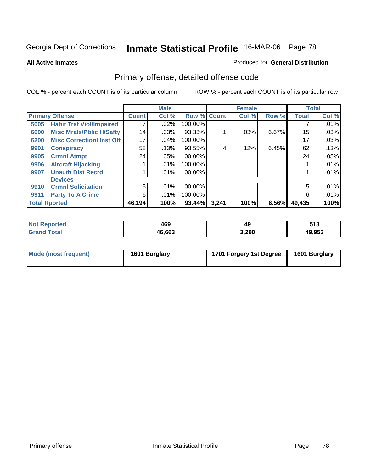**All Active Inmates**

### Produced for **General Distribution**

# Primary offense, detailed offense code

|      |                                  |                 | <b>Male</b> |         |       | <b>Female</b> |       |              | <b>Total</b> |
|------|----------------------------------|-----------------|-------------|---------|-------|---------------|-------|--------------|--------------|
|      | <b>Primary Offense</b>           | <b>Count</b>    | Col %       | Row %   | Count | Col %         | Row % | <b>Total</b> | Col %        |
| 5005 | <b>Habit Traf Viol/Impaired</b>  |                 | .02%        | 100.00% |       |               |       |              | $.01\%$      |
| 6000 | <b>Misc Mrals/Pblic H/Safty</b>  | 14              | $.03\%$     | 93.33%  |       | .03%          | 6.67% | 15           | .03%         |
| 6200 | <b>Misc CorrectionI Inst Off</b> | 17 <sub>1</sub> | .04%        | 100.00% |       |               |       | 17           | .03%         |
| 9901 | <b>Conspiracy</b>                | 58              | .13%        | 93.55%  | 4     | .12%          | 6.45% | 62           | .13%         |
| 9905 | <b>Crmnl Atmpt</b>               | 24              | .05%        | 100.00% |       |               |       | 24           | .05%         |
| 9906 | <b>Aircraft Hijacking</b>        |                 | $.01\%$     | 100.00% |       |               |       |              | .01%         |
| 9907 | <b>Unauth Dist Recrd</b>         |                 | $.01\%$     | 100.00% |       |               |       |              | .01%         |
|      | <b>Devices</b>                   |                 |             |         |       |               |       |              |              |
| 9910 | <b>Crmnl Solicitation</b>        | 5               | $.01\%$     | 100.00% |       |               |       | 5            | .01%         |
| 9911 | <b>Party To A Crime</b>          | 6               | .01%        | 100.00% |       |               |       | 6            | .01%         |
|      | <b>Total Rported</b>             | 46,194          | 100%        | 93.44%  | 3,241 | 100%          | 6.56% | 49,435       | 100%         |

| n a<br>τeα | 469    | 49    | E40    |
|------------|--------|-------|--------|
| ota.       | 46,663 | 3,290 | 19.953 |

| Mode (most frequent) | 1601 Burglary | 1701 Forgery 1st Degree | 1601 Burglary |
|----------------------|---------------|-------------------------|---------------|
|----------------------|---------------|-------------------------|---------------|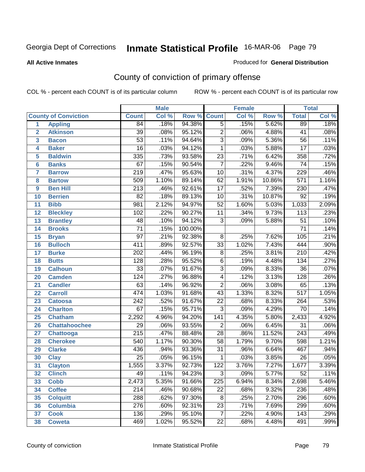### **All Active Inmates**

### Produced for **General Distribution**

# County of conviction of primary offense

|                 |                             | <b>Male</b>      |       |         | <b>Female</b>    |       | <b>Total</b> |                  |       |
|-----------------|-----------------------------|------------------|-------|---------|------------------|-------|--------------|------------------|-------|
|                 | <b>County of Conviction</b> | <b>Count</b>     | Col % | Row %   | <b>Count</b>     | Col % | Row %        | <b>Total</b>     | Col % |
| 1               | <b>Appling</b>              | 84               | .18%  | 94.38%  | $\overline{5}$   | .15%  | 5.62%        | 89               | .18%  |
| $\overline{2}$  | <b>Atkinson</b>             | $\overline{39}$  | .08%  | 95.12%  | $\overline{2}$   | .06%  | 4.88%        | 41               | .08%  |
| 3               | <b>Bacon</b>                | $\overline{53}$  | .11%  | 94.64%  | $\overline{3}$   | .09%  | 5.36%        | $\overline{56}$  | .11%  |
| 4               | <b>Baker</b>                | $\overline{16}$  | .03%  | 94.12%  | 1                | .03%  | 5.88%        | $\overline{17}$  | .03%  |
| 5               | <b>Baldwin</b>              | $\overline{335}$ | .73%  | 93.58%  | $\overline{23}$  | .71%  | 6.42%        | 358              | .72%  |
| 6               | <b>Banks</b>                | 67               | .15%  | 90.54%  | $\overline{7}$   | .22%  | 9.46%        | $\overline{74}$  | .15%  |
| 7               | <b>Barrow</b>               | $\overline{219}$ | .47%  | 95.63%  | $\overline{10}$  | .31%  | 4.37%        | 229              | .46%  |
| 8               | <b>Bartow</b>               | 509              | 1.10% | 89.14%  | 62               | 1.91% | 10.86%       | $\overline{571}$ | 1.16% |
| 9               | <b>Ben Hill</b>             | $\overline{213}$ | .46%  | 92.61%  | $\overline{17}$  | .52%  | 7.39%        | 230              | .47%  |
| 10              | <b>Berrien</b>              | $\overline{82}$  | .18%  | 89.13%  | 10               | .31%  | 10.87%       | 92               | .19%  |
| 11              | <b>Bibb</b>                 | $\overline{981}$ | 2.12% | 94.97%  | $\overline{52}$  | 1.60% | 5.03%        | 1,033            | 2.09% |
| 12              | <b>Bleckley</b>             | 102              | .22%  | 90.27%  | 11               | .34%  | 9.73%        | 113              | .23%  |
| $\overline{13}$ | <b>Brantley</b>             | $\overline{48}$  | .10%  | 94.12%  | $\overline{3}$   | .09%  | 5.88%        | $\overline{51}$  | .10%  |
| 14              | <b>Brooks</b>               | $\overline{71}$  | .15%  | 100.00% |                  |       |              | $\overline{71}$  | .14%  |
| 15              | <b>Bryan</b>                | $\overline{97}$  | .21%  | 92.38%  | 8                | .25%  | 7.62%        | 105              | .21%  |
| 16              | <b>Bulloch</b>              | $\overline{411}$ | .89%  | 92.57%  | $\overline{33}$  | 1.02% | 7.43%        | 444              | .90%  |
| 17              | <b>Burke</b>                | $\overline{202}$ | .44%  | 96.19%  | $\overline{8}$   | .25%  | 3.81%        | $\overline{210}$ | .42%  |
| 18              | <b>Butts</b>                | $\overline{128}$ | .28%  | 95.52%  | 6                | .19%  | 4.48%        | $\overline{134}$ | .27%  |
| 19              | <b>Calhoun</b>              | $\overline{33}$  | .07%  | 91.67%  | $\overline{3}$   | .09%  | 8.33%        | $\overline{36}$  | .07%  |
| 20              | <b>Camden</b>               | 124              | .27%  | 96.88%  | 4                | .12%  | 3.13%        | 128              | .26%  |
| 21              | <b>Candler</b>              | $\overline{63}$  | .14%  | 96.92%  | $\overline{2}$   | .06%  | 3.08%        | 65               | .13%  |
| 22              | <b>Carroll</b>              | 474              | 1.03% | 91.68%  | $\overline{43}$  | 1.33% | 8.32%        | $\overline{517}$ | 1.05% |
| 23              | <b>Catoosa</b>              | $\overline{242}$ | .52%  | 91.67%  | $\overline{22}$  | .68%  | 8.33%        | $\overline{264}$ | .53%  |
| 24              | <b>Charlton</b>             | 67               | .15%  | 95.71%  | $\overline{3}$   | .09%  | 4.29%        | 70               | .14%  |
| 25              | <b>Chatham</b>              | 2,292            | 4.96% | 94.20%  | $\overline{141}$ | 4.35% | 5.80%        | 2,433            | 4.92% |
| 26              | <b>Chattahoochee</b>        | 29               | .06%  | 93.55%  | $\overline{2}$   | .06%  | 6.45%        | $\overline{31}$  | .06%  |
| 27              | Chattooga                   | $\overline{215}$ | .47%  | 88.48%  | $\overline{28}$  | .86%  | 11.52%       | 243              | .49%  |
| 28              | <b>Cherokee</b>             | 540              | 1.17% | 90.30%  | $\overline{58}$  | 1.79% | 9.70%        | 598              | 1.21% |
| 29              | <b>Clarke</b>               | 436              | .94%  | 93.36%  | $\overline{31}$  | .96%  | 6.64%        | 467              | .94%  |
| 30              | <b>Clay</b>                 | $\overline{25}$  | .05%  | 96.15%  | 1                | .03%  | 3.85%        | $\overline{26}$  | .05%  |
| $\overline{31}$ | <b>Clayton</b>              | 1,555            | 3.37% | 92.73%  | $\overline{122}$ | 3.76% | 7.27%        | 1,677            | 3.39% |
| 32              | <b>Clinch</b>               | 49               | .11%  | 94.23%  | 3                | .09%  | 5.77%        | 52               | .11%  |
| 33              | <b>Cobb</b>                 | 2,473            | 5.35% | 91.66%  | 225              | 6.94% | 8.34%        | 2,698            | 5.46% |
| 34              | <b>Coffee</b>               | 214              | .46%  | 90.68%  | $\overline{22}$  | .68%  | 9.32%        | 236              | .48%  |
| 35              | <b>Colquitt</b>             | 288              | .62%  | 97.30%  | 8                | .25%  | 2.70%        | 296              | .60%  |
| 36              | <b>Columbia</b>             | $\overline{276}$ | .60%  | 92.31%  | 23               | .71%  | 7.69%        | 299              | .60%  |
| 37              | <b>Cook</b>                 | 136              | .29%  | 95.10%  | $\overline{7}$   | .22%  | 4.90%        | 143              | .29%  |
| 38              | <b>Coweta</b>               | 469              | 1.02% | 95.52%  | 22               | .68%  | 4.48%        | 491              | .99%  |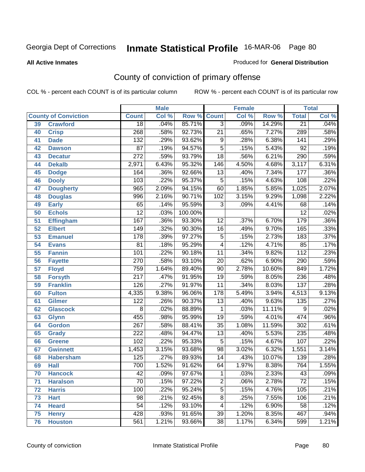**All Active Inmates**

### Produced for **General Distribution**

# County of conviction of primary offense

|    |                             |                  | <b>Male</b> |         | <b>Female</b>            |       |        | <b>Total</b>     |         |  |
|----|-----------------------------|------------------|-------------|---------|--------------------------|-------|--------|------------------|---------|--|
|    | <b>County of Conviction</b> | <b>Count</b>     | Col %       | Row %   | <b>Count</b>             | Col % | Row %  | <b>Total</b>     | Col %   |  |
| 39 | <b>Crawford</b>             | $\overline{18}$  | .04%        | 85.71%  | $\overline{3}$           | .09%  | 14.29% | $\overline{21}$  | .04%    |  |
| 40 | <b>Crisp</b>                | 268              | .58%        | 92.73%  | $\overline{21}$          | .65%  | 7.27%  | 289              | .58%    |  |
| 41 | <b>Dade</b>                 | 132              | .29%        | 93.62%  | 9                        | .28%  | 6.38%  | 141              | .29%    |  |
| 42 | <b>Dawson</b>               | $\overline{87}$  | .19%        | 94.57%  | $\overline{5}$           | .15%  | 5.43%  | $\overline{92}$  | .19%    |  |
| 43 | <b>Decatur</b>              | $\overline{272}$ | .59%        | 93.79%  | $\overline{18}$          | .56%  | 6.21%  | 290              | .59%    |  |
| 44 | <b>Dekalb</b>               | 2,971            | 6.43%       | 95.32%  | 146                      | 4.50% | 4.68%  | 3,117            | 6.31%   |  |
| 45 | <b>Dodge</b>                | 164              | .36%        | 92.66%  | $\overline{13}$          | .40%  | 7.34%  | 177              | .36%    |  |
| 46 | <b>Dooly</b>                | 103              | .22%        | 95.37%  | $\sqrt{5}$               | .15%  | 4.63%  | 108              | .22%    |  |
| 47 | <b>Dougherty</b>            | 965              | 2.09%       | 94.15%  | 60                       | 1.85% | 5.85%  | 1,025            | 2.07%   |  |
| 48 | <b>Douglas</b>              | 996              | 2.16%       | 90.71%  | 102                      | 3.15% | 9.29%  | 1,098            | 2.22%   |  |
| 49 | <b>Early</b>                | 65               | .14%        | 95.59%  | $\overline{3}$           | .09%  | 4.41%  | 68               | .14%    |  |
| 50 | <b>Echols</b>               | $\overline{12}$  | .03%        | 100.00% |                          |       |        | $\overline{12}$  | .02%    |  |
| 51 | <b>Effingham</b>            | 167              | .36%        | 93.30%  | $\overline{12}$          | .37%  | 6.70%  | 179              | .36%    |  |
| 52 | <b>Elbert</b>               | 149              | .32%        | 90.30%  | 16                       | .49%  | 9.70%  | 165              | .33%    |  |
| 53 | <b>Emanuel</b>              | 178              | .39%        | 97.27%  | $\overline{5}$           | .15%  | 2.73%  | 183              | .37%    |  |
| 54 | <b>Evans</b>                | $\overline{81}$  | .18%        | 95.29%  | $\overline{\mathcal{A}}$ | .12%  | 4.71%  | 85               | .17%    |  |
| 55 | <b>Fannin</b>               | 101              | .22%        | 90.18%  | 11                       | .34%  | 9.82%  | $\overline{112}$ | .23%    |  |
| 56 | <b>Fayette</b>              | 270              | .58%        | 93.10%  | $\overline{20}$          | .62%  | 6.90%  | 290              | .59%    |  |
| 57 | <b>Floyd</b>                | 759              | 1.64%       | 89.40%  | 90                       | 2.78% | 10.60% | 849              | 1.72%   |  |
| 58 | <b>Forsyth</b>              | $\overline{217}$ | .47%        | 91.95%  | $\overline{19}$          | .59%  | 8.05%  | $\overline{236}$ | .48%    |  |
| 59 | <b>Franklin</b>             | 126              | .27%        | 91.97%  | $\overline{11}$          | .34%  | 8.03%  | 137              | .28%    |  |
| 60 | <b>Fulton</b>               | 4,335            | 9.38%       | 96.06%  | 178                      | 5.49% | 3.94%  | 4,513            | 9.13%   |  |
| 61 | Gilmer                      | 122              | .26%        | 90.37%  | $\overline{13}$          | .40%  | 9.63%  | 135              | .27%    |  |
| 62 | <b>Glascock</b>             | 8                | .02%        | 88.89%  | $\mathbf{1}$             | .03%  | 11.11% | $\overline{9}$   | .02%    |  |
| 63 | <b>Glynn</b>                | 455              | .98%        | 95.99%  | 19                       | .59%  | 4.01%  | 474              | .96%    |  |
| 64 | <b>Gordon</b>               | 267              | .58%        | 88.41%  | $\overline{35}$          | 1.08% | 11.59% | 302              | .61%    |  |
| 65 | <b>Grady</b>                | 222              | .48%        | 94.47%  | $\overline{13}$          | .40%  | 5.53%  | 235              | .48%    |  |
| 66 | <b>Greene</b>               | 102              | .22%        | 95.33%  | 5                        | .15%  | 4.67%  | 107              | .22%    |  |
| 67 | <b>Gwinnett</b>             | 1,453            | 3.15%       | 93.68%  | 98                       | 3.02% | 6.32%  | 1,551            | 3.14%   |  |
| 68 | <b>Habersham</b>            | 125              | .27%        | 89.93%  | 14                       | .43%  | 10.07% | 139              | .28%    |  |
| 69 | <b>Hall</b>                 | 700              | 1.52%       | 91.62%  | 64                       | 1.97% | 8.38%  | 764              | 1.55%   |  |
| 70 | <b>Hancock</b>              | 42               | .09%        | 97.67%  | 1                        | .03%  | 2.33%  | 43               | $.09\%$ |  |
| 71 | <b>Haralson</b>             | $\overline{70}$  | .15%        | 97.22%  | $\overline{2}$           | .06%  | 2.78%  | $\overline{72}$  | .15%    |  |
| 72 | <b>Harris</b>               | 100              | .22%        | 95.24%  | $\overline{5}$           | .15%  | 4.76%  | 105              | .21%    |  |
| 73 | <b>Hart</b>                 | $\overline{98}$  | .21%        | 92.45%  | $\overline{8}$           | .25%  | 7.55%  | 106              | .21%    |  |
| 74 | <b>Heard</b>                | 54               | .12%        | 93.10%  | 4                        | .12%  | 6.90%  | 58               | .12%    |  |
| 75 | <b>Henry</b>                | 428              | .93%        | 91.65%  | $\overline{39}$          | 1.20% | 8.35%  | 467              | .94%    |  |
| 76 | <b>Houston</b>              | 561              | 1.21%       | 93.66%  | 38                       | 1.17% | 6.34%  | 599              | 1.21%   |  |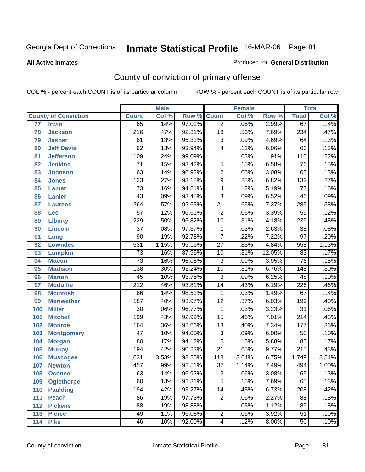**All Active Inmates**

#### Produced for **General Distribution**

# County of conviction of primary offense

|                 |                             |                  | <b>Male</b> |        |                         | <b>Female</b> |        |                  | <b>Total</b> |
|-----------------|-----------------------------|------------------|-------------|--------|-------------------------|---------------|--------|------------------|--------------|
|                 | <b>County of Conviction</b> | <b>Count</b>     | Col %       | Row %  | <b>Count</b>            | Col %         | Row %  | <b>Total</b>     | Col %        |
| $\overline{77}$ | <b>Irwin</b>                | 65               | .14%        | 97.01% | $\overline{2}$          | .06%          | 2.99%  | 67               | .14%         |
| 78              | <b>Jackson</b>              | $\overline{216}$ | .47%        | 92.31% | $\overline{18}$         | .56%          | 7.69%  | 234              | .47%         |
| 79              | <b>Jasper</b>               | 61               | .13%        | 95.31% | $\overline{3}$          | .09%          | 4.69%  | 64               | .13%         |
| 80              | <b>Jeff Davis</b>           | 62               | .13%        | 93.94% | 4                       | .12%          | 6.06%  | 66               | .13%         |
| 81              | <b>Jefferson</b>            | 109              | .24%        | 99.09% | $\mathbf{1}$            | .03%          | .91%   | $\overline{110}$ | .22%         |
| 82              | <b>Jenkins</b>              | $\overline{71}$  | .15%        | 93.42% | $\overline{5}$          | .15%          | 6.58%  | 76               | .15%         |
| 83              | <b>Johnson</b>              | 63               | .14%        | 96.92% | $\overline{2}$          | .06%          | 3.08%  | 65               | .13%         |
| 84              | <b>Jones</b>                | $\overline{123}$ | .27%        | 93.18% | $\overline{9}$          | .28%          | 6.82%  | $\overline{132}$ | .27%         |
| 85              | <b>Lamar</b>                | $\overline{73}$  | .16%        | 94.81% | 4                       | .12%          | 5.19%  | $\overline{77}$  | .16%         |
| 86              | <b>Lanier</b>               | 43               | .09%        | 93.48% | $\overline{3}$          | .09%          | 6.52%  | 46               | .09%         |
| 87              | <b>Laurens</b>              | $\overline{264}$ | .57%        | 92.63% | $\overline{21}$         | .65%          | 7.37%  | 285              | .58%         |
| 88              | Lee                         | $\overline{57}$  | .12%        | 96.61% | $\overline{2}$          | .06%          | 3.39%  | $\overline{59}$  | .12%         |
| 89              | <b>Liberty</b>              | 229              | .50%        | 95.82% | $\overline{10}$         | .31%          | 4.18%  | 239              | .48%         |
| 90              | <b>Lincoln</b>              | $\overline{37}$  | .08%        | 97.37% | 1                       | .03%          | 2.63%  | 38               | .08%         |
| 91              | Long                        | $\overline{90}$  | .19%        | 92.78% | $\overline{7}$          | .22%          | 7.22%  | $\overline{97}$  | .20%         |
| 92              | <b>Lowndes</b>              | 531              | 1.15%       | 95.16% | $\overline{27}$         | .83%          | 4.84%  | 558              | 1.13%        |
| 93              | <b>Lumpkin</b>              | $\overline{73}$  | .16%        | 87.95% | 10                      | .31%          | 12.05% | 83               | .17%         |
| 94              | <b>Macon</b>                | $\overline{73}$  | .16%        | 96.05% | $\overline{3}$          | .09%          | 3.95%  | $\overline{76}$  | .15%         |
| 95              | <b>Madison</b>              | $\overline{138}$ | .30%        | 93.24% | $\overline{10}$         | .31%          | 6.76%  | $\overline{148}$ | .30%         |
| 96              | <b>Marion</b>               | 45               | .10%        | 93.75% | $\overline{3}$          | .09%          | 6.25%  | 48               | .10%         |
| 97              | <b>Mcduffie</b>             | $\overline{212}$ | .46%        | 93.81% | $\overline{14}$         | .43%          | 6.19%  | 226              | .46%         |
| 98              | <b>Mcintosh</b>             | 66               | .14%        | 98.51% | $\mathbf{1}$            | .03%          | 1.49%  | 67               | .14%         |
| 99              | <b>Meriwether</b>           | $\overline{187}$ | .40%        | 93.97% | $\overline{12}$         | .37%          | 6.03%  | 199              | .40%         |
| 100             | <b>Miller</b>               | 30               | .06%        | 96.77% | 1                       | .03%          | 3.23%  | $\overline{31}$  | .06%         |
| 101             | <b>Mitchell</b>             | 199              | .43%        | 92.99% | $\overline{15}$         | .46%          | 7.01%  | $\overline{214}$ | .43%         |
| 102             | <b>Monroe</b>               | 164              | .36%        | 92.66% | $\overline{13}$         | .40%          | 7.34%  | 177              | .36%         |
| 103             | <b>Montgomery</b>           | $\overline{47}$  | .10%        | 94.00% | $\overline{3}$          | .09%          | 6.00%  | $\overline{50}$  | .10%         |
| 104             | <b>Morgan</b>               | $\overline{80}$  | .17%        | 94.12% | $\overline{5}$          | .15%          | 5.88%  | 85               | .17%         |
| 105             | <b>Murray</b>               | 194              | .42%        | 90.23% | $\overline{21}$         | .65%          | 9.77%  | $\overline{215}$ | .43%         |
| 106             | <b>Muscogee</b>             | 1,631            | 3.53%       | 93.25% | $\overline{118}$        | 3.64%         | 6.75%  | 1,749            | 3.54%        |
| 107             | <b>Newton</b>               | 457              | .99%        | 92.51% | $\overline{37}$         | 1.14%         | 7.49%  | 494              | 1.00%        |
| 108             | <b>Oconee</b>               | 63               | .14%        | 96.92% | 2                       | .06%          | 3.08%  | 65               | .13%         |
| 109             | <b>Oglethorpe</b>           | 60               | .13%        | 92.31% | $\overline{5}$          | .15%          | 7.69%  | 65               | .13%         |
| 110             | <b>Paulding</b>             | 194              | .42%        | 93.27% | $\overline{14}$         | .43%          | 6.73%  | 208              | .42%         |
| 111             | <b>Peach</b>                | $\overline{86}$  | .19%        | 97.73% | 2                       | .06%          | 2.27%  | 88               | .18%         |
| 112             | <b>Pickens</b>              | 88               | .19%        | 98.88% | 1                       | .03%          | 1.12%  | 89               | .18%         |
| 113             | <b>Pierce</b>               | 49               | .11%        | 96.08% | 2                       | .06%          | 3.92%  | $\overline{51}$  | .10%         |
| 114             | <b>Pike</b>                 | 46               | .10%        | 92.00% | $\overline{\mathbf{4}}$ | .12%          | 8.00%  | 50               | .10%         |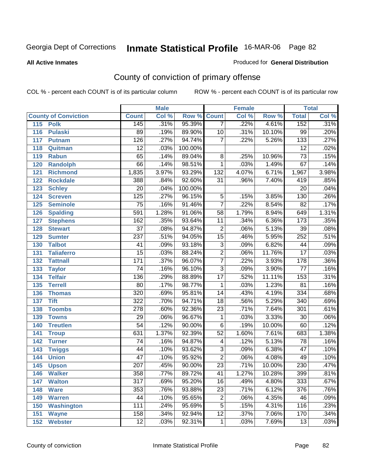### **All Active Inmates**

#### Produced for **General Distribution**

# County of conviction of primary offense

|                             |                  | <b>Male</b> |         | <b>Female</b>           |       |        | <b>Total</b>     |       |  |
|-----------------------------|------------------|-------------|---------|-------------------------|-------|--------|------------------|-------|--|
| <b>County of Conviction</b> | <b>Count</b>     | Col %       | Row %   | <b>Count</b>            | Col % | Row %  | <b>Total</b>     | Col % |  |
| 115<br><b>Polk</b>          | 145              | .31%        | 95.39%  | $\overline{7}$          | .22%  | 4.61%  | 152              | .31%  |  |
| 116<br><b>Pulaski</b>       | 89               | .19%        | 89.90%  | 10                      | .31%  | 10.10% | 99               | .20%  |  |
| 117<br><b>Putnam</b>        | 126              | .27%        | 94.74%  | $\overline{7}$          | .22%  | 5.26%  | $\overline{133}$ | .27%  |  |
| Quitman<br>118              | $\overline{12}$  | .03%        | 100.00% |                         |       |        | $\overline{12}$  | .02%  |  |
| 119<br><b>Rabun</b>         | 65               | .14%        | 89.04%  | $\overline{8}$          | .25%  | 10.96% | $\overline{73}$  | .15%  |  |
| 120<br><b>Randolph</b>      | 66               | .14%        | 98.51%  | $\mathbf{1}$            | .03%  | 1.49%  | $\overline{67}$  | .14%  |  |
| <b>Richmond</b><br>121      | 1,835            | 3.97%       | 93.29%  | $\overline{132}$        | 4.07% | 6.71%  | 1,967            | 3.98% |  |
| 122<br><b>Rockdale</b>      | 388              | .84%        | 92.60%  | 31                      | .96%  | 7.40%  | 419              | .85%  |  |
| 123<br><b>Schley</b>        | $\overline{20}$  | .04%        | 100.00% |                         |       |        | $\overline{20}$  | .04%  |  |
| <b>Screven</b><br>124       | $\overline{125}$ | .27%        | 96.15%  | $\overline{5}$          | .15%  | 3.85%  | 130              | .26%  |  |
| <b>Seminole</b><br>125      | $\overline{75}$  | .16%        | 91.46%  | $\overline{7}$          | .22%  | 8.54%  | $\overline{82}$  | .17%  |  |
| 126<br><b>Spalding</b>      | 591              | 1.28%       | 91.06%  | 58                      | 1.79% | 8.94%  | 649              | 1.31% |  |
| 127<br><b>Stephens</b>      | 162              | .35%        | 93.64%  | 11                      | .34%  | 6.36%  | $\overline{173}$ | .35%  |  |
| 128<br><b>Stewart</b>       | $\overline{37}$  | .08%        | 94.87%  | $\overline{2}$          | .06%  | 5.13%  | $\overline{39}$  | .08%  |  |
| 129<br><b>Sumter</b>        | $\overline{237}$ | .51%        | 94.05%  | $\overline{15}$         | .46%  | 5.95%  | 252              | .51%  |  |
| <b>Talbot</b><br>130        | 41               | .09%        | 93.18%  | $\overline{3}$          | .09%  | 6.82%  | 44               | .09%  |  |
| 131<br><b>Taliaferro</b>    | $\overline{15}$  | .03%        | 88.24%  | $\overline{2}$          | .06%  | 11.76% | $\overline{17}$  | .03%  |  |
| 132<br><b>Tattnall</b>      | 171              | .37%        | 96.07%  | $\overline{7}$          | .22%  | 3.93%  | 178              | .36%  |  |
| 133<br><b>Taylor</b>        | $\overline{74}$  | .16%        | 96.10%  | $\overline{3}$          | .09%  | 3.90%  | $\overline{77}$  | .16%  |  |
| <b>Telfair</b><br>134       | 136              | .29%        | 88.89%  | $\overline{17}$         | .52%  | 11.11% | 153              | .31%  |  |
| 135<br><b>Terrell</b>       | 80               | .17%        | 98.77%  | $\mathbf 1$             | .03%  | 1.23%  | $\overline{81}$  | .16%  |  |
| 136<br><b>Thomas</b>        | 320              | .69%        | 95.81%  | $\overline{14}$         | .43%  | 4.19%  | 334              | .68%  |  |
| <b>Tift</b><br>137          | $\overline{322}$ | .70%        | 94.71%  | $\overline{18}$         | .56%  | 5.29%  | $\overline{340}$ | .69%  |  |
| <b>Toombs</b><br>138        | 278              | .60%        | 92.36%  | 23                      | .71%  | 7.64%  | $\overline{301}$ | .61%  |  |
| 139<br><b>Towns</b>         | $\overline{29}$  | .06%        | 96.67%  | 1                       | .03%  | 3.33%  | $\overline{30}$  | .06%  |  |
| <b>Treutlen</b><br>140      | $\overline{54}$  | .12%        | 90.00%  | $\overline{6}$          | .19%  | 10.00% | 60               | .12%  |  |
| 141<br><b>Troup</b>         | 631              | 1.37%       | 92.39%  | $\overline{52}$         | 1.60% | 7.61%  | 683              | 1.38% |  |
| 142<br><b>Turner</b>        | 74               | .16%        | 94.87%  | $\overline{\mathbf{4}}$ | .12%  | 5.13%  | 78               | .16%  |  |
| 143<br><b>Twiggs</b>        | 44               | .10%        | 93.62%  | $\overline{3}$          | .09%  | 6.38%  | $\overline{47}$  | .10%  |  |
| 144<br><b>Union</b>         | $\overline{47}$  | .10%        | 95.92%  | $\overline{2}$          | .06%  | 4.08%  | 49               | .10%  |  |
| 145<br><b>Upson</b>         | $\overline{207}$ | .45%        | 90.00%  | $\overline{23}$         | .71%  | 10.00% | 230              | .47%  |  |
| 146<br><b>Walker</b>        | 358              | .77%        | 89.72%  | 41                      | 1.27% | 10.28% | 399              | .81%  |  |
| 147<br><b>Walton</b>        | $\overline{317}$ | .69%        | 95.20%  | $\overline{16}$         | .49%  | 4.80%  | 333              | .67%  |  |
| 148<br><b>Ware</b>          | 353              | .76%        | 93.88%  | $\overline{23}$         | .71%  | 6.12%  | 376              | .76%  |  |
| <b>Warren</b><br>149        | 44               | .10%        | 95.65%  | $\mathbf 2$             | .06%  | 4.35%  | 46               | .09%  |  |
| <b>Washington</b><br>150    | 111              | .24%        | 95.69%  | 5                       | .15%  | 4.31%  | 116              | .23%  |  |
| 151<br><b>Wayne</b>         | 158              | .34%        | 92.94%  | $\overline{12}$         | .37%  | 7.06%  | 170              | .34%  |  |
| <b>Webster</b><br>152       | $\overline{12}$  | .03%        | 92.31%  | $\mathbf{1}$            | .03%  | 7.69%  | 13               | .03%  |  |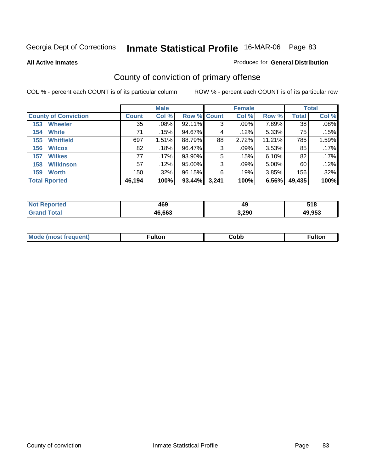**All Active Inmates**

### Produced for **General Distribution**

# County of conviction of primary offense

|                             |              | <b>Male</b> |                    |       | <b>Female</b> |        |        | <b>Total</b> |
|-----------------------------|--------------|-------------|--------------------|-------|---------------|--------|--------|--------------|
| <b>County of Conviction</b> | <b>Count</b> | Col %       | <b>Row % Count</b> |       | Col %         | Row %  | Total  | Col %        |
| <b>Wheeler</b><br>153       | 35           | .08%        | 92.11%             | 3     | .09%          | 7.89%  | 38     | .08%         |
| <b>White</b><br>154         | 71           | .15%        | 94.67%             | 4     | .12%          | 5.33%  | 75     | .15%         |
| <b>Whitfield</b><br>155     | 697          | 1.51%       | 88.79%             | 88    | 2.72%         | 11.21% | 785    | 1.59%        |
| 156<br><b>Wilcox</b>        | 82           | .18%        | 96.47%             | 3     | .09%          | 3.53%  | 85     | .17%         |
| <b>Wilkes</b><br>157        | 77           | .17%        | 93.90%             | 5     | .15%          | 6.10%  | 82     | .17%         |
| <b>Wilkinson</b><br>158     | 57           | .12%        | 95.00%             | 3     | $.09\%$       | 5.00%  | 60     | .12%         |
| <b>Worth</b><br>159         | 150          | $.32\%$     | 96.15%             | 6     | .19%          | 3.85%  | 156    | .32%         |
| <b>Total Rported</b>        | 46,194       | 100%        | 93.44%             | 3,241 | 100%          | 6.56%  | 49,435 | 100%         |

| w     | "^^    | 49    | 54 O         |
|-------|--------|-------|--------------|
| rrer. | 169    |       | v I u        |
|       | 46.663 | 3,290 | 20 QR<br>JJ. |

| <b>Mode</b><br>·uenτ) | .<br>uiton | obb، | Fulton |
|-----------------------|------------|------|--------|
|                       |            |      |        |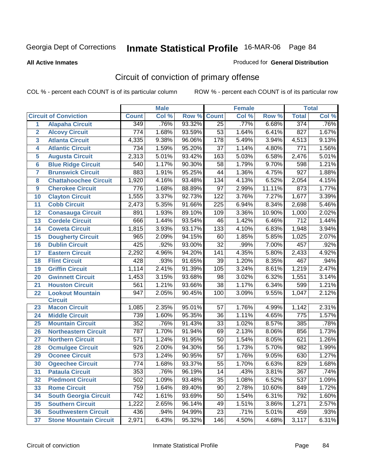#### **All Active Inmates**

#### Produced for **General Distribution**

# Circuit of conviction of primary offense

|                  |                               |                  | <b>Male</b> |        |                  | <b>Female</b> |        |                  | <b>Total</b> |
|------------------|-------------------------------|------------------|-------------|--------|------------------|---------------|--------|------------------|--------------|
|                  | <b>Circuit of Conviction</b>  | <b>Count</b>     | Col %       | Row %  | <b>Count</b>     | Col %         | Row %  | <b>Total</b>     | Col %        |
| $\mathbf{1}$     | <b>Alapaha Circuit</b>        | 349              | .76%        | 93.32% | $\overline{25}$  | .77%          | 6.68%  | 374              | .76%         |
| $\overline{2}$   | <b>Alcovy Circuit</b>         | 774              | 1.68%       | 93.59% | 53               | 1.64%         | 6.41%  | 827              | 1.67%        |
| 3                | <b>Atlanta Circuit</b>        | 4,335            | 9.38%       | 96.06% | 178              | 5.49%         | 3.94%  | 4,513            | 9.13%        |
| 4                | <b>Atlantic Circuit</b>       | 734              | 1.59%       | 95.20% | 37               | 1.14%         | 4.80%  | 771              | 1.56%        |
| 5                | <b>Augusta Circuit</b>        | 2,313            | 5.01%       | 93.42% | 163              | 5.03%         | 6.58%  | 2,476            | 5.01%        |
| $6\phantom{a}$   | <b>Blue Ridge Circuit</b>     | 540              | 1.17%       | 90.30% | 58               | 1.79%         | 9.70%  | 598              | 1.21%        |
| 7                | <b>Brunswick Circuit</b>      | 883              | 1.91%       | 95.25% | 44               | 1.36%         | 4.75%  | $\overline{927}$ | 1.88%        |
| 8                | <b>Chattahoochee Circuit</b>  | 1,920            | 4.16%       | 93.48% | 134              | 4.13%         | 6.52%  | 2,054            | 4.15%        |
| $\boldsymbol{9}$ | <b>Cherokee Circuit</b>       | 776              | 1.68%       | 88.89% | $\overline{97}$  | 2.99%         | 11.11% | 873              | 1.77%        |
| 10               | <b>Clayton Circuit</b>        | 1,555            | 3.37%       | 92.73% | 122              | 3.76%         | 7.27%  | 1,677            | 3.39%        |
| 11               | <b>Cobb Circuit</b>           | 2,473            | 5.35%       | 91.66% | 225              | 6.94%         | 8.34%  | 2,698            | 5.46%        |
| 12               | <b>Conasauga Circuit</b>      | 891              | 1.93%       | 89.10% | 109              | 3.36%         | 10.90% | 1,000            | 2.02%        |
| 13               | <b>Cordele Circuit</b>        | 666              | 1.44%       | 93.54% | 46               | 1.42%         | 6.46%  | $\overline{712}$ | 1.44%        |
| 14               | <b>Coweta Circuit</b>         | 1,815            | 3.93%       | 93.17% | 133              | 4.10%         | 6.83%  | 1,948            | 3.94%        |
| 15               | <b>Dougherty Circuit</b>      | 965              | 2.09%       | 94.15% | 60               | 1.85%         | 5.85%  | 1,025            | 2.07%        |
| 16               | <b>Dublin Circuit</b>         | 425              | .92%        | 93.00% | 32               | .99%          | 7.00%  | 457              | .92%         |
| 17               | <b>Eastern Circuit</b>        | 2,292            | 4.96%       | 94.20% | 141              | 4.35%         | 5.80%  | 2,433            | 4.92%        |
| 18               | <b>Flint Circuit</b>          | 428              | .93%        | 91.65% | 39               | 1.20%         | 8.35%  | 467              | .94%         |
| 19               | <b>Griffin Circuit</b>        | 1,114            | 2.41%       | 91.39% | 105              | 3.24%         | 8.61%  | 1,219            | 2.47%        |
| 20               | <b>Gwinnett Circuit</b>       | 1,453            | 3.15%       | 93.68% | 98               | 3.02%         | 6.32%  | 1,551            | 3.14%        |
| 21               | <b>Houston Circuit</b>        | 561              | 1.21%       | 93.66% | $\overline{38}$  | 1.17%         | 6.34%  | 599              | 1.21%        |
| 22               | <b>Lookout Mountain</b>       | 947              | 2.05%       | 90.45% | $\overline{1}00$ | 3.09%         | 9.55%  | 1,047            | 2.12%        |
|                  | <b>Circuit</b>                |                  |             |        |                  |               |        |                  |              |
| 23               | <b>Macon Circuit</b>          | 1,085            | 2.35%       | 95.01% | 57               | 1.76%         | 4.99%  | 1,142            | 2.31%        |
| 24               | <b>Middle Circuit</b>         | 739              | 1.60%       | 95.35% | 36               | 1.11%         | 4.65%  | 775              | 1.57%        |
| 25               | <b>Mountain Circuit</b>       | 352              | .76%        | 91.43% | 33               | 1.02%         | 8.57%  | 385              | .78%         |
| 26               | <b>Northeastern Circuit</b>   | 787              | 1.70%       | 91.94% | 69               | 2.13%         | 8.06%  | 856              | 1.73%        |
| 27               | <b>Northern Circuit</b>       | 571              | 1.24%       | 91.95% | 50               | 1.54%         | 8.05%  | 621              | 1.26%        |
| 28               | <b>Ocmulgee Circuit</b>       | 926              | 2.00%       | 94.30% | 56               | 1.73%         | 5.70%  | 982              | 1.99%        |
| 29               | <b>Oconee Circuit</b>         | $\overline{573}$ | 1.24%       | 90.95% | 57               | 1.76%         | 9.05%  | 630              | 1.27%        |
| 30               | <b>Ogeechee Circuit</b>       | $\overline{774}$ | 1.68%       | 93.37% | 55               | 1.70%         | 6.63%  | 829              | 1.68%        |
| 31               | <b>Pataula Circuit</b>        | $\overline{353}$ | .76%        | 96.19% | $\overline{14}$  | .43%          | 3.81%  | 367              | .74%         |
| 32               | <b>Piedmont Circuit</b>       | 502              | 1.09%       | 93.48% | 35               | 1.08%         | 6.52%  | 537              | 1.09%        |
| 33               | <b>Rome Circuit</b>           | 759              | 1.64%       | 89.40% | 90               | 2.78%         | 10.60% | 849              | 1.72%        |
| 34               | <b>South Georgia Circuit</b>  | 742              | 1.61%       | 93.69% | 50               | 1.54%         | 6.31%  | 792              | 1.60%        |
| 35               | <b>Southern Circuit</b>       | 1,222            | 2.65%       | 96.14% | 49               | 1.51%         | 3.86%  | 1,271            | 2.57%        |
| 36               | <b>Southwestern Circuit</b>   | 436              | .94%        | 94.99% | 23               | .71%          | 5.01%  | 459              | .93%         |
| 37               | <b>Stone Mountain Circuit</b> | 2,971            | 6.43%       | 95.32% | 146              | 4.50%         | 4.68%  | 3,117            | 6.31%        |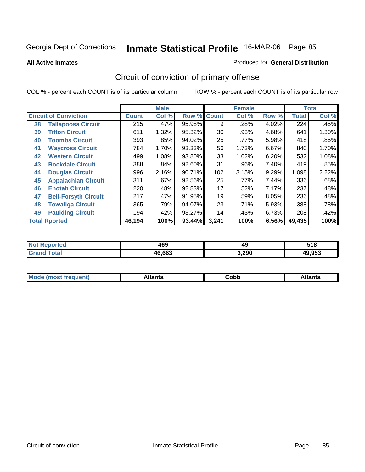**All Active Inmates**

### Produced for **General Distribution**

# Circuit of conviction of primary offense

|    |                              |              | <b>Male</b> |                    |       | <b>Female</b> |       |              | <b>Total</b> |
|----|------------------------------|--------------|-------------|--------------------|-------|---------------|-------|--------------|--------------|
|    | <b>Circuit of Conviction</b> | <b>Count</b> | Col %       | <b>Row % Count</b> |       | Col %         | Row % | <b>Total</b> | Col %        |
| 38 | <b>Tallapoosa Circuit</b>    | 215          | .47%        | 95.98%             | 9     | .28%          | 4.02% | 224          | .45%         |
| 39 | <b>Tifton Circuit</b>        | 611          | 1.32%       | 95.32%             | 30    | .93%          | 4.68% | 641          | 1.30%        |
| 40 | <b>Toombs Circuit</b>        | 393          | .85%        | 94.02%             | 25    | .77%          | 5.98% | 418          | .85%         |
| 41 | <b>Waycross Circuit</b>      | 784          | 1.70%       | 93.33%             | 56    | 1.73%         | 6.67% | 840          | 1.70%        |
| 42 | <b>Western Circuit</b>       | 499          | 1.08%       | 93.80%             | 33    | 1.02%         | 6.20% | 532          | 1.08%        |
| 43 | <b>Rockdale Circuit</b>      | 388          | $.84\%$     | 92.60%             | 31    | .96%          | 7.40% | 419          | .85%         |
| 44 | <b>Douglas Circuit</b>       | 996          | 2.16%       | 90.71%             | 102   | 3.15%         | 9.29% | 1,098        | 2.22%        |
| 45 | <b>Appalachian Circuit</b>   | 311          | .67%        | 92.56%             | 25    | .77%          | 7.44% | 336          | .68%         |
| 46 | <b>Enotah Circuit</b>        | 220          | .48%        | 92.83%             | 17    | .52%          | 7.17% | 237          | .48%         |
| 47 | <b>Bell-Forsyth Circuit</b>  | 217          | .47%        | 91.95%             | 19    | .59%          | 8.05% | 236          | .48%         |
| 48 | <b>Towaliga Circuit</b>      | 365          | .79%        | 94.07%             | 23    | .71%          | 5.93% | 388          | .78%         |
| 49 | <b>Paulding Circuit</b>      | 194          | .42%        | 93.27%             | 14    | .43%          | 6.73% | 208          | .42%         |
|    | <b>Total Rported</b>         | 46,194       | 100%        | 93.44%             | 3,241 | 100%          | 6.56% | 49,435       | 100%         |

| N<br>чтес. | 469    | 49    | :40<br>J I U |
|------------|--------|-------|--------------|
|            | 46.663 | 3,290 | 10 052<br>.  |

| M <sub>c</sub><br>∩hh<br>Atlanta<br>مغمجا<br>чит.<br>טעע<br>- - - - |  |  |
|---------------------------------------------------------------------|--|--|
|                                                                     |  |  |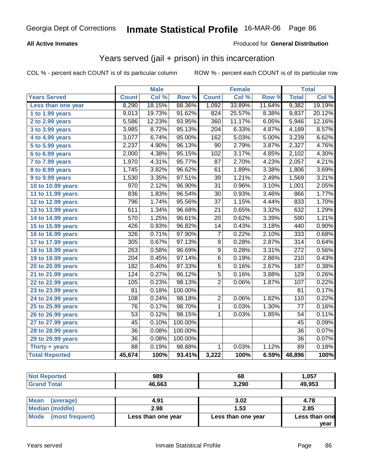### **All Active Inmates**

### Produced for **General Distribution**

## Years served (jail + prison) in this incarceration

|                       |                  | <b>Male</b> |         |                  | <b>Female</b> |        |                  | <b>Total</b> |
|-----------------------|------------------|-------------|---------|------------------|---------------|--------|------------------|--------------|
| <b>Years Served</b>   | <b>Count</b>     | Col %       | Row %   | <b>Count</b>     | Col %         | Row %  | <b>Total</b>     | Col %        |
| Less than one year    | 8,290            | 18.15%      | 88.36%  | 1,092            | 33.89%        | 11.64% | 9,382            | 19.19%       |
| 1 to 1.99 years       | 9,013            | 19.73%      | 91.62%  | 824              | 25.57%        | 8.38%  | 9,837            | 20.12%       |
| 2 to 2.99 years       | 5,586            | 12.23%      | 93.95%  | 360              | 11.17%        | 6.05%  | 5,946            | 12.16%       |
| 3 to 3.99 years       | 3,985            | 8.72%       | 95.13%  | $\overline{204}$ | 6.33%         | 4.87%  | 4,189            | 8.57%        |
| 4 to 4.99 years       | 3,077            | 6.74%       | 95.00%  | 162              | 5.03%         | 5.00%  | 3,239            | 6.62%        |
| 5 to 5.99 years       | 2,237            | 4.90%       | 96.13%  | $\overline{90}$  | 2.79%         | 3.87%  | 2,327            | 4.76%        |
| 6 to 6.99 years       | 2,000            | 4.38%       | 95.15%  | 102              | 3.17%         | 4.85%  | 2,102            | 4.30%        |
| 7 to 7.99 years       | 1,970            | 4.31%       | 95.77%  | 87               | 2.70%         | 4.23%  | 2,057            | 4.21%        |
| 8 to 8.99 years       | 1,745            | 3.82%       | 96.62%  | 61               | 1.89%         | 3.38%  | 1,806            | 3.69%        |
| 9 to 9.99 years       | 1,530            | 3.35%       | 97.51%  | 39               | 1.21%         | 2.49%  | 1,569            | 3.21%        |
| 10 to 10.99 years     | 970              | 2.12%       | 96.90%  | $\overline{31}$  | 0.96%         | 3.10%  | 1,001            | 2.05%        |
| 11 to 11.99 years     | 836              | 1.83%       | 96.54%  | $\overline{30}$  | 0.93%         | 3.46%  | 866              | 1.77%        |
| 12 to 12.99 years     | 796              | 1.74%       | 95.56%  | $\overline{37}$  | 1.15%         | 4.44%  | 833              | 1.70%        |
| 13 to 13.99 years     | 611              | 1.34%       | 96.68%  | $\overline{21}$  | 0.65%         | 3.32%  | 632              | 1.29%        |
| 14 to 14.99 years     | $\overline{570}$ | 1.25%       | 96.61%  | $\overline{20}$  | 0.62%         | 3.39%  | 590              | 1.21%        |
| 15 to 15.99 years     | 426              | 0.93%       | 96.82%  | 14               | 0.43%         | 3.18%  | 440              | 0.90%        |
| 16 to 16.99 years     | 326              | 0.71%       | 97.90%  | $\overline{7}$   | 0.22%         | 2.10%  | 333              | 0.68%        |
| 17 to 17.99 years     | 305              | 0.67%       | 97.13%  | $\overline{9}$   | 0.28%         | 2.87%  | $\overline{314}$ | 0.64%        |
| 18 to 18.99 years     | 263              | 0.58%       | 96.69%  | $\overline{9}$   | 0.28%         | 3.31%  | $\overline{272}$ | 0.56%        |
| 19 to 19.99 years     | $\overline{204}$ | 0.45%       | 97.14%  | $\overline{6}$   | 0.19%         | 2.86%  | $\overline{210}$ | 0.43%        |
| 20 to 20.99 years     | 182              | 0.40%       | 97.33%  | $\overline{5}$   | 0.16%         | 2.67%  | 187              | 0.38%        |
| 21 to 21.99 years     | $\overline{124}$ | 0.27%       | 96.12%  | $\overline{5}$   | 0.16%         | 3.88%  | $\overline{129}$ | 0.26%        |
| 22 to 22.99 years     | 105              | 0.23%       | 98.13%  | $\overline{2}$   | 0.06%         | 1.87%  | 107              | 0.22%        |
| 23 to 23.99 years     | $\overline{81}$  | 0.18%       | 100.00% |                  |               |        | $\overline{81}$  | 0.17%        |
| 24 to 24.99 years     | 108              | 0.24%       | 98.18%  | $\overline{2}$   | 0.06%         | 1.82%  | 110              | 0.22%        |
| 25 to 25.99 years     | 76               | 0.17%       | 98.70%  | $\overline{1}$   | 0.03%         | 1.30%  | 77               | 0.16%        |
| 26 to 26.99 years     | $\overline{53}$  | 0.12%       | 98.15%  | 1                | 0.03%         | 1.85%  | 54               | 0.11%        |
| 27 to 27.99 years     | $\overline{45}$  | 0.10%       | 100.00% |                  |               |        | 45               | 0.09%        |
| 28 to 28.99 years     | $\overline{36}$  | 0.08%       | 100.00% |                  |               |        | $\overline{36}$  | 0.07%        |
| 29 to 29.99 years     | $\overline{36}$  | 0.08%       | 100.00% |                  |               |        | $\overline{36}$  | 0.07%        |
| Thirty $+$ years      | $\overline{88}$  | 0.19%       | 98.88%  | 1                | 0.03%         | 1.12%  | $\overline{89}$  | 0.18%        |
| <b>Total Reported</b> | 45,674           | 100%        | 93.41%  | 3,222            | 100%          | 6.59%  | 48,896           | 100%         |

| тео<br>NO | 989    | 68    | 1,057  |
|-----------|--------|-------|--------|
|           | 46.663 | 3,290 | 49,953 |

| Mean<br>(average)    | 4.91               | 3.02               | 4.78                  |
|----------------------|--------------------|--------------------|-----------------------|
| Median (middle)      | 2.98               | 1.53               | 2.85                  |
| Mode (most frequent) | Less than one year | Less than one year | Less than one<br>vear |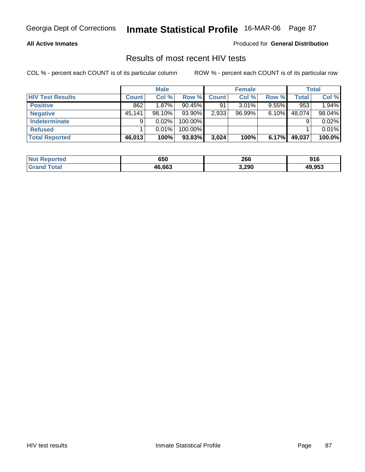### **All Active Inmates**

Produced for **General Distribution**

### Results of most recent HIV tests

|                         |              | <b>Male</b> |            |              | <b>Female</b> |          |              | <b>Total</b> |
|-------------------------|--------------|-------------|------------|--------------|---------------|----------|--------------|--------------|
| <b>HIV Test Results</b> | <b>Count</b> | Col %       | Row %I     | <b>Count</b> | Col %         | Row %    | <b>Total</b> | Col %        |
| <b>Positive</b>         | 862          | $1.87\%$    | $90.45\%$  | 91           | 3.01%         | $9.55\%$ | 953          | 1.94%        |
| <b>Negative</b>         | 45,141       | $98.10\%$   | 93.90%     | 2,933        | 96.99%        | 6.10%    | 48,074       | 98.04%       |
| <b>Indeterminate</b>    | 9            | $0.02\%$    | 100.00%    |              |               |          |              | 0.02%        |
| <b>Refused</b>          |              | 0.01%       | $100.00\%$ |              |               |          |              | 0.01%        |
| Total Reported          | 46,013       | 100%        | 93.83%     | 3,024        | 100%          | 6.17%    | 49,037       | 100.0%       |

| <b>Not</b><br>Reported | 650    | 266<br>__ | 916    |
|------------------------|--------|-----------|--------|
| `otal                  | 46.663 | 3,290     | 49,953 |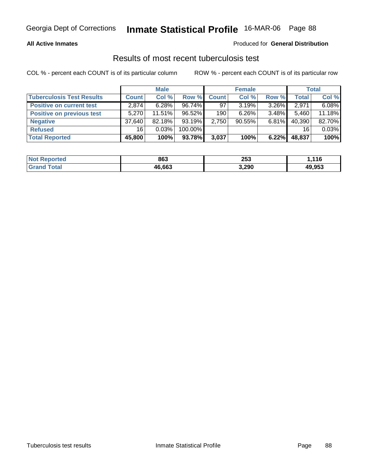### **All Active Inmates**

### Produced for **General Distribution**

### Results of most recent tuberculosis test

|                                  |              | <b>Male</b> |           |       | <b>Female</b> |          |              | <b>Total</b> |
|----------------------------------|--------------|-------------|-----------|-------|---------------|----------|--------------|--------------|
| <b>Tuberculosis Test Results</b> | <b>Count</b> | Col %       | Row %     | Count | Col %         | Row %    | <b>Total</b> | Col %        |
| <b>Positive on current test</b>  | 2.874        | $6.28\%$    | $96.74\%$ | 97    | 3.19%         | $3.26\%$ | 2,971        | 6.08%        |
| <b>Positive on previous test</b> | 5.270        | 11.51%      | 96.52%    | 190   | 6.26%         | $3.48\%$ | 5,460        | 11.18%       |
| <b>Negative</b>                  | 37,640       | $82.18\%$   | $93.19\%$ | 2,750 | $90.55\%$     | $6.81\%$ | 40,390       | 82.70%       |
| <b>Refused</b>                   | 16           | 0.03%       | 100.00%   |       |               |          | 16           | 0.03%        |
| <b>Total Reported</b>            | 45,800       | 100%        | 93.78%    | 3,037 | 100%          | 6.22%    | 48,837       | 100%         |

| <b>Not Reported</b>          | 863    | 253   | ,116   |
|------------------------------|--------|-------|--------|
| <b>Total</b><br><b>Srand</b> | 46.663 | 3,290 | 49,953 |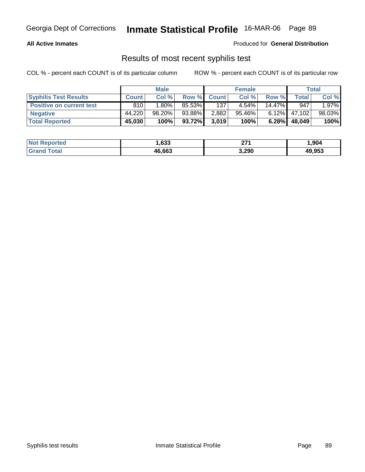### **All Active Inmates**

Produced for **General Distribution**

### Results of most recent syphilis test

|                                 |              | <b>Male</b> |        |             | <b>Female</b> |           |               | Total    |
|---------------------------------|--------------|-------------|--------|-------------|---------------|-----------|---------------|----------|
| <b>Syphilis Test Results</b>    | <b>Count</b> | Col %       |        | Row % Count | Col %         | Row %     | $\tau$ otal i | Col %    |
| <b>Positive on current test</b> | 810          | $.80\%$     | 85.53% | 137         | 4.54%         | $14.47\%$ | 947           | $1.97\%$ |
| <b>Negative</b>                 | 44,220       | $98.20\%$   | 93.88% | 2,882       | $95.46\%$     | $6.12\%$  | 47.102        | 98.03%   |
| <b>Total Reported</b>           | 45,030       | 100%        | 93.72% | 3,019       | 100%          | 6.28%     | 48,049        | 100%     |

| <b>Not Reported</b> | .633   | ייר<br>. . | 904. ا |
|---------------------|--------|------------|--------|
| <b>Grand Total</b>  | 46,663 | 3,290      | 49,953 |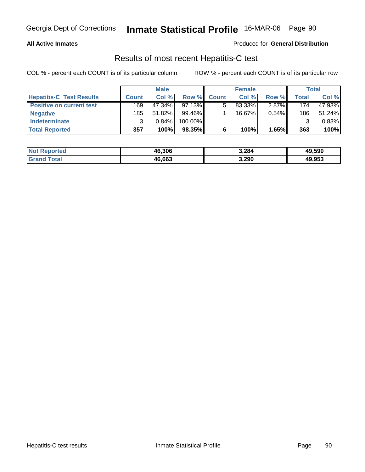### **All Active Inmates**

### Produced for **General Distribution**

### Results of most recent Hepatitis-C test

|                                 |              | <b>Male</b> |            |              | <b>Female</b> |          |         | <b>Total</b> |
|---------------------------------|--------------|-------------|------------|--------------|---------------|----------|---------|--------------|
| <b>Hepatitis-C Test Results</b> | <b>Count</b> | Col %       | Row %      | <b>Count</b> | Col %         | Row %    | Total i | Col %        |
| <b>Positive on current test</b> | 169          | 47.34%      | $97.13\%$  |              | 83.33%        | $2.87\%$ | 174     | 47.93%       |
| <b>Negative</b>                 | 185          | 51.82%      | 99.46%     |              | $16.67\%$     | $0.54\%$ | 186     | 51.24%       |
| <b>Indeterminate</b>            | 2            | 0.84%       | $100.00\%$ |              |               |          |         | 0.83%        |
| <b>Total Reported</b>           | 357          | 100%        | $98.35\%$  |              | 100%          | 1.65%    | 363     | 100%         |

| <b>Not Reported</b> | 46,306 | 3,284 | 49,590 |
|---------------------|--------|-------|--------|
| <b>Grand Total</b>  | 46,663 | 3,290 | 49,953 |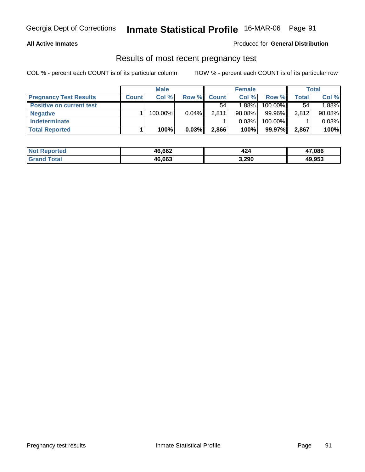### **All Active Inmates**

### Produced for **General Distribution**

### Results of most recent pregnancy test

|                                 |              | <b>Male</b> |          |              | <b>Female</b> |         |              | <b>Total</b> |
|---------------------------------|--------------|-------------|----------|--------------|---------------|---------|--------------|--------------|
| <b>Pregnancy Test Results</b>   | <b>Count</b> | Col %       | Row %    | <b>Count</b> | Col %         | Row %   | <b>Total</b> | Col %        |
| <b>Positive on current test</b> |              |             |          | 54           | $1.88\%$      | 100.00% | 54           | 1.88%        |
| <b>Negative</b>                 |              | 100.00%     | $0.04\%$ | 2,811        | $98.08\%$     | 99.96%  | 2,812        | 98.08%       |
| <b>Indeterminate</b>            |              |             |          |              | 0.03%         | 100.00% |              | 0.03%        |
| <b>Total Reported</b>           |              | 100%        | 0.03%    | 2,866        | 100%          | 99.97%  | 2,867        | 100%         |

| <b>Not Reported</b> | 46,662 | 424   | 47,086 |
|---------------------|--------|-------|--------|
| <b>Total</b>        | 46,663 | 3,290 | 49,953 |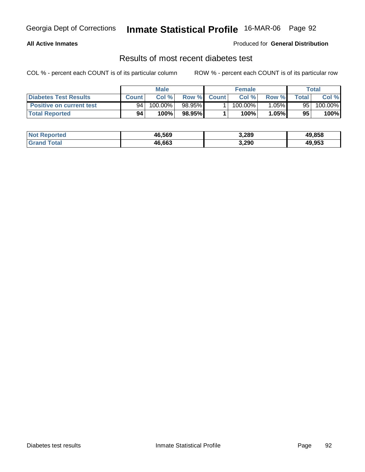### **All Active Inmates**

### Produced for **General Distribution**

### Results of most recent diabetes test

|                                 |              | <b>Male</b> |             | <b>Female</b> |        |                  | Total   |
|---------------------------------|--------------|-------------|-------------|---------------|--------|------------------|---------|
| <b>Diabetes Test Results</b>    | <b>Count</b> | Col %       | Row % Count | Col %         | Row %  | $\mathsf{Total}$ | Col %   |
| <b>Positive on current test</b> | 94           | 100.00%     | $98.95\%$   | $100.00\%$    | 1.05%∎ | 95               | 100.00% |
| <b>Total Reported</b>           | 94           | 100%        | 98.95%      | 100%          | 1.05%  | 95               | 100%    |

| <b>Not Reported</b>  | 46,569 | 3,289 | 49.858 |
|----------------------|--------|-------|--------|
| ⊺otal<br><b>Gran</b> | 46.663 | 3,290 | 49,953 |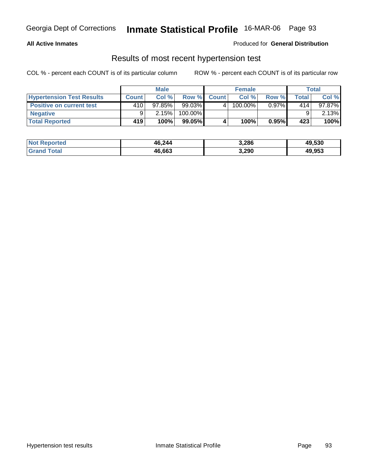### **All Active Inmates**

### Produced for **General Distribution**

### Results of most recent hypertension test

|                                  |              | <b>Male</b> |           |              | <b>Female</b> |          |       | Total     |
|----------------------------------|--------------|-------------|-----------|--------------|---------------|----------|-------|-----------|
| <b>Hypertension Test Results</b> | <b>Count</b> | Col%        |           | Row % Count  | Col%          | Row %    | Total | Col %     |
| <b>Positive on current test</b>  | 410          | $97.85\%$   | 99.03%    | $\mathbf{A}$ | 100.00%       | $0.97\%$ | 414   | $97.87\%$ |
| <b>Negative</b>                  | 9            | 2.15%       | 100.00%   |              |               |          |       | 2.13%     |
| <b>Total Reported</b>            | 419          | 100%        | $99.05\%$ |              | 100%          | 0.95%    | 423   | 100%      |

| <b>Not Reported</b> | 46,244 | 3,286 | 49,530 |
|---------------------|--------|-------|--------|
| <b>Grand Total</b>  | 46,663 | 3,290 | 49,953 |